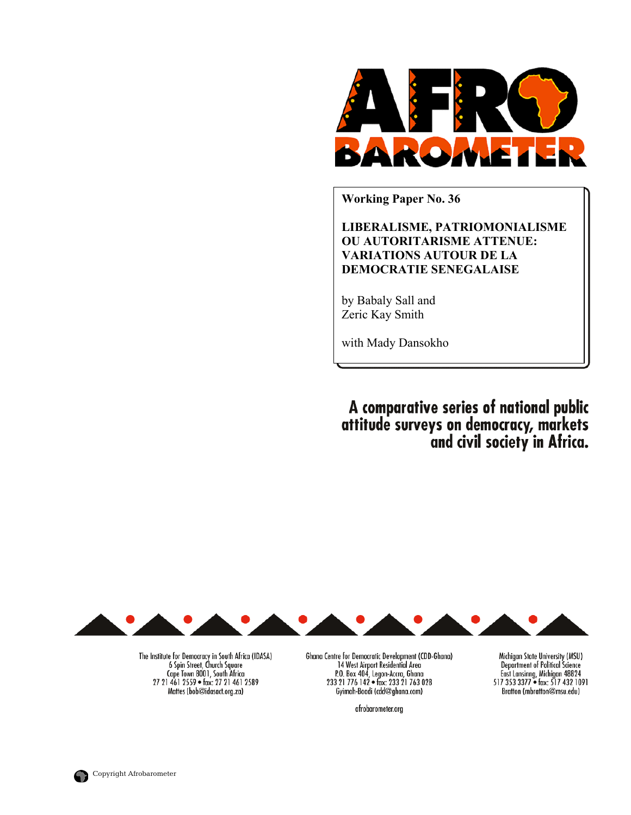

**Working Paper No. 36** 

**LIBERALISME, PATRIOMONIALISME OU AUTORITARISME ATTENUE: VARIATIONS AUTOUR DE LA DEMOCRATIE SENEGALAISE**

by Babaly Sall and Zeric Kay Smith

with Mady Dansokho

A comparative series of national public attitude surveys on democracy, markets<br>and civil society in Africa.



The Institute for Democracy in South Africa (IDASA) 6 Spin Street, Church Square Cape Town 8001, South Africa 27 21 461 2559 · fax: 27 21 461 2589 Mattes (bob@idasact.org.za)

Ghana Centre for Democratic Development (CDD-Ghana) 14 West Airport Residential Area P.O. Box 404, Legon-Accra, Ghana<br>233 21 776 142 • fax: 233 21 763 028 Gyimah-Boadi (cdd@ghana.com)

afrobarometer.org

Michigan State University (MSU) **Department of Political Science** East Lansinng, Michigan 48824<br>517 353 3377 • fax: 517 432 1091 Bratton (mbratton@msu.edu)

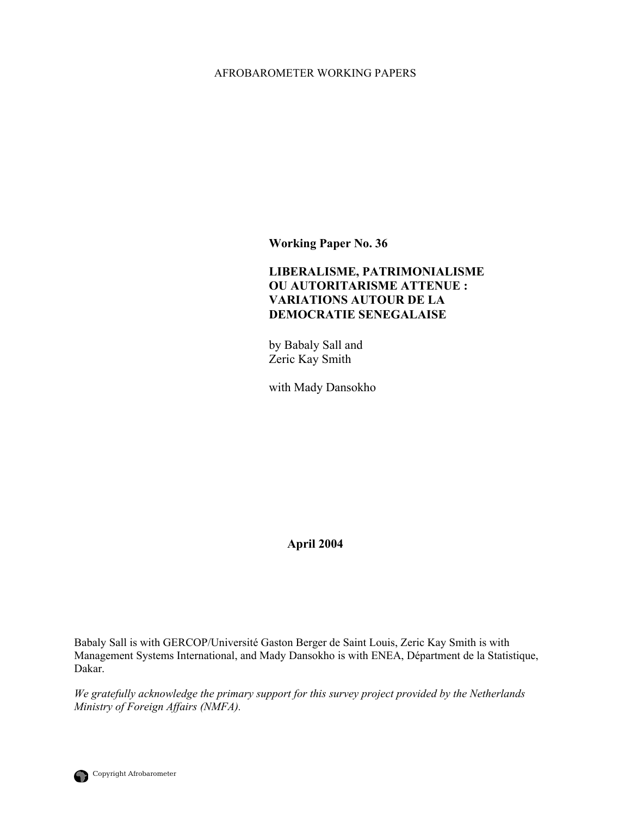# AFROBAROMETER WORKING PAPERS

**Working Paper No. 36** 

# **LIBERALISME, PATRIMONIALISME OU AUTORITARISME ATTENUE : VARIATIONS AUTOUR DE LA DEMOCRATIE SENEGALAISE**

by Babaly Sall and Zeric Kay Smith

with Mady Dansokho

**April 2004** 

Babaly Sall is with GERCOP/Université Gaston Berger de Saint Louis, Zeric Kay Smith is with Management Systems International, and Mady Dansokho is with ENEA, Départment de la Statistique, Dakar.

*We gratefully acknowledge the primary support for this survey project provided by the Netherlands Ministry of Foreign Affairs (NMFA).*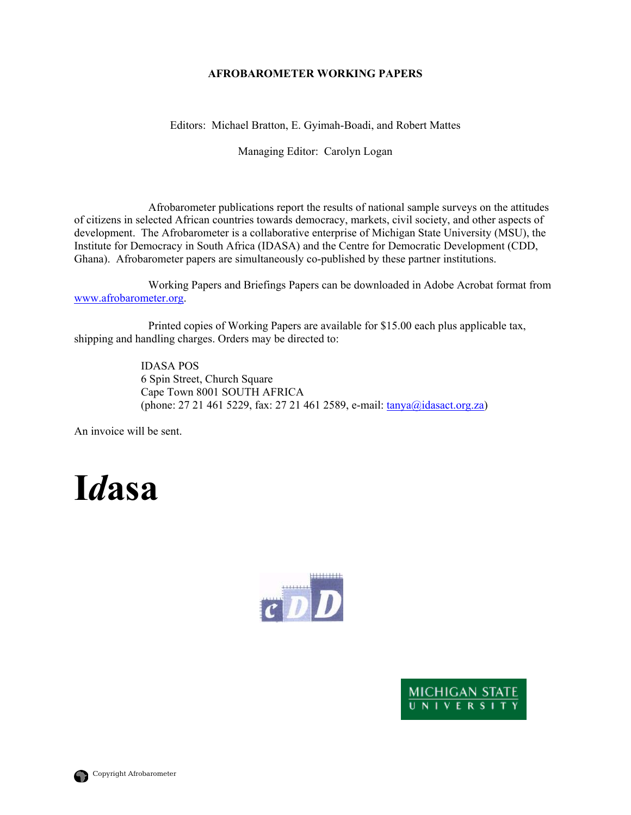# **AFROBAROMETER WORKING PAPERS**

Editors: Michael Bratton, E. Gyimah-Boadi, and Robert Mattes

Managing Editor: Carolyn Logan

 Afrobarometer publications report the results of national sample surveys on the attitudes of citizens in selected African countries towards democracy, markets, civil society, and other aspects of development. The Afrobarometer is a collaborative enterprise of Michigan State University (MSU), the Institute for Democracy in South Africa (IDASA) and the Centre for Democratic Development (CDD, Ghana). Afrobarometer papers are simultaneously co-published by these partner institutions.

 Working Papers and Briefings Papers can be downloaded in Adobe Acrobat format from [www.afrobarometer.org](http://www.afrobarometer.org/).

 Printed copies of Working Papers are available for \$15.00 each plus applicable tax, shipping and handling charges. Orders may be directed to:

> IDASA POS 6 Spin Street, Church Square Cape Town 8001 SOUTH AFRICA (phone: 27 21 461 5229, fax: 27 21 461 2589, e-mail: **tanya@idasact.org.za**)

An invoice will be sent.

# **I***d***asa**





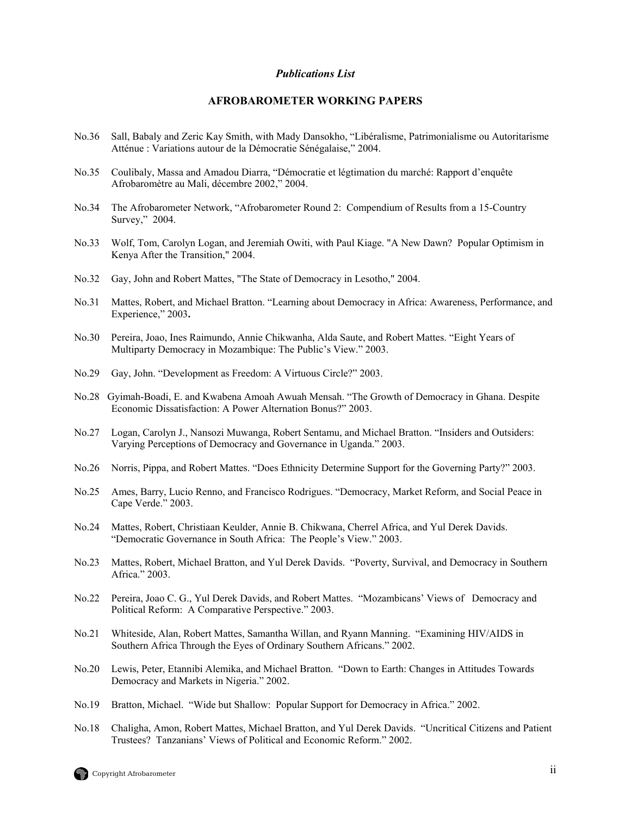#### *Publications List*

#### **AFROBAROMETER WORKING PAPERS**

- No.36 Sall, Babaly and Zeric Kay Smith, with Mady Dansokho, "Libéralisme, Patrimonialisme ou Autoritarisme Atténue : Variations autour de la Démocratie Sénégalaise," 2004.
- No.35 Coulibaly, Massa and Amadou Diarra, "Démocratie et légtimation du marché: Rapport d'enquête Afrobaromètre au Mali, décembre 2002," 2004.
- No.34 The Afrobarometer Network, "Afrobarometer Round 2: Compendium of Results from a 15-Country Survey," 2004.
- No.33 Wolf, Tom, Carolyn Logan, and Jeremiah Owiti, with Paul Kiage. "A New Dawn? Popular Optimism in Kenya After the Transition," 2004.
- No.32 Gay, John and Robert Mattes, "The State of Democracy in Lesotho," 2004.
- No.31 Mattes, Robert, and Michael Bratton. "Learning about Democracy in Africa: Awareness, Performance, and Experience," 2003**.**
- No.30 Pereira, Joao, Ines Raimundo, Annie Chikwanha, Alda Saute, and Robert Mattes. "Eight Years of Multiparty Democracy in Mozambique: The Public's View." 2003.
- No.29 Gay, John. "Development as Freedom: A Virtuous Circle?" 2003.
- No.28 Gyimah-Boadi, E. and Kwabena Amoah Awuah Mensah. "The Growth of Democracy in Ghana. Despite Economic Dissatisfaction: A Power Alternation Bonus?" 2003.
- No.27 Logan, Carolyn J., Nansozi Muwanga, Robert Sentamu, and Michael Bratton. "Insiders and Outsiders: Varying Perceptions of Democracy and Governance in Uganda." 2003.
- No.26 Norris, Pippa, and Robert Mattes. "Does Ethnicity Determine Support for the Governing Party?" 2003.
- No.25 Ames, Barry, Lucio Renno, and Francisco Rodrigues. "Democracy, Market Reform, and Social Peace in Cape Verde." 2003.
- No.24 Mattes, Robert, Christiaan Keulder, Annie B. Chikwana, Cherrel Africa, and Yul Derek Davids. "Democratic Governance in South Africa: The People's View." 2003.
- No.23 Mattes, Robert, Michael Bratton, and Yul Derek Davids. "Poverty, Survival, and Democracy in Southern Africa." 2003.
- No.22 Pereira, Joao C. G., Yul Derek Davids, and Robert Mattes. "Mozambicans' Views of Democracy and Political Reform: A Comparative Perspective." 2003.
- No.21 Whiteside, Alan, Robert Mattes, Samantha Willan, and Ryann Manning. "Examining HIV/AIDS in Southern Africa Through the Eyes of Ordinary Southern Africans." 2002.
- No.20 Lewis, Peter, Etannibi Alemika, and Michael Bratton. "Down to Earth: Changes in Attitudes Towards Democracy and Markets in Nigeria." 2002.
- No.19 Bratton, Michael. "Wide but Shallow: Popular Support for Democracy in Africa." 2002.
- No.18 Chaligha, Amon, Robert Mattes, Michael Bratton, and Yul Derek Davids. "Uncritical Citizens and Patient Trustees? Tanzanians' Views of Political and Economic Reform." 2002.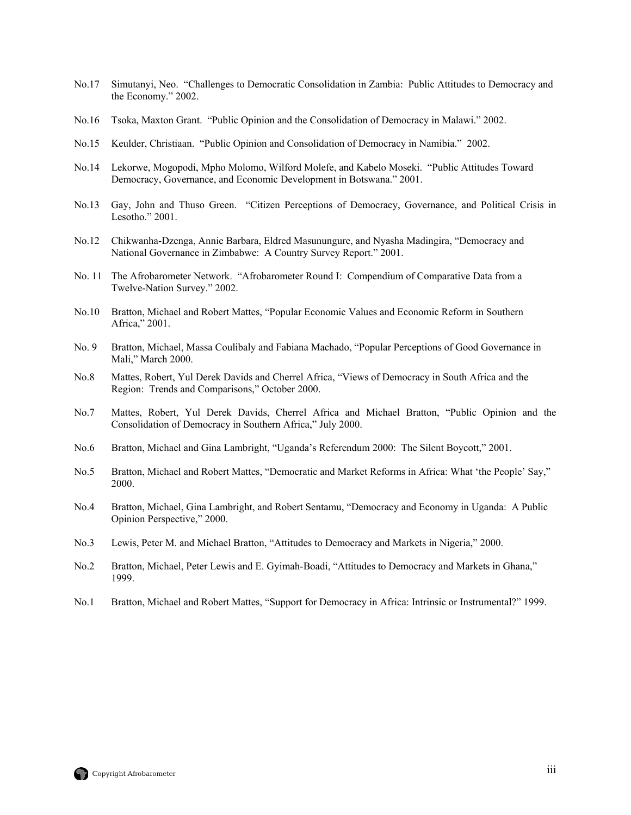- No.17 Simutanyi, Neo. "Challenges to Democratic Consolidation in Zambia: Public Attitudes to Democracy and the Economy." 2002.
- No.16 Tsoka, Maxton Grant. "Public Opinion and the Consolidation of Democracy in Malawi." 2002.
- No.15 Keulder, Christiaan. "Public Opinion and Consolidation of Democracy in Namibia." 2002.
- No.14 Lekorwe, Mogopodi, Mpho Molomo, Wilford Molefe, and Kabelo Moseki. "Public Attitudes Toward Democracy, Governance, and Economic Development in Botswana." 2001.
- No.13 Gay, John and Thuso Green. "Citizen Perceptions of Democracy, Governance, and Political Crisis in Lesotho." 2001.
- No.12 Chikwanha-Dzenga, Annie Barbara, Eldred Masunungure, and Nyasha Madingira, "Democracy and National Governance in Zimbabwe: A Country Survey Report." 2001.
- No. 11 The Afrobarometer Network. "Afrobarometer Round I: Compendium of Comparative Data from a Twelve-Nation Survey." 2002.
- No.10 Bratton, Michael and Robert Mattes, "Popular Economic Values and Economic Reform in Southern Africa," 2001.
- No. 9 Bratton, Michael, Massa Coulibaly and Fabiana Machado, "Popular Perceptions of Good Governance in Mali," March 2000.
- No.8 Mattes, Robert, Yul Derek Davids and Cherrel Africa, "Views of Democracy in South Africa and the Region: Trends and Comparisons," October 2000.
- No.7 Mattes, Robert, Yul Derek Davids, Cherrel Africa and Michael Bratton, "Public Opinion and the Consolidation of Democracy in Southern Africa," July 2000.
- No.6 Bratton, Michael and Gina Lambright, "Uganda's Referendum 2000: The Silent Boycott," 2001.
- No.5 Bratton, Michael and Robert Mattes, "Democratic and Market Reforms in Africa: What 'the People' Say," 2000.
- No.4 Bratton, Michael, Gina Lambright, and Robert Sentamu, "Democracy and Economy in Uganda: A Public Opinion Perspective," 2000.
- No.3 Lewis, Peter M. and Michael Bratton, "Attitudes to Democracy and Markets in Nigeria," 2000.
- No.2 Bratton, Michael, Peter Lewis and E. Gyimah-Boadi, "Attitudes to Democracy and Markets in Ghana," 1999.
- No.1 Bratton, Michael and Robert Mattes, "Support for Democracy in Africa: Intrinsic or Instrumental?" 1999.

![](_page_4_Picture_17.jpeg)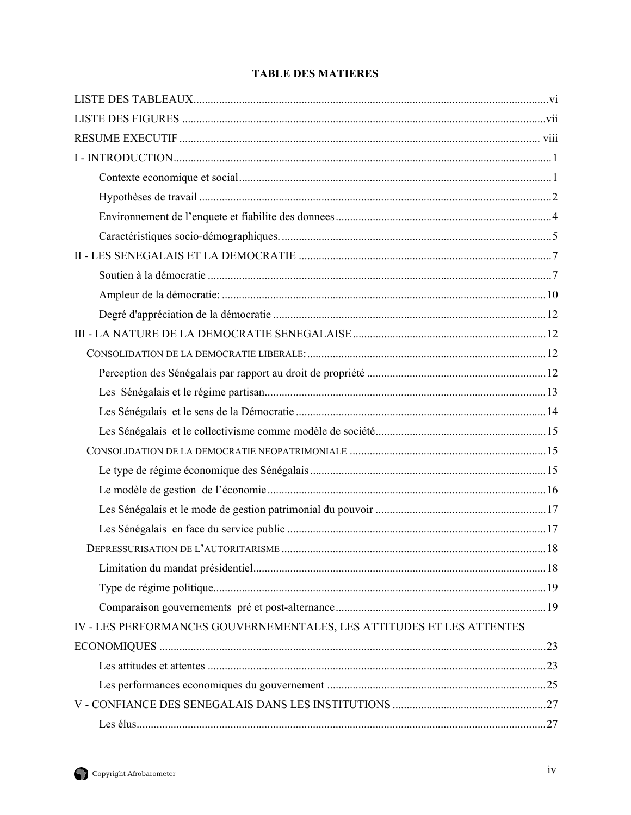| <b>TABLE DES MATIERES</b> |
|---------------------------|
|---------------------------|

| IV - LES PERFORMANCES GOUVERNEMENTALES, LES ATTITUDES ET LES ATTENTES |    |
|-----------------------------------------------------------------------|----|
|                                                                       |    |
|                                                                       |    |
|                                                                       |    |
|                                                                       |    |
|                                                                       | 27 |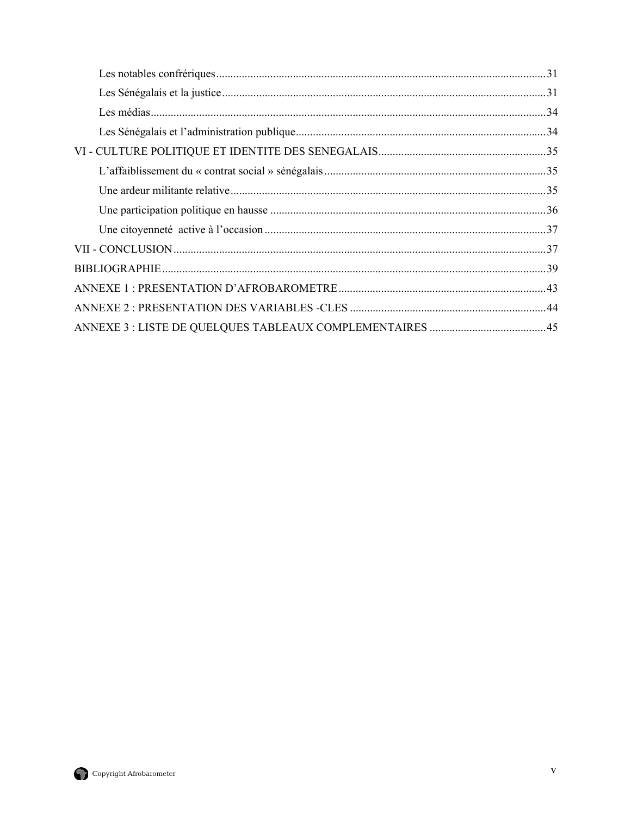![](_page_6_Picture_1.jpeg)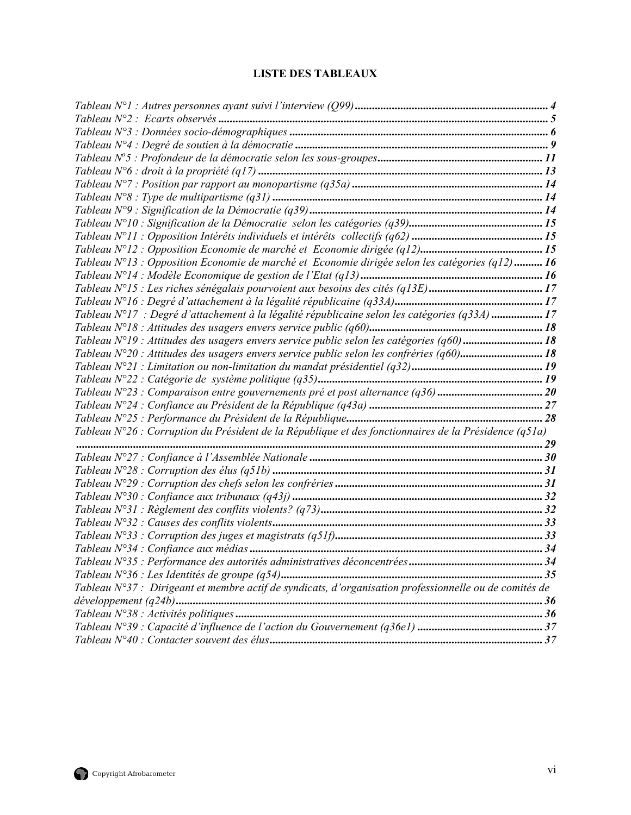# **LISTE DES TABLEAUX**

<span id="page-7-0"></span>

| Tableau N°13 : Opposition Economie de marché et Economie dirigée selon les catégories (q12)  16        |  |
|--------------------------------------------------------------------------------------------------------|--|
|                                                                                                        |  |
|                                                                                                        |  |
|                                                                                                        |  |
| Tableau N°17 : Degré d'attachement à la légalité républicaine selon les catégories (q33A) 17           |  |
|                                                                                                        |  |
| Tableau $N^{\circ}19$ : Attitudes des usagers envers service public selon les catégories (q60) 18      |  |
| Tableau $N^{\circ}20$ : Attitudes des usagers envers service public selon les confréries (q60) 18      |  |
|                                                                                                        |  |
|                                                                                                        |  |
|                                                                                                        |  |
|                                                                                                        |  |
|                                                                                                        |  |
| Tableau N°26 : Corruption du Président de la République et des fonctionnaires de la Présidence (q51a)  |  |
|                                                                                                        |  |
|                                                                                                        |  |
|                                                                                                        |  |
|                                                                                                        |  |
|                                                                                                        |  |
|                                                                                                        |  |
|                                                                                                        |  |
|                                                                                                        |  |
|                                                                                                        |  |
|                                                                                                        |  |
|                                                                                                        |  |
| Tableau N°37 : Dirigeant et membre actif de syndicats, d'organisation professionnelle ou de comités de |  |
| développement (q24b)                                                                                   |  |
|                                                                                                        |  |
|                                                                                                        |  |
|                                                                                                        |  |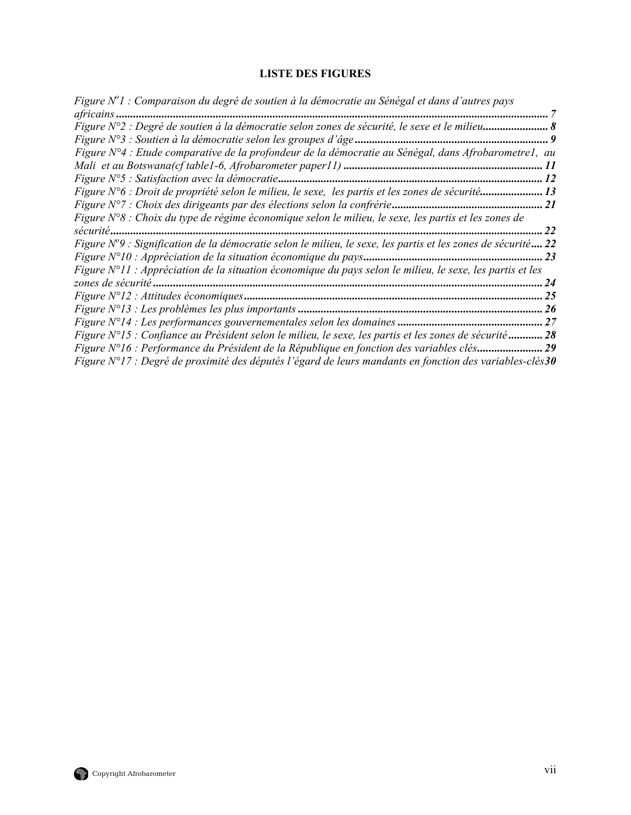# **LISTE DES FIGURES**

<span id="page-8-0"></span>

| Figure N <sup>o</sup> l : Comparaison du degré de soutien à la démocratie au Sénégal et dans d'autres pays        |                            |
|-------------------------------------------------------------------------------------------------------------------|----------------------------|
| africains                                                                                                         |                            |
| Figure N°2 : Degré de soutien à la démocratie selon zones de sécurité, le sexe et le milieu 8                     |                            |
|                                                                                                                   | 9                          |
| Figure N°4 : Etude comparative de la profondeur de la démocratie au Sénégal, dans Afrobarometre1, au              |                            |
|                                                                                                                   | $\boldsymbol{\mathit{II}}$ |
|                                                                                                                   | 12                         |
| Figure N°6 : Droit de propriété selon le milieu, le sexe, les partis et les zones de sécurité13                   |                            |
|                                                                                                                   | <i>21</i>                  |
| Figure N°8 : Choix du type de régime économique selon le milieu, le sexe, les partis et les zones de              |                            |
|                                                                                                                   | 22                         |
| Figure N°9 : Signification de la démocratie selon le milieu, le sexe, les partis et les zones de sécurité 22      |                            |
|                                                                                                                   | 23                         |
| Figure N°11 : Appréciation de la situation économique du pays selon le milieu, le sexe, les partis et les         |                            |
|                                                                                                                   | 24                         |
|                                                                                                                   | 25                         |
|                                                                                                                   | 26                         |
|                                                                                                                   | 27                         |
| Figure N°15 : Confiance au Président selon le milieu, le sexe, les partis et les zones de sécurité                | 28                         |
| Figure N°16 : Performance du Président de la République en fonction des variables clés                            | 29                         |
| Figure $N^{\circ}17$ : Degré de proximité des députés l'égard de leurs mandants en fonction des variables-clés 30 |                            |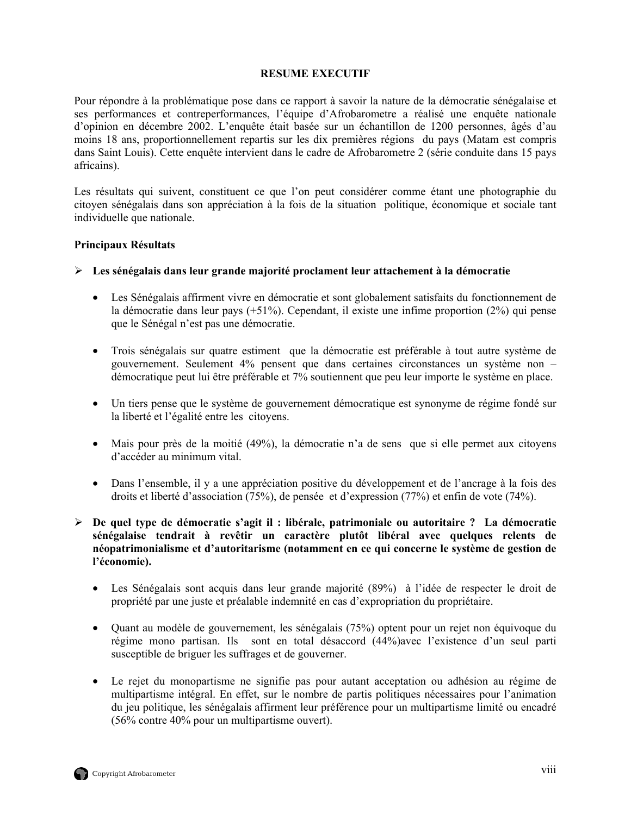## **RESUME EXECUTIF**

<span id="page-9-0"></span>Pour répondre à la problématique pose dans ce rapport à savoir la nature de la démocratie sénégalaise et ses performances et contreperformances, l'équipe d'Afrobarometre a réalisé une enquête nationale d'opinion en décembre 2002. L'enquête était basée sur un échantillon de 1200 personnes, âgés d'au moins 18 ans, proportionnellement repartis sur les dix premières régions du pays (Matam est compris dans Saint Louis). Cette enquête intervient dans le cadre de Afrobarometre 2 (série conduite dans 15 pays africains).

Les résultats qui suivent, constituent ce que l'on peut considérer comme étant une photographie du citoyen sénégalais dans son appréciation à la fois de la situation politique, économique et sociale tant individuelle que nationale.

## **Principaux Résultats**

- ¾ **Les sénégalais dans leur grande majorité proclament leur attachement à la démocratie** 
	- Les Sénégalais affirment vivre en démocratie et sont globalement satisfaits du fonctionnement de la démocratie dans leur pays (+51%). Cependant, il existe une infime proportion (2%) qui pense que le Sénégal n'est pas une démocratie.
	- Trois sénégalais sur quatre estiment que la démocratie est préférable à tout autre système de gouvernement. Seulement 4% pensent que dans certaines circonstances un système non – démocratique peut lui être préférable et 7% soutiennent que peu leur importe le système en place.
	- Un tiers pense que le système de gouvernement démocratique est synonyme de régime fondé sur la liberté et l'égalité entre les citoyens.
	- Mais pour près de la moitié (49%), la démocratie n'a de sens que si elle permet aux citoyens d'accéder au minimum vital.
	- Dans l'ensemble, il y a une appréciation positive du développement et de l'ancrage à la fois des droits et liberté d'association (75%), de pensée et d'expression (77%) et enfin de vote (74%).
- ¾ **De quel type de démocratie s'agit il : libérale, patrimoniale ou autoritaire ? La démocratie sénégalaise tendrait à revêtir un caractère plutôt libéral avec quelques relents de néopatrimonialisme et d'autoritarisme (notamment en ce qui concerne le système de gestion de l'économie).**
	- Les Sénégalais sont acquis dans leur grande majorité (89%) à l'idée de respecter le droit de propriété par une juste et préalable indemnité en cas d'expropriation du propriétaire.
	- Quant au modèle de gouvernement, les sénégalais (75%) optent pour un rejet non équivoque du régime mono partisan. Ils sont en total désaccord (44%)avec l'existence d'un seul parti susceptible de briguer les suffrages et de gouverner.
	- Le rejet du monopartisme ne signifie pas pour autant acceptation ou adhésion au régime de multipartisme intégral. En effet, sur le nombre de partis politiques nécessaires pour l'animation du jeu politique, les sénégalais affirment leur préférence pour un multipartisme limité ou encadré (56% contre 40% pour un multipartisme ouvert).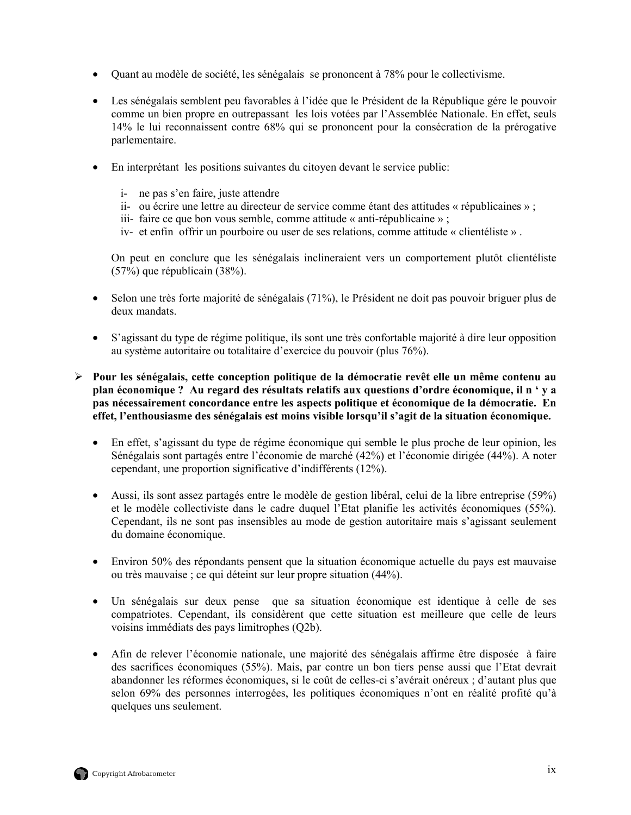- Quant au modèle de société, les sénégalais se prononcent à 78% pour le collectivisme.
- Les sénégalais semblent peu favorables à l'idée que le Président de la République gére le pouvoir comme un bien propre en outrepassant les lois votées par l'Assemblée Nationale. En effet, seuls 14% le lui reconnaissent contre 68% qui se prononcent pour la consécration de la prérogative parlementaire.
- En interprétant les positions suivantes du citoyen devant le service public:
	- i- ne pas s'en faire, juste attendre
	- ii- ou écrire une lettre au directeur de service comme étant des attitudes « républicaines » ;
	- iii- faire ce que bon vous semble, comme attitude « anti-républicaine » ;
	- iv- et enfin offrir un pourboire ou user de ses relations, comme attitude « clientéliste » .

On peut en conclure que les sénégalais inclineraient vers un comportement plutôt clientéliste (57%) que républicain (38%).

- Selon une très forte majorité de sénégalais (71%), le Président ne doit pas pouvoir briguer plus de deux mandats.
- S'agissant du type de régime politique, ils sont une très confortable majorité à dire leur opposition au système autoritaire ou totalitaire d'exercice du pouvoir (plus 76%).
- ¾ **Pour les sénégalais, cette conception politique de la démocratie revêt elle un même contenu au plan économique ? Au regard des résultats relatifs aux questions d'ordre économique, il n ' y a pas nécessairement concordance entre les aspects politique et économique de la démocratie. En effet, l'enthousiasme des sénégalais est moins visible lorsqu'il s'agit de la situation économique.** 
	- En effet, s'agissant du type de régime économique qui semble le plus proche de leur opinion, les Sénégalais sont partagés entre l'économie de marché (42%) et l'économie dirigée (44%). A noter cependant, une proportion significative d'indifférents (12%).
	- Aussi, ils sont assez partagés entre le modèle de gestion libéral, celui de la libre entreprise (59%) et le modèle collectiviste dans le cadre duquel l'Etat planifie les activités économiques (55%). Cependant, ils ne sont pas insensibles au mode de gestion autoritaire mais s'agissant seulement du domaine économique.
	- Environ 50% des répondants pensent que la situation économique actuelle du pays est mauvaise ou très mauvaise ; ce qui déteint sur leur propre situation (44%).
	- Un sénégalais sur deux pense que sa situation économique est identique à celle de ses compatriotes. Cependant, ils considèrent que cette situation est meilleure que celle de leurs voisins immédiats des pays limitrophes (Q2b).
	- Afin de relever l'économie nationale, une majorité des sénégalais affirme être disposée à faire des sacrifices économiques (55%). Mais, par contre un bon tiers pense aussi que l'Etat devrait abandonner les réformes économiques, si le coût de celles-ci s'avérait onéreux ; d'autant plus que selon 69% des personnes interrogées, les politiques économiques n'ont en réalité profité qu'à quelques uns seulement.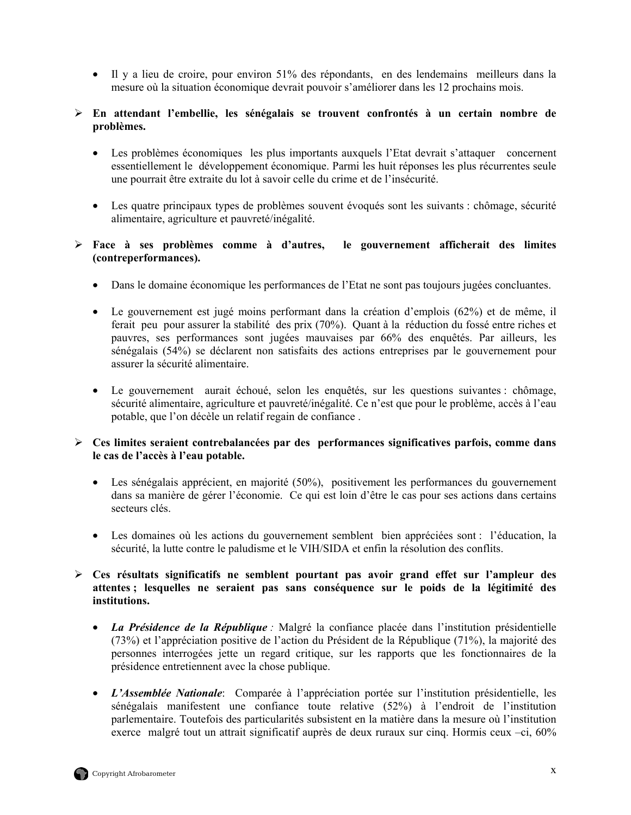• Il y a lieu de croire, pour environ 51% des répondants, en des lendemains meilleurs dans la mesure où la situation économique devrait pouvoir s'améliorer dans les 12 prochains mois.

# ¾ **En attendant l'embellie, les sénégalais se trouvent confrontés à un certain nombre de problèmes.**

- Les problèmes économiques les plus importants auxquels l'Etat devrait s'attaquer concernent essentiellement le développement économique. Parmi les huit réponses les plus récurrentes seule une pourrait être extraite du lot à savoir celle du crime et de l'insécurité.
- Les quatre principaux types de problèmes souvent évoqués sont les suivants : chômage, sécurité alimentaire, agriculture et pauvreté/inégalité.

# ¾ **Face à ses problèmes comme à d'autres, le gouvernement afficherait des limites (contreperformances).**

- Dans le domaine économique les performances de l'Etat ne sont pas toujours jugées concluantes.
- Le gouvernement est jugé moins performant dans la création d'emplois (62%) et de même, il ferait peu pour assurer la stabilité des prix (70%). Quant à la réduction du fossé entre riches et pauvres, ses performances sont jugées mauvaises par 66% des enquêtés. Par ailleurs, les sénégalais (54%) se déclarent non satisfaits des actions entreprises par le gouvernement pour assurer la sécurité alimentaire.
- Le gouvernement aurait échoué, selon les enquêtés, sur les questions suivantes : chômage, sécurité alimentaire, agriculture et pauvreté/inégalité. Ce n'est que pour le problème, accès à l'eau potable, que l'on décèle un relatif regain de confiance .

# ¾ **Ces limites seraient contrebalancées par des performances significatives parfois, comme dans le cas de l'accès à l'eau potable.**

- Les sénégalais apprécient, en majorité (50%), positivement les performances du gouvernement dans sa manière de gérer l'économie. Ce qui est loin d'être le cas pour ses actions dans certains secteurs clés.
- Les domaines où les actions du gouvernement semblent bien appréciées sont : l'éducation, la sécurité, la lutte contre le paludisme et le VIH/SIDA et enfin la résolution des conflits.

# ¾ **Ces résultats significatifs ne semblent pourtant pas avoir grand effet sur l'ampleur des attentes ; lesquelles ne seraient pas sans conséquence sur le poids de la légitimité des institutions.**

- *La Présidence de la République :* Malgré la confiance placée dans l'institution présidentielle (73%) et l'appréciation positive de l'action du Président de la République (71%), la majorité des personnes interrogées jette un regard critique, sur les rapports que les fonctionnaires de la présidence entretiennent avec la chose publique.
- *L'Assemblée Nationale*: Comparée à l'appréciation portée sur l'institution présidentielle, les sénégalais manifestent une confiance toute relative (52%) à l'endroit de l'institution parlementaire. Toutefois des particularités subsistent en la matière dans la mesure où l'institution exerce malgré tout un attrait significatif auprès de deux ruraux sur cinq. Hormis ceux –ci, 60%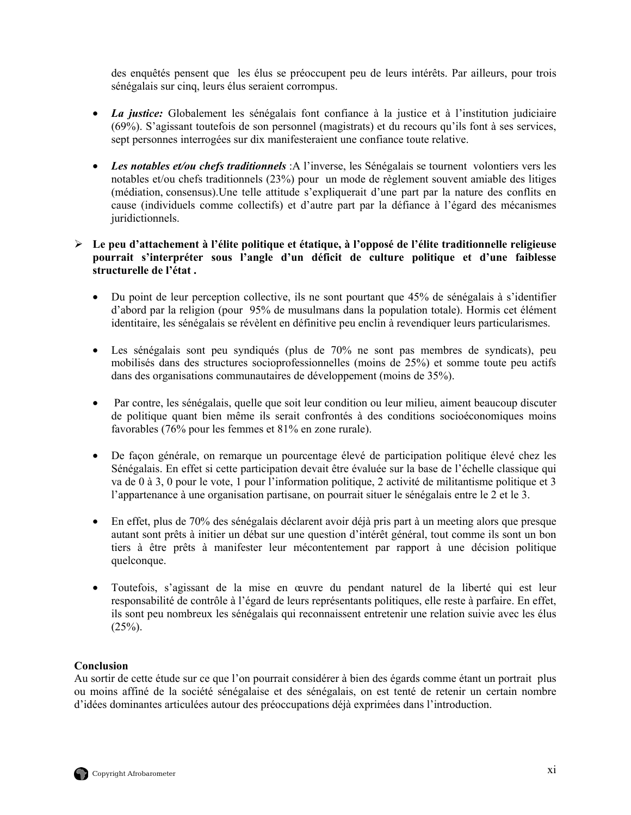des enquêtés pensent que les élus se préoccupent peu de leurs intérêts. Par ailleurs, pour trois sénégalais sur cinq, leurs élus seraient corrompus.

- *La justice:* Globalement les sénégalais font confiance à la justice et à l'institution judiciaire (69%). S'agissant toutefois de son personnel (magistrats) et du recours qu'ils font à ses services, sept personnes interrogées sur dix manifesteraient une confiance toute relative.
- *Les notables et/ou chefs traditionnels* :A l'inverse, les Sénégalais se tournent volontiers vers les notables et/ou chefs traditionnels (23%) pour un mode de règlement souvent amiable des litiges (médiation, consensus).Une telle attitude s'expliquerait d'une part par la nature des conflits en cause (individuels comme collectifs) et d'autre part par la défiance à l'égard des mécanismes juridictionnels.

# ¾ **Le peu d'attachement à l'élite politique et étatique, à l'opposé de l'élite traditionnelle religieuse pourrait s'interpréter sous l'angle d'un déficit de culture politique et d'une faiblesse structurelle de l'état .**

- Du point de leur perception collective, ils ne sont pourtant que 45% de sénégalais à s'identifier d'abord par la religion (pour 95% de musulmans dans la population totale). Hormis cet élément identitaire, les sénégalais se révèlent en définitive peu enclin à revendiquer leurs particularismes.
- Les sénégalais sont peu syndiqués (plus de 70% ne sont pas membres de syndicats), peu mobilisés dans des structures socioprofessionnelles (moins de 25%) et somme toute peu actifs dans des organisations communautaires de développement (moins de 35%).
- Par contre, les sénégalais, quelle que soit leur condition ou leur milieu, aiment beaucoup discuter de politique quant bien même ils serait confrontés à des conditions socioéconomiques moins favorables (76% pour les femmes et 81% en zone rurale).
- De façon générale, on remarque un pourcentage élevé de participation politique élevé chez les Sénégalais. En effet si cette participation devait être évaluée sur la base de l'échelle classique qui va de 0 à 3, 0 pour le vote, 1 pour l'information politique, 2 activité de militantisme politique et 3 l'appartenance à une organisation partisane, on pourrait situer le sénégalais entre le 2 et le 3.
- En effet, plus de 70% des sénégalais déclarent avoir déjà pris part à un meeting alors que presque autant sont prêts à initier un débat sur une question d'intérêt général, tout comme ils sont un bon tiers à être prêts à manifester leur mécontentement par rapport à une décision politique quelconque.
- Toutefois, s'agissant de la mise en œuvre du pendant naturel de la liberté qui est leur responsabilité de contrôle à l'égard de leurs représentants politiques, elle reste à parfaire. En effet, ils sont peu nombreux les sénégalais qui reconnaissent entretenir une relation suivie avec les élus  $(25\%)$ .

# **Conclusion**

Au sortir de cette étude sur ce que l'on pourrait considérer à bien des égards comme étant un portrait plus ou moins affiné de la société sénégalaise et des sénégalais, on est tenté de retenir un certain nombre d'idées dominantes articulées autour des préoccupations déjà exprimées dans l'introduction.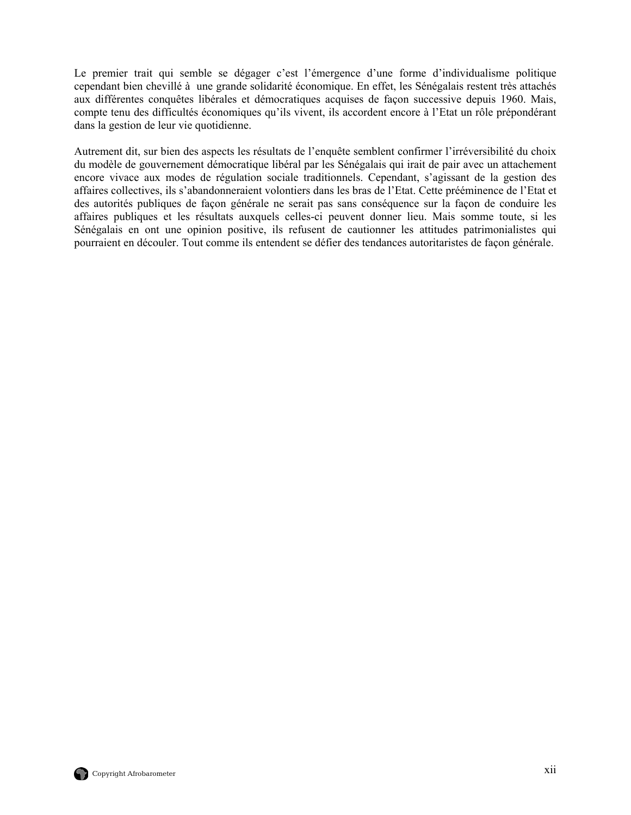Le premier trait qui semble se dégager c'est l'émergence d'une forme d'individualisme politique cependant bien chevillé à une grande solidarité économique. En effet, les Sénégalais restent très attachés aux différentes conquêtes libérales et démocratiques acquises de façon successive depuis 1960. Mais, compte tenu des difficultés économiques qu'ils vivent, ils accordent encore à l'Etat un rôle prépondérant dans la gestion de leur vie quotidienne.

Autrement dit, sur bien des aspects les résultats de l'enquête semblent confirmer l'irréversibilité du choix du modèle de gouvernement démocratique libéral par les Sénégalais qui irait de pair avec un attachement encore vivace aux modes de régulation sociale traditionnels. Cependant, s'agissant de la gestion des affaires collectives, ils s'abandonneraient volontiers dans les bras de l'Etat. Cette prééminence de l'Etat et des autorités publiques de façon générale ne serait pas sans conséquence sur la façon de conduire les affaires publiques et les résultats auxquels celles-ci peuvent donner lieu. Mais somme toute, si les Sénégalais en ont une opinion positive, ils refusent de cautionner les attitudes patrimonialistes qui pourraient en découler. Tout comme ils entendent se défier des tendances autoritaristes de façon générale.

![](_page_13_Picture_2.jpeg)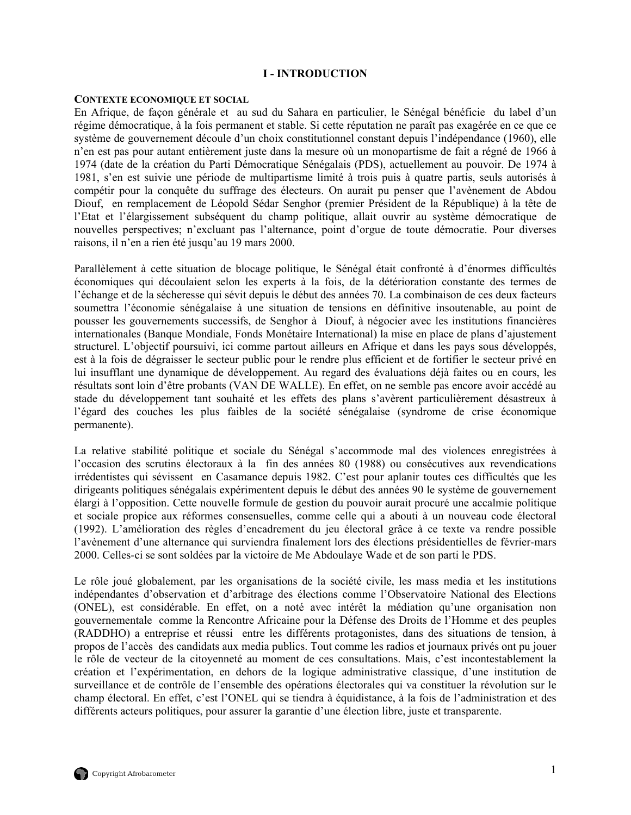## **I - INTRODUCTION**

#### <span id="page-14-0"></span>**CONTEXTE ECONOMIQUE ET SOCIAL**

En Afrique, de façon générale et au sud du Sahara en particulier, le Sénégal bénéficie du label d'un régime démocratique, à la fois permanent et stable. Si cette réputation ne paraît pas exagérée en ce que ce système de gouvernement découle d'un choix constitutionnel constant depuis l'indépendance (1960), elle n'en est pas pour autant entièrement juste dans la mesure où un monopartisme de fait a régné de 1966 à 1974 (date de la création du Parti Démocratique Sénégalais (PDS), actuellement au pouvoir. De 1974 à 1981, s'en est suivie une période de multipartisme limité à trois puis à quatre partis, seuls autorisés à compétir pour la conquête du suffrage des électeurs. On aurait pu penser que l'avènement de Abdou Diouf, en remplacement de Léopold Sédar Senghor (premier Président de la République) à la tête de l'Etat et l'élargissement subséquent du champ politique, allait ouvrir au système démocratique de nouvelles perspectives; n'excluant pas l'alternance, point d'orgue de toute démocratie. Pour diverses raisons, il n'en a rien été jusqu'au 19 mars 2000.

Parallèlement à cette situation de blocage politique, le Sénégal était confronté à d'énormes difficultés économiques qui découlaient selon les experts à la fois, de la détérioration constante des termes de l'échange et de la sécheresse qui sévit depuis le début des années 70. La combinaison de ces deux facteurs soumettra l'économie sénégalaise à une situation de tensions en définitive insoutenable, au point de pousser les gouvernements successifs, de Senghor à Diouf, à négocier avec les institutions financières internationales (Banque Mondiale, Fonds Monétaire International) la mise en place de plans d'ajustement structurel. L'objectif poursuivi, ici comme partout ailleurs en Afrique et dans les pays sous développés, est à la fois de dégraisser le secteur public pour le rendre plus efficient et de fortifier le secteur privé en lui insufflant une dynamique de développement. Au regard des évaluations déjà faites ou en cours, les résultats sont loin d'être probants (VAN DE WALLE). En effet, on ne semble pas encore avoir accédé au stade du développement tant souhaité et les effets des plans s'avèrent particulièrement désastreux à l'égard des couches les plus faibles de la société sénégalaise (syndrome de crise économique permanente).

La relative stabilité politique et sociale du Sénégal s'accommode mal des violences enregistrées à l'occasion des scrutins électoraux à la fin des années 80 (1988) ou consécutives aux revendications irrédentistes qui sévissent en Casamance depuis 1982. C'est pour aplanir toutes ces difficultés que les dirigeants politiques sénégalais expérimentent depuis le début des années 90 le système de gouvernement élargi à l'opposition. Cette nouvelle formule de gestion du pouvoir aurait procuré une accalmie politique et sociale propice aux réformes consensuelles, comme celle qui a abouti à un nouveau code électoral (1992). L'amélioration des règles d'encadrement du jeu électoral grâce à ce texte va rendre possible l'avènement d'une alternance qui surviendra finalement lors des élections présidentielles de février-mars 2000. Celles-ci se sont soldées par la victoire de Me Abdoulaye Wade et de son parti le PDS.

Le rôle joué globalement, par les organisations de la société civile, les mass media et les institutions indépendantes d'observation et d'arbitrage des élections comme l'Observatoire National des Elections (ONEL), est considérable. En effet, on a noté avec intérêt la médiation qu'une organisation non gouvernementale comme la Rencontre Africaine pour la Défense des Droits de l'Homme et des peuples (RADDHO) a entreprise et réussi entre les différents protagonistes, dans des situations de tension, à propos de l'accès des candidats aux media publics. Tout comme les radios et journaux privés ont pu jouer le rôle de vecteur de la citoyenneté au moment de ces consultations. Mais, c'est incontestablement la création et l'expérimentation, en dehors de la logique administrative classique, d'une institution de surveillance et de contrôle de l'ensemble des opérations électorales qui va constituer la révolution sur le champ électoral. En effet, c'est l'ONEL qui se tiendra à équidistance, à la fois de l'administration et des différents acteurs politiques, pour assurer la garantie d'une élection libre, juste et transparente.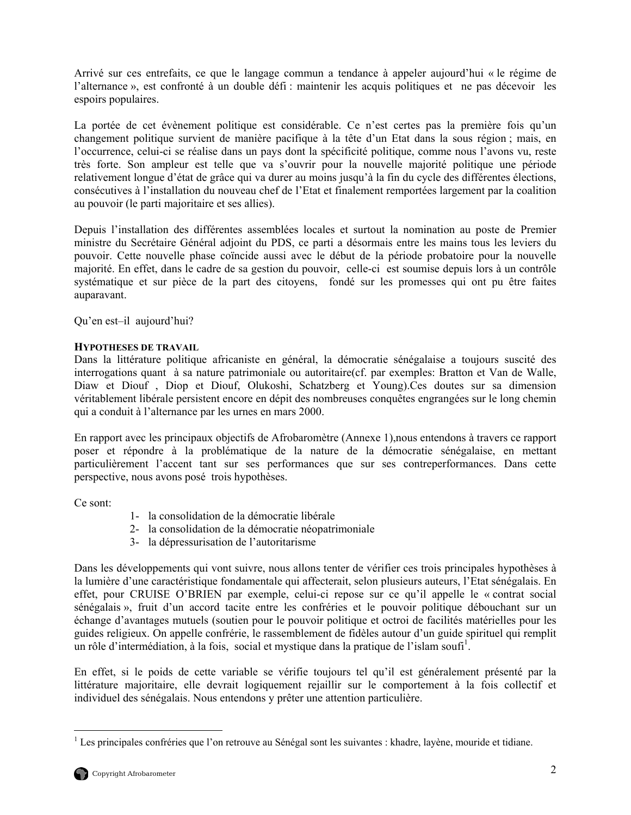<span id="page-15-0"></span>Arrivé sur ces entrefaits, ce que le langage commun a tendance à appeler aujourd'hui « le régime de l'alternance », est confronté à un double défi : maintenir les acquis politiques et ne pas décevoir les espoirs populaires.

La portée de cet évènement politique est considérable. Ce n'est certes pas la première fois qu'un changement politique survient de manière pacifique à la tête d'un Etat dans la sous région ; mais, en l'occurrence, celui-ci se réalise dans un pays dont la spécificité politique, comme nous l'avons vu, reste très forte. Son ampleur est telle que va s'ouvrir pour la nouvelle majorité politique une période relativement longue d'état de grâce qui va durer au moins jusqu'à la fin du cycle des différentes élections, consécutives à l'installation du nouveau chef de l'Etat et finalement remportées largement par la coalition au pouvoir (le parti majoritaire et ses allies).

Depuis l'installation des différentes assemblées locales et surtout la nomination au poste de Premier ministre du Secrétaire Général adjoint du PDS, ce parti a désormais entre les mains tous les leviers du pouvoir. Cette nouvelle phase coïncide aussi avec le début de la période probatoire pour la nouvelle majorité. En effet, dans le cadre de sa gestion du pouvoir, celle-ci est soumise depuis lors à un contrôle systématique et sur pièce de la part des citoyens, fondé sur les promesses qui ont pu être faites auparavant.

Qu'en est–il aujourd'hui?

# **HYPOTHESES DE TRAVAIL**

Dans la littérature politique africaniste en général, la démocratie sénégalaise a toujours suscité des interrogations quant à sa nature patrimoniale ou autoritaire(cf. par exemples: Bratton et Van de Walle, Diaw et Diouf , Diop et Diouf, Olukoshi, Schatzberg et Young).Ces doutes sur sa dimension véritablement libérale persistent encore en dépit des nombreuses conquêtes engrangées sur le long chemin qui a conduit à l'alternance par les urnes en mars 2000.

En rapport avec les principaux objectifs de Afrobaromètre (Annexe 1),nous entendons à travers ce rapport poser et répondre à la problématique de la nature de la démocratie sénégalaise, en mettant particulièrement l'accent tant sur ses performances que sur ses contreperformances. Dans cette perspective, nous avons posé trois hypothèses.

Ce sont:

- 1- la consolidation de la démocratie libérale
- 2- la consolidation de la démocratie néopatrimoniale
- 3- la dépressurisation de l'autoritarisme

Dans les développements qui vont suivre, nous allons tenter de vérifier ces trois principales hypothèses à la lumière d'une caractéristique fondamentale qui affecterait, selon plusieurs auteurs, l'Etat sénégalais. En effet, pour CRUISE O'BRIEN par exemple, celui-ci repose sur ce qu'il appelle le « contrat social sénégalais », fruit d'un accord tacite entre les confréries et le pouvoir politique débouchant sur un échange d'avantages mutuels (soutien pour le pouvoir politique et octroi de facilités matérielles pour les guides religieux. On appelle confrérie, le rassemblement de fidèles autour d'un guide spirituel qui remplit un rôle d'intermédiation, à la fois, social et mystique dans la pratique de l'islam soufi<sup>1</sup>.

En effet, si le poids de cette variable se vérifie toujours tel qu'il est généralement présenté par la littérature majoritaire, elle devrait logiquement rejaillir sur le comportement à la fois collectif et individuel des sénégalais. Nous entendons y prêter une attention particulière.

<span id="page-15-1"></span><sup>&</sup>lt;sup>1</sup> Les principales confréries que l'on retrouve au Sénégal sont les suivantes : khadre, layène, mouride et tidiane.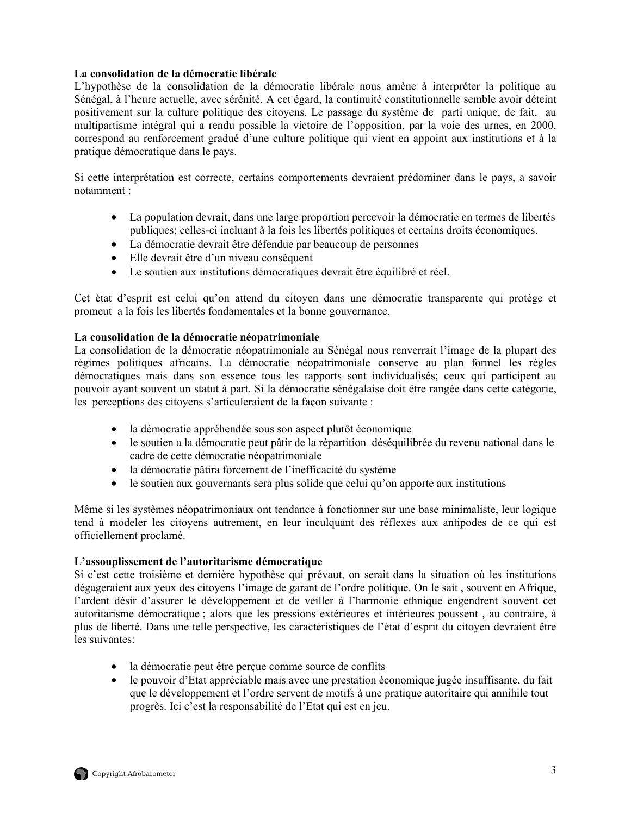# **La consolidation de la démocratie libérale**

L'hypothèse de la consolidation de la démocratie libérale nous amène à interpréter la politique au Sénégal, à l'heure actuelle, avec sérénité. A cet égard, la continuité constitutionnelle semble avoir déteint positivement sur la culture politique des citoyens. Le passage du système de parti unique, de fait, au multipartisme intégral qui a rendu possible la victoire de l'opposition, par la voie des urnes, en 2000, correspond au renforcement gradué d'une culture politique qui vient en appoint aux institutions et à la pratique démocratique dans le pays.

Si cette interprétation est correcte, certains comportements devraient prédominer dans le pays, a savoir notamment :

- La population devrait, dans une large proportion percevoir la démocratie en termes de libertés publiques; celles-ci incluant à la fois les libertés politiques et certains droits économiques.
- La démocratie devrait être défendue par beaucoup de personnes
- Elle devrait être d'un niveau conséquent
- Le soutien aux institutions démocratiques devrait être équilibré et réel.

Cet état d'esprit est celui qu'on attend du citoyen dans une démocratie transparente qui protège et promeut a la fois les libertés fondamentales et la bonne gouvernance.

## **La consolidation de la démocratie néopatrimoniale**

La consolidation de la démocratie néopatrimoniale au Sénégal nous renverrait l'image de la plupart des régimes politiques africains. La démocratie néopatrimoniale conserve au plan formel les règles démocratiques mais dans son essence tous les rapports sont individualisés; ceux qui participent au pouvoir ayant souvent un statut à part. Si la démocratie sénégalaise doit être rangée dans cette catégorie, les perceptions des citoyens s'articuleraient de la façon suivante :

- la démocratie appréhendée sous son aspect plutôt économique
- le soutien a la démocratie peut pâtir de la répartition déséquilibrée du revenu national dans le cadre de cette démocratie néopatrimoniale
- la démocratie pâtira forcement de l'inefficacité du système
- le soutien aux gouvernants sera plus solide que celui qu'on apporte aux institutions

Même si les systèmes néopatrimoniaux ont tendance à fonctionner sur une base minimaliste, leur logique tend à modeler les citoyens autrement, en leur inculquant des réflexes aux antipodes de ce qui est officiellement proclamé.

## **L'assouplissement de l'autoritarisme démocratique**

Si c'est cette troisième et dernière hypothèse qui prévaut, on serait dans la situation où les institutions dégageraient aux yeux des citoyens l'image de garant de l'ordre politique. On le sait , souvent en Afrique, l'ardent désir d'assurer le développement et de veiller à l'harmonie ethnique engendrent souvent cet autoritarisme démocratique ; alors que les pressions extérieures et intérieures poussent , au contraire, à plus de liberté. Dans une telle perspective, les caractéristiques de l'état d'esprit du citoyen devraient être les suivantes:

- la démocratie peut être perçue comme source de conflits
- le pouvoir d'Etat appréciable mais avec une prestation économique jugée insuffisante, du fait que le développement et l'ordre servent de motifs à une pratique autoritaire qui annihile tout progrès. Ici c'est la responsabilité de l'Etat qui est en jeu.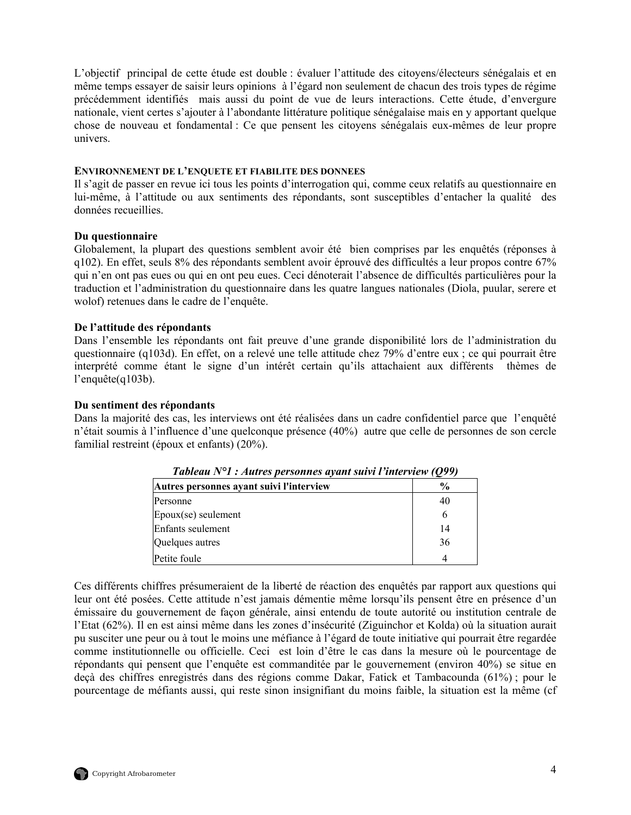<span id="page-17-0"></span>L'objectif principal de cette étude est double : évaluer l'attitude des citoyens/électeurs sénégalais et en même temps essayer de saisir leurs opinions à l'égard non seulement de chacun des trois types de régime précédemment identifiés mais aussi du point de vue de leurs interactions. Cette étude, d'envergure nationale, vient certes s'ajouter à l'abondante littérature politique sénégalaise mais en y apportant quelque chose de nouveau et fondamental : Ce que pensent les citoyens sénégalais eux-mêmes de leur propre univers.

#### **ENVIRONNEMENT DE L'ENQUETE ET FIABILITE DES DONNEES**

Il s'agit de passer en revue ici tous les points d'interrogation qui, comme ceux relatifs au questionnaire en lui-même, à l'attitude ou aux sentiments des répondants, sont susceptibles d'entacher la qualité des données recueillies.

#### **Du questionnaire**

Globalement, la plupart des questions semblent avoir été bien comprises par les enquêtés (réponses à q102). En effet, seuls 8% des répondants semblent avoir éprouvé des difficultés a leur propos contre 67% qui n'en ont pas eues ou qui en ont peu eues. Ceci dénoterait l'absence de difficultés particulières pour la traduction et l'administration du questionnaire dans les quatre langues nationales (Diola, puular, serere et wolof) retenues dans le cadre de l'enquête.

## **De l'attitude des répondants**

Dans l'ensemble les répondants ont fait preuve d'une grande disponibilité lors de l'administration du questionnaire (q103d). En effet, on a relevé une telle attitude chez 79% d'entre eux ; ce qui pourrait être interprété comme étant le signe d'un intérêt certain qu'ils attachaient aux différents thèmes de l'enquête(q103b).

#### **Du sentiment des répondants**

Dans la majorité des cas, les interviews ont été réalisées dans un cadre confidentiel parce que l'enquêté n'était soumis à l'influence d'une quelconque présence (40%) autre que celle de personnes de son cercle familial restreint (époux et enfants) (20%).

| I WORCHING IT IT IT IS THEN CO. PUT SUITLES IN FIGHT SHEET IT THEIR THEIR TO A A |      |
|----------------------------------------------------------------------------------|------|
| Autres personnes avant suivi l'interview                                         | $\%$ |
| Personne                                                                         | 40   |
| $E$ poux(se) seulement                                                           | 6    |
| Enfants seulement                                                                | 14   |
| Quelques autres                                                                  | 36   |
| Petite foule                                                                     |      |

*Tableau N°1 : Autres personnes ayant suivi l'interview (Q99)* 

Ces différents chiffres présumeraient de la liberté de réaction des enquêtés par rapport aux questions qui leur ont été posées. Cette attitude n'est jamais démentie même lorsqu'ils pensent être en présence d'un émissaire du gouvernement de façon générale, ainsi entendu de toute autorité ou institution centrale de l'Etat (62%). Il en est ainsi même dans les zones d'insécurité (Ziguinchor et Kolda) où la situation aurait pu susciter une peur ou à tout le moins une méfiance à l'égard de toute initiative qui pourrait être regardée comme institutionnelle ou officielle. Ceci est loin d'être le cas dans la mesure où le pourcentage de répondants qui pensent que l'enquête est commanditée par le gouvernement (environ 40%) se situe en deçà des chiffres enregistrés dans des régions comme Dakar, Fatick et Tambacounda (61%) ; pour le pourcentage de méfiants aussi, qui reste sinon insignifiant du moins faible, la situation est la même (cf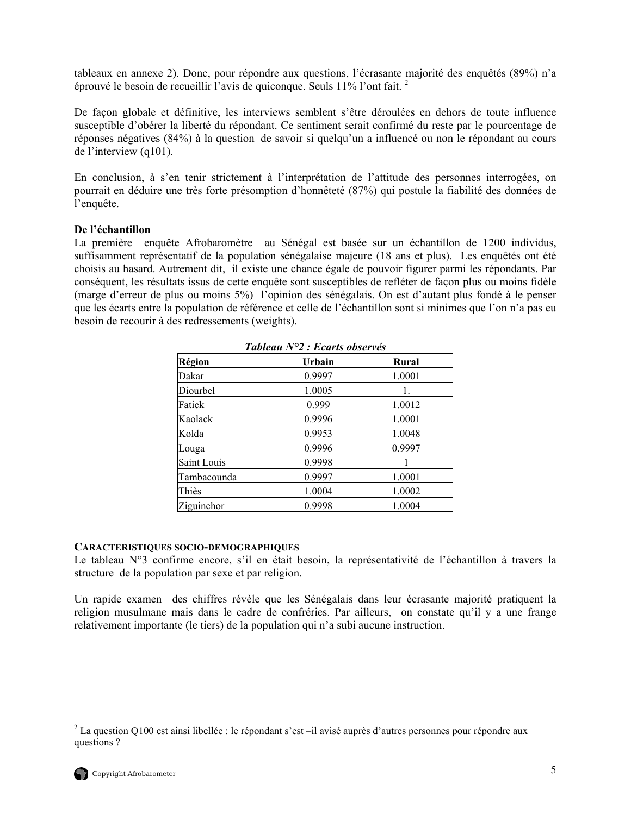<span id="page-18-0"></span>tableaux en annexe 2). Donc, pour répondre aux questions, l'écrasante majorité des enquêtés (89%) n'a éprouvé le besoin de recueillir l'avis de quiconque. Seuls 11% l'ont fait. [2](#page-18-1)

De façon globale et définitive, les interviews semblent s'être déroulées en dehors de toute influence susceptible d'obérer la liberté du répondant. Ce sentiment serait confirmé du reste par le pourcentage de réponses négatives (84%) à la question de savoir si quelqu'un a influencé ou non le répondant au cours de l'interview (q101).

En conclusion, à s'en tenir strictement à l'interprétation de l'attitude des personnes interrogées, on pourrait en déduire une très forte présomption d'honnêteté (87%) qui postule la fiabilité des données de l'enquête.

## **De l'échantillon**

La première enquête Afrobaromètre au Sénégal est basée sur un échantillon de 1200 individus, suffisamment représentatif de la population sénégalaise majeure (18 ans et plus). Les enquêtés ont été choisis au hasard. Autrement dit, il existe une chance égale de pouvoir figurer parmi les répondants. Par conséquent, les résultats issus de cette enquête sont susceptibles de refléter de façon plus ou moins fidèle (marge d'erreur de plus ou moins 5%) l'opinion des sénégalais. On est d'autant plus fondé à le penser que les écarts entre la population de référence et celle de l'échantillon sont si minimes que l'on n'a pas eu besoin de recourir à des redressements (weights).

| Tableau $No2$ : Ecarts observes |        |        |  |  |
|---------------------------------|--------|--------|--|--|
| Région                          | Urbain | Rural  |  |  |
| Dakar                           | 0.9997 | 1.0001 |  |  |
| Diourbel                        | 1.0005 | 1.     |  |  |
| Fatick                          | 0.999  | 1.0012 |  |  |
| Kaolack                         | 0.9996 | 1.0001 |  |  |
| Kolda                           | 0.9953 | 1.0048 |  |  |
| Louga                           | 0.9996 | 0.9997 |  |  |
| Saint Louis                     | 0.9998 |        |  |  |
| Tambacounda                     | 0.9997 | 1.0001 |  |  |
| Thiès                           | 1.0004 | 1.0002 |  |  |
| Ziguinchor                      | 0.9998 | 1.0004 |  |  |

*Tableau N°2 : Ecarts observés* 

#### **CARACTERISTIQUES SOCIO-DEMOGRAPHIQUES**

Le tableau N°3 confirme encore, s'il en était besoin, la représentativité de l'échantillon à travers la structure de la population par sexe et par religion.

Un rapide examen des chiffres révèle que les Sénégalais dans leur écrasante majorité pratiquent la religion musulmane mais dans le cadre de confréries. Par ailleurs, on constate qu'il y a une frange relativement importante (le tiers) de la population qui n'a subi aucune instruction.

 $\overline{a}$ 

<span id="page-18-1"></span><sup>&</sup>lt;sup>2</sup> La question Q100 est ainsi libellée : le répondant s'est –il avisé auprès d'autres personnes pour répondre aux questions ?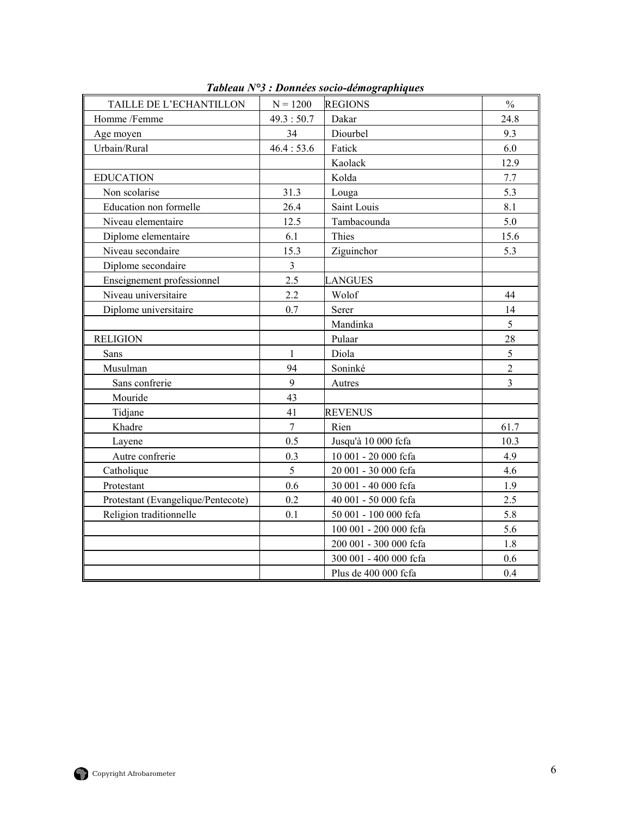<span id="page-19-0"></span>

| TAILLE DE L'ECHANTILLON            | $N = 1200$              | <b>REGIONS</b>         | $\frac{0}{0}$  |
|------------------------------------|-------------------------|------------------------|----------------|
| Homme /Femme                       | 49.3:50.7               | Dakar                  | 24.8           |
| Age moyen                          | 34                      | Diourbel               | 9.3            |
| Urbain/Rural                       | 46.4:53.6               | Fatick                 | 6.0            |
|                                    |                         | Kaolack                | 12.9           |
| <b>EDUCATION</b>                   |                         | Kolda                  | 7.7            |
| Non scolarise                      | 31.3                    | Louga                  | 5.3            |
| Education non formelle             | 26.4                    | Saint Louis            | 8.1            |
| Niveau elementaire                 | 12.5                    | Tambacounda            | 5.0            |
| Diplome elementaire                | 6.1                     | Thies                  | 15.6           |
| Niveau secondaire                  | 15.3                    | Ziguinchor             | 5.3            |
| Diplome secondaire                 | $\overline{\mathbf{3}}$ |                        |                |
| Enseignement professionnel         | 2.5                     | <b>LANGUES</b>         |                |
| Niveau universitaire               | 2.2                     | Wolof                  | 44             |
| Diplome universitaire              | 0.7                     | Serer                  | 14             |
|                                    |                         | Mandinka               | 5              |
| <b>RELIGION</b>                    |                         | Pulaar                 | 28             |
| Sans                               | $\mathbf{1}$            | Diola                  | 5              |
| Musulman                           | 94                      | Soninké                | $\overline{2}$ |
| Sans confrerie                     | 9                       | Autres                 | 3              |
| Mouride                            | 43                      |                        |                |
| Tidjane                            | 41                      | <b>REVENUS</b>         |                |
| Khadre                             | $\overline{7}$          | Rien                   | 61.7           |
| Layene                             | 0.5                     | Jusqu'à 10 000 fcfa    | 10.3           |
| Autre confrerie                    | 0.3                     | 10 001 - 20 000 fcfa   | 4.9            |
| Catholique                         | 5                       | 20 001 - 30 000 fcfa   | 4.6            |
| Protestant                         | 0.6                     | 30 001 - 40 000 fcfa   | 1.9            |
| Protestant (Evangelique/Pentecote) | 0.2                     | 40 001 - 50 000 fcfa   | 2.5            |
| Religion traditionnelle            | 0.1                     | 50 001 - 100 000 fcfa  | 5.8            |
|                                    |                         | 100 001 - 200 000 fcfa | 5.6            |
|                                    |                         | 200 001 - 300 000 fcfa | 1.8            |
|                                    |                         | 300 001 - 400 000 fcfa | 0.6            |
|                                    |                         | Plus de 400 000 fcfa   | 0.4            |

*Tableau N°3 : Données socio-démographiques* 

![](_page_19_Picture_2.jpeg)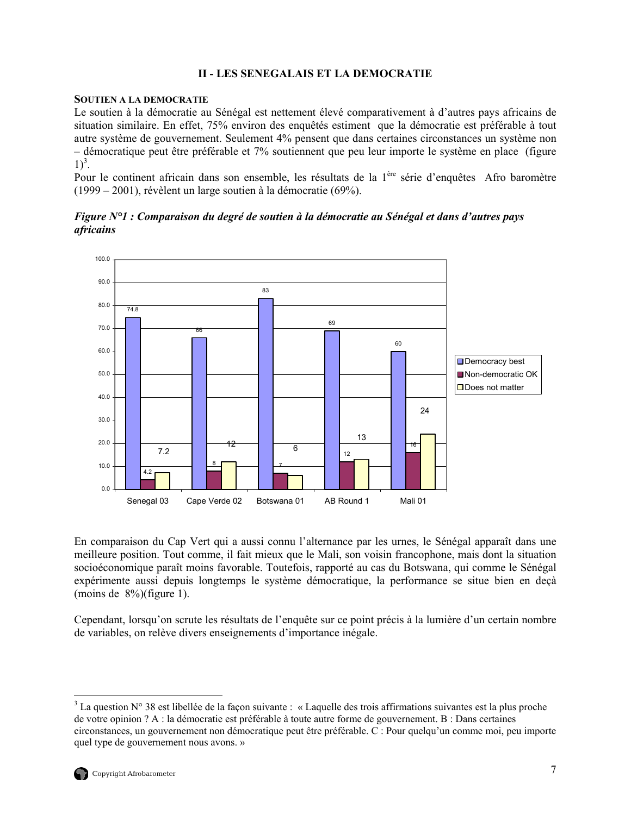# **II - LES SENEGALAIS ET LA DEMOCRATIE**

#### <span id="page-20-0"></span>**SOUTIEN A LA DEMOCRATIE**

Le soutien à la démocratie au Sénégal est nettement élevé comparativement à d'autres pays africains de situation similaire. En effet, 75% environ des enquêtés estiment que la démocratie est préférable à tout autre système de gouvernement. Seulement 4% pensent que dans certaines circonstances un système non – démocratique peut être préférable et 7% soutiennent que peu leur importe le système en place (figure  $1)^3$  $1)^3$ .

Pour le continent africain dans son ensemble, les résultats de la 1<sup>ère</sup> série d'enquêtes Afro baromètre (1999 – 2001), révèlent un large soutien à la démocratie (69%).

*Figure N°1 : Comparaison du degré de soutien à la démocratie au Sénégal et dans d'autres pays africains*

![](_page_20_Figure_5.jpeg)

En comparaison du Cap Vert qui a aussi connu l'alternance par les urnes, le Sénégal apparaît dans une meilleure position. Tout comme, il fait mieux que le Mali, son voisin francophone, mais dont la situation socioéconomique paraît moins favorable. Toutefois, rapporté au cas du Botswana, qui comme le Sénégal expérimente aussi depuis longtemps le système démocratique, la performance se situe bien en deçà (moins de 8%)(figure 1).

Cependant, lorsqu'on scrute les résultats de l'enquête sur ce point précis à la lumière d'un certain nombre de variables, on relève divers enseignements d'importance inégale.

<span id="page-20-1"></span> $\overline{a}$ <sup>3</sup> La question N° 38 est libellée de la façon suivante : « Laquelle des trois affirmations suivantes est la plus proche de votre opinion ? A : la démocratie est préférable à toute autre forme de gouvernement. B : Dans certaines circonstances, un gouvernement non démocratique peut être préférable. C : Pour quelqu'un comme moi, peu importe quel type de gouvernement nous avons. »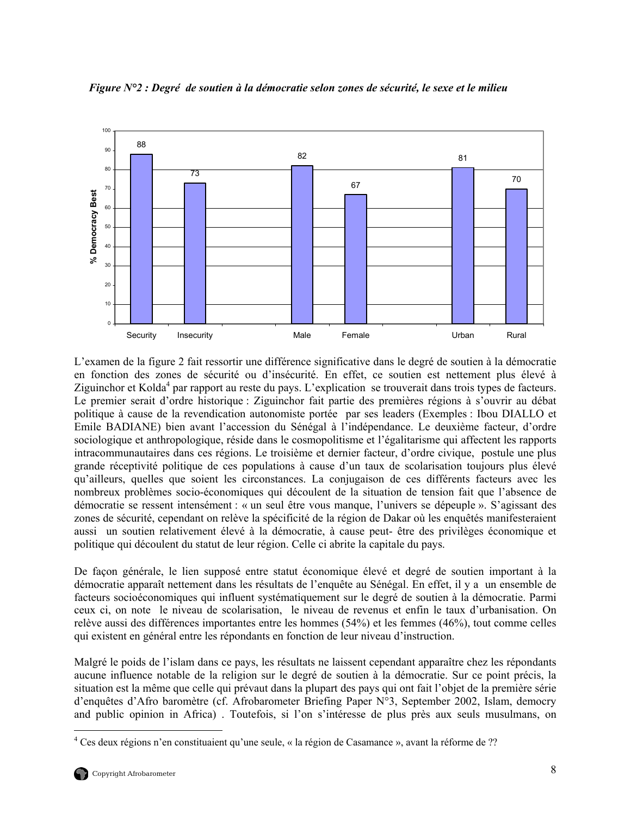![](_page_21_Figure_0.jpeg)

<span id="page-21-0"></span>*Figure N°2 : Degré de soutien à la démocratie selon zones de sécurité, le sexe et le milieu*

L'examen de la figure 2 fait ressortir une différence significative dans le degré de soutien à la démocratie en fonction des zones de sécurité ou d'insécurité. En effet, ce soutien est nettement plus élevé à Ziguinchor et Kolda<sup>4</sup> par rapport au reste du pays. L'explication se trouverait dans trois types de facteurs. Le premier serait d'ordre historique : Ziguinchor fait partie des premières régions à s'ouvrir au débat politique à cause de la revendication autonomiste portée par ses leaders (Exemples : Ibou DIALLO et Emile BADIANE) bien avant l'accession du Sénégal à l'indépendance. Le deuxième facteur, d'ordre sociologique et anthropologique, réside dans le cosmopolitisme et l'égalitarisme qui affectent les rapports intracommunautaires dans ces régions. Le troisième et dernier facteur, d'ordre civique, postule une plus grande réceptivité politique de ces populations à cause d'un taux de scolarisation toujours plus élevé qu'ailleurs, quelles que soient les circonstances. La conjugaison de ces différents facteurs avec les nombreux problèmes socio-économiques qui découlent de la situation de tension fait que l'absence de démocratie se ressent intensément : « un seul être vous manque, l'univers se dépeuple ». S'agissant des zones de sécurité, cependant on relève la spécificité de la région de Dakar où les enquêtés manifesteraient aussi un soutien relativement élevé à la démocratie, à cause peut- être des privilèges économique et politique qui découlent du statut de leur région. Celle ci abrite la capitale du pays.

De façon générale, le lien supposé entre statut économique élevé et degré de soutien important à la démocratie apparaît nettement dans les résultats de l'enquête au Sénégal. En effet, il y a un ensemble de facteurs socioéconomiques qui influent systématiquement sur le degré de soutien à la démocratie. Parmi ceux ci, on note le niveau de scolarisation, le niveau de revenus et enfin le taux d'urbanisation. On relève aussi des différences importantes entre les hommes (54%) et les femmes (46%), tout comme celles qui existent en général entre les répondants en fonction de leur niveau d'instruction.

Malgré le poids de l'islam dans ce pays, les résultats ne laissent cependant apparaître chez les répondants aucune influence notable de la religion sur le degré de soutien à la démocratie. Sur ce point précis, la situation est la même que celle qui prévaut dans la plupart des pays qui ont fait l'objet de la première série d'enquêtes d'Afro baromètre (cf. Afrobarometer Briefing Paper N°3, September 2002, Islam, democry and public opinion in Africa) . Toutefois, si l'on s'intéresse de plus près aux seuls musulmans, on

 $\overline{a}$ 

<span id="page-21-1"></span><sup>&</sup>lt;sup>4</sup> Ces deux régions n'en constituaient qu'une seule, « la région de Casamance », avant la réforme de ??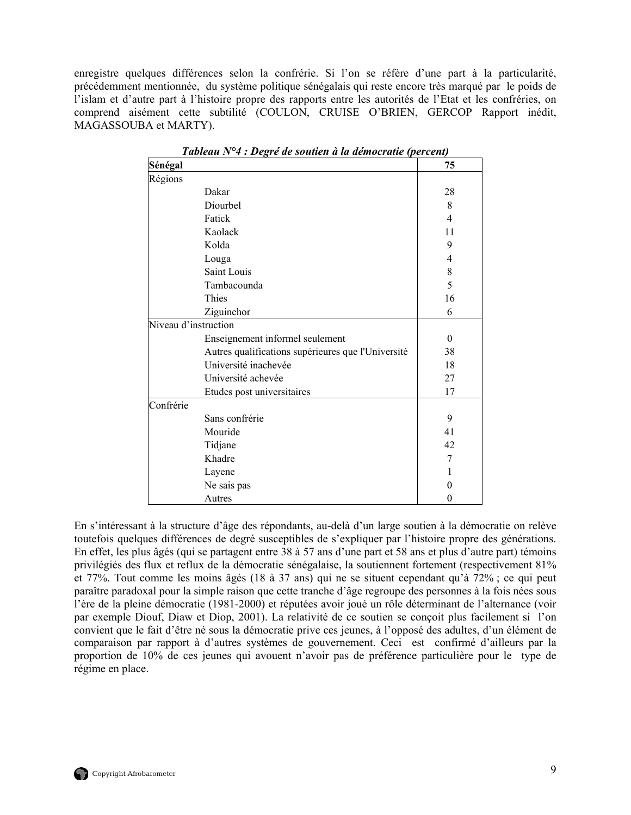<span id="page-22-0"></span>enregistre quelques différences selon la confrérie. Si l'on se réfère d'une part à la particularité, précédemment mentionnée, du système politique sénégalais qui reste encore très marqué par le poids de l'islam et d'autre part à l'histoire propre des rapports entre les autorités de l'Etat et les confréries, on comprend aisément cette subtilité (COULON, CRUISE O'BRIEN, GERCOP Rapport inédit, MAGASSOUBA et MARTY).

| Sénégal              |                                                    | 75                       |
|----------------------|----------------------------------------------------|--------------------------|
| Régions              |                                                    |                          |
|                      | Dakar                                              | 28                       |
|                      | Diourbel                                           | 8                        |
|                      | Fatick                                             | $\overline{\mathcal{A}}$ |
|                      | Kaolack                                            | 11                       |
|                      | Kolda                                              | 9                        |
|                      | Louga                                              | 4                        |
|                      | Saint Louis                                        | 8                        |
|                      | Tambacounda                                        | 5                        |
|                      | Thies                                              | 16                       |
|                      | Ziguinchor                                         | 6                        |
| Niveau d'instruction |                                                    |                          |
|                      | Enseignement informel seulement                    | $\Omega$                 |
|                      | Autres qualifications supérieures que l'Université | 38                       |
|                      | Université inachevée                               | 18                       |
|                      | Université achevée                                 | 27                       |
|                      | Etudes post universitaires                         | 17                       |
| Confrérie            |                                                    |                          |
|                      | Sans confrérie                                     | 9                        |
|                      | Mouride                                            | 41                       |
|                      | Tidjane                                            | 42                       |
|                      | Khadre                                             | 7                        |
|                      | Layene                                             | 1                        |
|                      | Ne sais pas                                        | 0                        |
|                      | Autres                                             | $\theta$                 |

*Tableau N°4 : Degré de soutien à la démocratie (percent)* 

En s'intéressant à la structure d'âge des répondants, au-delà d'un large soutien à la démocratie on relève toutefois quelques différences de degré susceptibles de s'expliquer par l'histoire propre des générations. En effet, les plus âgés (qui se partagent entre 38 à 57 ans d'une part et 58 ans et plus d'autre part) témoins privilégiés des flux et reflux de la démocratie sénégalaise, la soutiennent fortement (respectivement 81% et 77%. Tout comme les moins âgés (18 à 37 ans) qui ne se situent cependant qu'à 72% ; ce qui peut paraître paradoxal pour la simple raison que cette tranche d'âge regroupe des personnes à la fois nées sous l'ère de la pleine démocratie (1981-2000) et réputées avoir joué un rôle déterminant de l'alternance (voir par exemple Diouf, Diaw et Diop, 2001). La relativité de ce soutien se conçoit plus facilement si l'on convient que le fait d'être né sous la démocratie prive ces jeunes, à l'opposé des adultes, d'un élément de comparaison par rapport à d'autres systèmes de gouvernement. Ceci est confirmé d'ailleurs par la proportion de 10% de ces jeunes qui avouent n'avoir pas de préférence particulière pour le type de régime en place.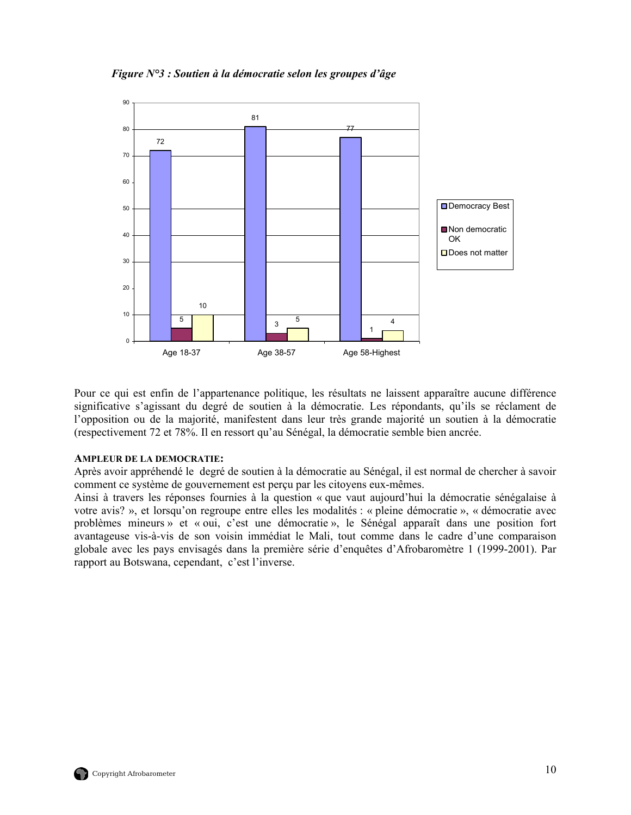<span id="page-23-0"></span>*Figure N°3 : Soutien à la démocratie selon les groupes d'âge* 

![](_page_23_Figure_1.jpeg)

Pour ce qui est enfin de l'appartenance politique, les résultats ne laissent apparaître aucune différence significative s'agissant du degré de soutien à la démocratie. Les répondants, qu'ils se réclament de l'opposition ou de la majorité, manifestent dans leur très grande majorité un soutien à la démocratie (respectivement 72 et 78%. Il en ressort qu'au Sénégal, la démocratie semble bien ancrée.

#### **AMPLEUR DE LA DEMOCRATIE:**

Après avoir appréhendé le degré de soutien à la démocratie au Sénégal, il est normal de chercher à savoir comment ce système de gouvernement est perçu par les citoyens eux-mêmes.

Ainsi à travers les réponses fournies à la question « que vaut aujourd'hui la démocratie sénégalaise à votre avis? », et lorsqu'on regroupe entre elles les modalités : « pleine démocratie », « démocratie avec problèmes mineurs » et « oui, c'est une démocratie », le Sénégal apparaît dans une position fort avantageuse vis-à-vis de son voisin immédiat le Mali, tout comme dans le cadre d'une comparaison globale avec les pays envisagés dans la première série d'enquêtes d'Afrobaromètre 1 (1999-2001). Par rapport au Botswana, cependant, c'est l'inverse.

![](_page_23_Picture_6.jpeg)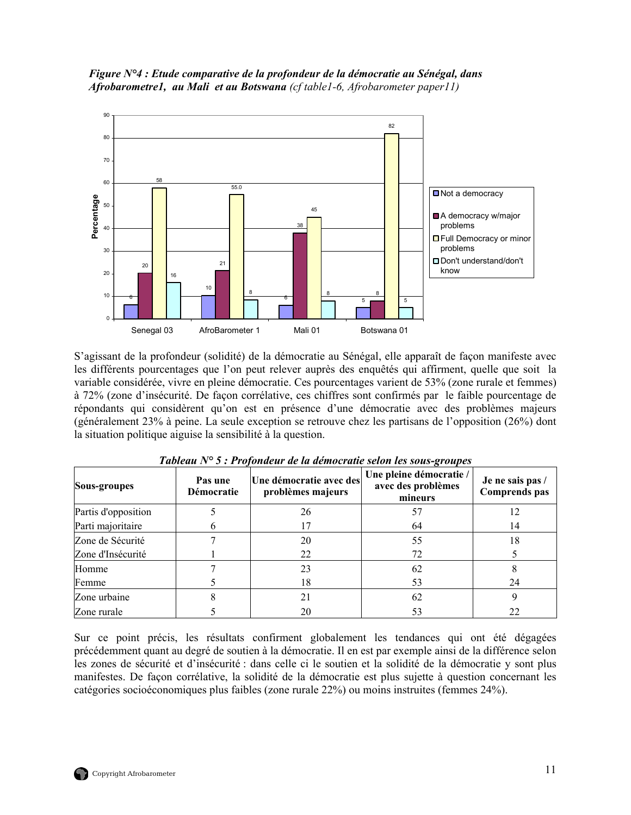<span id="page-24-0"></span>![](_page_24_Figure_0.jpeg)

![](_page_24_Figure_1.jpeg)

S'agissant de la profondeur (solidité) de la démocratie au Sénégal, elle apparaît de façon manifeste avec les différents pourcentages que l'on peut relever auprès des enquêtés qui affirment, quelle que soit la variable considérée, vivre en pleine démocratie. Ces pourcentages varient de 53% (zone rurale et femmes) à 72% (zone d'insécurité. De façon corrélative, ces chiffres sont confirmés par le faible pourcentage de répondants qui considèrent qu'on est en présence d'une démocratie avec des problèmes majeurs (généralement 23% à peine. La seule exception se retrouve chez les partisans de l'opposition (26%) dont la situation politique aiguise la sensibilité à la question.

| Sous-groupes        | Pas une<br>Démocratie | Une démocratie avec des<br>problèmes majeurs | Une pleine démocratie /<br>avec des problèmes<br>mineurs | Je ne sais pas /<br><b>Comprends</b> pas |
|---------------------|-----------------------|----------------------------------------------|----------------------------------------------------------|------------------------------------------|
| Partis d'opposition |                       | 26                                           | 57                                                       | 12                                       |
| Parti majoritaire   |                       |                                              | 64                                                       | 14                                       |
| Zone de Sécurité    |                       | 20                                           | 55                                                       | 18                                       |
| Zone d'Insécurité   |                       | 22                                           | 72                                                       |                                          |
| Homme               |                       | 23                                           | 62                                                       | δ                                        |
| Femme               |                       | 18                                           | 53                                                       | 24                                       |
| Zone urbaine        |                       | 21                                           | 62                                                       |                                          |
| Zone rurale         |                       | 20                                           | 53                                                       | 22                                       |

|  |  |  | Tableau N° 5 : Profondeur de la démocratie selon les sous-groupes |
|--|--|--|-------------------------------------------------------------------|
|--|--|--|-------------------------------------------------------------------|

Sur ce point précis, les résultats confirment globalement les tendances qui ont été dégagées précédemment quant au degré de soutien à la démocratie. Il en est par exemple ainsi de la différence selon les zones de sécurité et d'insécurité : dans celle ci le soutien et la solidité de la démocratie y sont plus manifestes. De façon corrélative, la solidité de la démocratie est plus sujette à question concernant les catégories socioéconomiques plus faibles (zone rurale 22%) ou moins instruites (femmes 24%).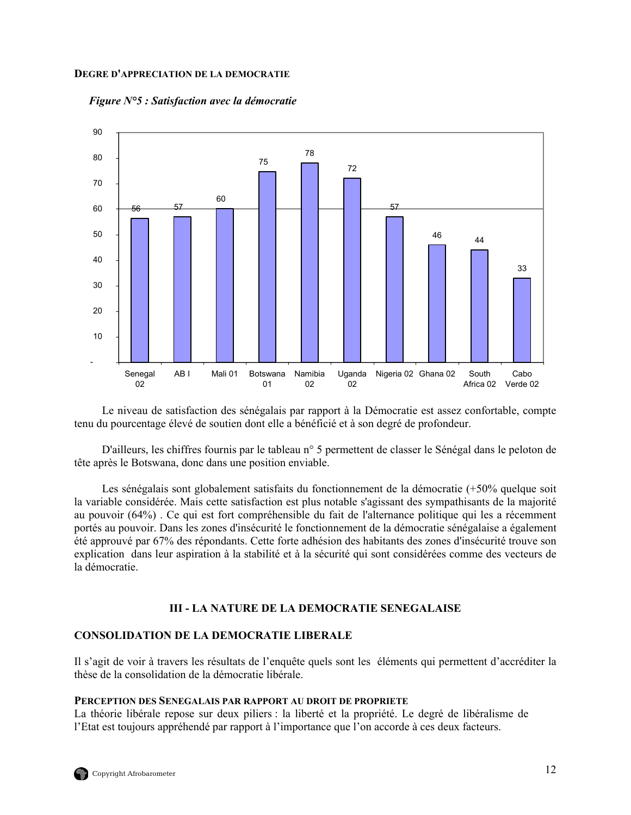#### <span id="page-25-0"></span>**DEGRE D'APPRECIATION DE LA DEMOCRATIE**

*Figure N°5 : Satisfaction avec la démocratie* 

![](_page_25_Figure_2.jpeg)

Le niveau de satisfaction des sénégalais par rapport à la Démocratie est assez confortable, compte tenu du pourcentage élevé de soutien dont elle a bénéficié et à son degré de profondeur.

D'ailleurs, les chiffres fournis par le tableau n° 5 permettent de classer le Sénégal dans le peloton de tête après le Botswana, donc dans une position enviable.

Les sénégalais sont globalement satisfaits du fonctionnement de la démocratie (+50% quelque soit la variable considérée. Mais cette satisfaction est plus notable s'agissant des sympathisants de la majorité au pouvoir (64%) . Ce qui est fort compréhensible du fait de l'alternance politique qui les a récemment portés au pouvoir. Dans les zones d'insécurité le fonctionnement de la démocratie sénégalaise a également été approuvé par 67% des répondants. Cette forte adhésion des habitants des zones d'insécurité trouve son explication dans leur aspiration à la stabilité et à la sécurité qui sont considérées comme des vecteurs de la démocratie.

## **III - LA NATURE DE LA DEMOCRATIE SENEGALAISE**

## **CONSOLIDATION DE LA DEMOCRATIE LIBERALE**

Il s'agit de voir à travers les résultats de l'enquête quels sont les éléments qui permettent d'accréditer la thèse de la consolidation de la démocratie libérale.

#### **PERCEPTION DES SENEGALAIS PAR RAPPORT AU DROIT DE PROPRIETE**

La théorie libérale repose sur deux piliers : la liberté et la propriété. Le degré de libéralisme de l'Etat est toujours appréhendé par rapport à l'importance que l'on accorde à ces deux facteurs.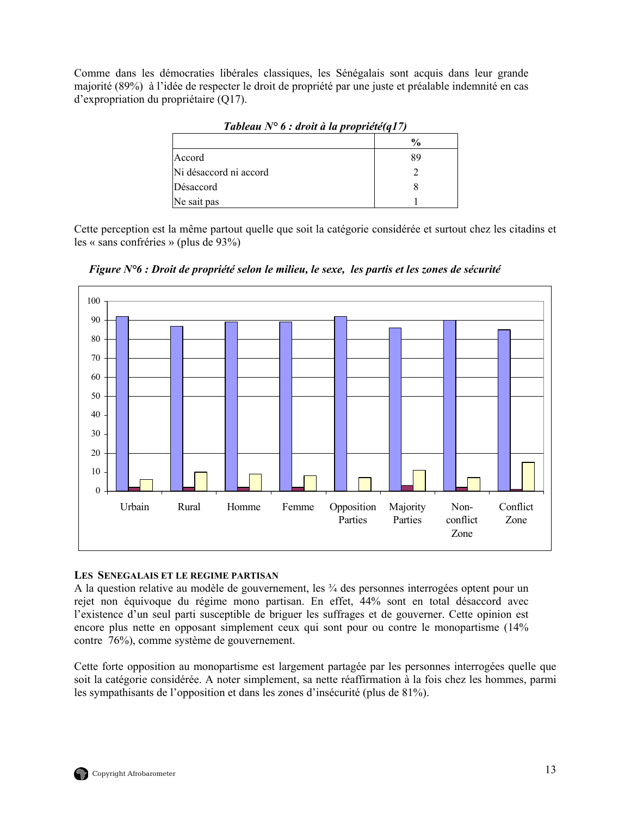<span id="page-26-0"></span>Comme dans les démocraties libérales classiques, les Sénégalais sont acquis dans leur grande majorité (89%) à l'idée de respecter le droit de propriété par une juste et préalable indemnité en cas d'expropriation du propriétaire (Q17).

| $I$ ableau $N=0$ . aron a la proprietem $I$ |               |
|---------------------------------------------|---------------|
|                                             | $\frac{6}{9}$ |
| Accord                                      | 89            |
| Ni désaccord ni accord                      |               |
| Désaccord                                   |               |
| Ne sait pas                                 |               |

*Tableau N° 6 : droit à la propriété(q17)* 

Cette perception est la même partout quelle que soit la catégorie considérée et surtout chez les citadins et les « sans confréries » (plus de 93%)

![](_page_26_Figure_4.jpeg)

*Figure N°6 : Droit de propriété selon le milieu, le sexe, les partis et les zones de sécurité* 

# **LES SENEGALAIS ET LE REGIME PARTISAN**

A la question relative au modèle de gouvernement, les ¾ des personnes interrogées optent pour un rejet non équivoque du régime mono partisan. En effet, 44% sont en total désaccord avec l'existence d'un seul parti susceptible de briguer les suffrages et de gouverner. Cette opinion est encore plus nette en opposant simplement ceux qui sont pour ou contre le monopartisme (14% contre 76%), comme système de gouvernement.

Cette forte opposition au monopartisme est largement partagée par les personnes interrogées quelle que soit la catégorie considérée. A noter simplement, sa nette réaffirmation à la fois chez les hommes, parmi les sympathisants de l'opposition et dans les zones d'insécurité (plus de 81%).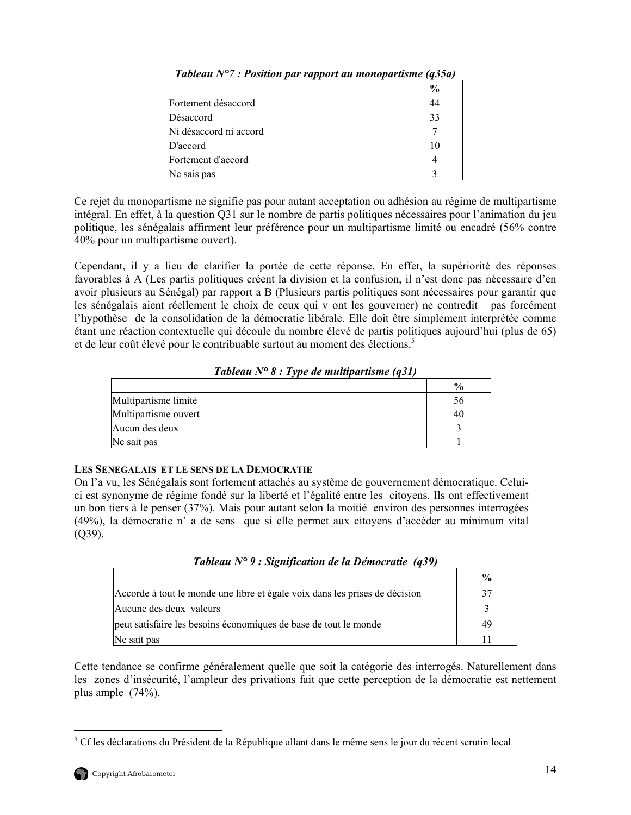|                        | $\frac{6}{6}$ |
|------------------------|---------------|
| Fortement désaccord    | 44            |
| Désaccord              | 33            |
| Ni désaccord ni accord |               |
| D'accord               | 10            |
| Fortement d'accord     |               |
| Ne sais pas            |               |

<span id="page-27-0"></span>*Tableau N°7 : Position par rapport au monopartisme (q35a)* 

Ce rejet du monopartisme ne signifie pas pour autant acceptation ou adhésion au régime de multipartisme intégral. En effet, à la question Q31 sur le nombre de partis politiques nécessaires pour l'animation du jeu politique, les sénégalais affirment leur préférence pour un multipartisme limité ou encadré (56% contre 40% pour un multipartisme ouvert).

Cependant, il y a lieu de clarifier la portée de cette réponse. En effet, la supériorité des réponses favorables à A (Les partis politiques créent la division et la confusion, il n'est donc pas nécessaire d'en avoir plusieurs au Sénégal) par rapport a B (Plusieurs partis politiques sont nécessaires pour garantir que les sénégalais aient réellement le choix de ceux qui v ont les gouverner) ne contredit pas forcément l'hypothèse de la consolidation de la démocratie libérale. Elle doit être simplement interprétée comme étant une réaction contextuelle qui découle du nombre élevé de partis politiques aujourd'hui (plus de 65) et de leur coût élevé pour le contribuable surtout au moment des élections.<sup>5</sup>

|  |  |  | Tableau $N^{\circ}$ 8 : Type de multipartisme (q31) |  |  |
|--|--|--|-----------------------------------------------------|--|--|
|--|--|--|-----------------------------------------------------|--|--|

|                      | $\frac{6}{9}$ |
|----------------------|---------------|
| Multipartisme limité | 56            |
| Multipartisme ouvert | 40            |
| Aucun des deux       |               |
| Ne sait pas          |               |

# **LES SENEGALAIS ET LE SENS DE LA DEMOCRATIE**

On l'a vu, les Sénégalais sont fortement attachés au système de gouvernement démocratique. Celuici est synonyme de régime fondé sur la liberté et l'égalité entre les citoyens. Ils ont effectivement un bon tiers à le penser (37%). Mais pour autant selon la moitié environ des personnes interrogées (49%), la démocratie n' a de sens que si elle permet aux citoyens d'accéder au minimum vital (Q39).

*Tableau N° 9 : Signification de la Démocratie (q39)*

|                                                                             | $\frac{0}{0}$ |
|-----------------------------------------------------------------------------|---------------|
| Accorde à tout le monde une libre et égale voix dans les prises de décision | 37            |
| Aucune des deux valeurs                                                     |               |
| peut satisfaire les besoins économiques de base de tout le monde            | 49            |
| Ne sait pas                                                                 |               |

Cette tendance se confirme généralement quelle que soit la catégorie des interrogés. Naturellement dans les zones d'insécurité, l'ampleur des privations fait que cette perception de la démocratie est nettement plus ample (74%).

<span id="page-27-1"></span><sup>&</sup>lt;sup>5</sup> Cf les déclarations du Président de la République allant dans le même sens le jour du récent scrutin local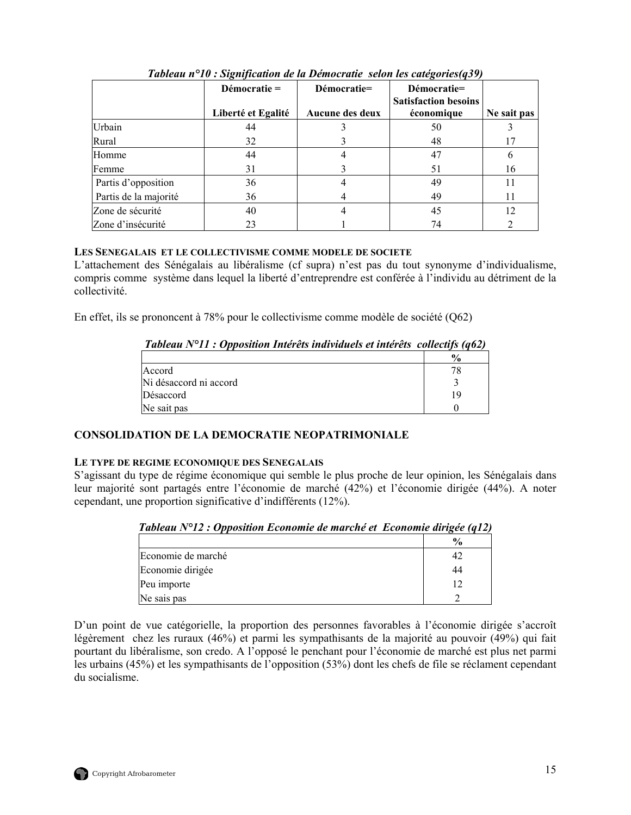<span id="page-28-0"></span>

|                       | Démocratie $=$     | Démocratie=     | Démocratie=                 |             |
|-----------------------|--------------------|-----------------|-----------------------------|-------------|
|                       |                    |                 | <b>Satisfaction besoins</b> |             |
|                       | Liberté et Egalité | Aucune des deux | économique                  | Ne sait pas |
| Urbain                | 44                 |                 | 50                          |             |
| Rural                 | 32                 |                 | 48                          | 17          |
| Homme                 | 44                 |                 | 47                          | 6           |
| Femme                 | 31                 |                 | 51                          | 16          |
| Partis d'opposition   | 36                 |                 | 49                          | 11          |
| Partis de la majorité | 36                 |                 | 49                          | 11          |
| Zone de sécurité      | 40                 |                 | 45                          | 12          |
| Zone d'insécurité     | 23                 |                 | 74                          |             |

*Tableau n°10 : Signification de la Démocratie selon les catégories(q39)* 

# **LES SENEGALAIS ET LE COLLECTIVISME COMME MODELE DE SOCIETE**

L'attachement des Sénégalais au libéralisme (cf supra) n'est pas du tout synonyme d'individualisme, compris comme système dans lequel la liberté d'entreprendre est conférée à l'individu au détriment de la collectivité.

En effet, ils se prononcent à 78% pour le collectivisme comme modèle de société (Q62)

| Tableau $N^{\circ}11$ : Opposition Intérêts individuels et intérêts collectifs (q62) |  |  |  |  |
|--------------------------------------------------------------------------------------|--|--|--|--|
|                                                                                      |  |  |  |  |

|                        | $\frac{6}{9}$ |
|------------------------|---------------|
| Accord                 |               |
| Ni désaccord ni accord |               |
| Désaccord              | 1 G           |
| Ne sait pas            |               |

# **CONSOLIDATION DE LA DEMOCRATIE NEOPATRIMONIALE**

# **LE TYPE DE REGIME ECONOMIQUE DES SENEGALAIS**

S'agissant du type de régime économique qui semble le plus proche de leur opinion, les Sénégalais dans leur majorité sont partagés entre l'économie de marché (42%) et l'économie dirigée (44%). A noter cependant, une proportion significative d'indifférents (12%).

| Tubleau IV 12, Opposition Economic de marché et Economic atrigée (q12) |               |
|------------------------------------------------------------------------|---------------|
|                                                                        | $\frac{6}{9}$ |
| Economie de marché                                                     | 42            |
| Economie dirigée                                                       | 44            |
| Peu importe                                                            |               |
| Ne sais pas                                                            |               |

| Tableau N°12 : Opposition Economie de marché et Economie dirigée (q12) |  |
|------------------------------------------------------------------------|--|
|                                                                        |  |

D'un point de vue catégorielle, la proportion des personnes favorables à l'économie dirigée s'accroît légèrement chez les ruraux (46%) et parmi les sympathisants de la majorité au pouvoir (49%) qui fait pourtant du libéralisme, son credo. A l'opposé le penchant pour l'économie de marché est plus net parmi les urbains (45%) et les sympathisants de l'opposition (53%) dont les chefs de file se réclament cependant du socialisme.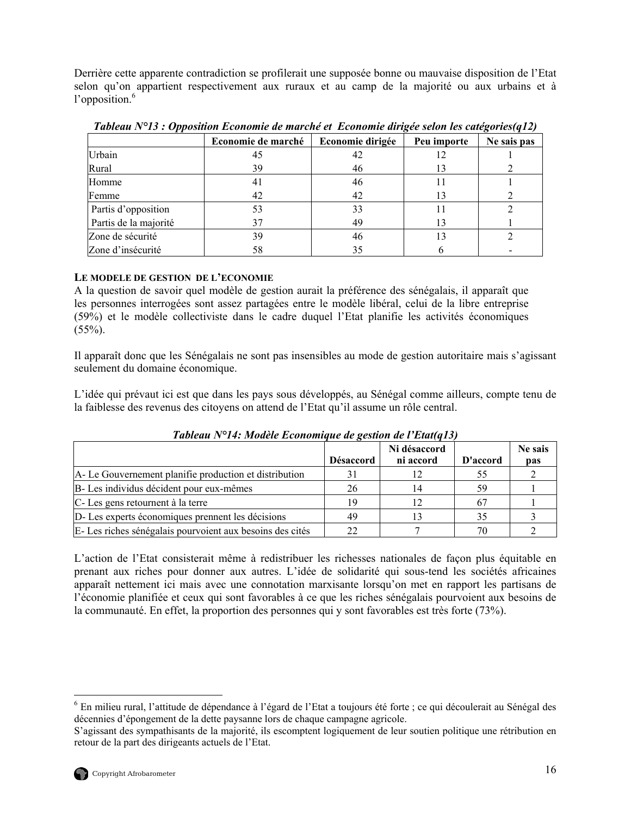<span id="page-29-0"></span>Derrière cette apparente contradiction se profilerait une supposée bonne ou mauvaise disposition de l'Etat selon qu'on appartient respectivement aux ruraux et au camp de la majorité ou aux urbains et à l'opposition.<sup>[6](#page-29-1)</sup>

|                       | Economie de marché | Economie dirigée | Peu importe | Ne sais pas |
|-----------------------|--------------------|------------------|-------------|-------------|
| Urbain                | 45                 | 42               | 12          |             |
| Rural                 | 39                 | 46               | 13          |             |
| Homme                 | 41                 | 46               |             |             |
| Femme                 | 42                 | 42               | 13          |             |
| Partis d'opposition   | 53                 | 33               |             |             |
| Partis de la majorité | 37                 | 49               | 13          |             |
| Zone de sécurité      | 39                 | 46               | 13          |             |
| Zone d'insécurité     | 58                 | 35               |             |             |

*Tableau N°13 : Opposition Economie de marché et Economie dirigée selon les catégories(q12)* 

# **LE MODELE DE GESTION DE L'ECONOMIE**

A la question de savoir quel modèle de gestion aurait la préférence des sénégalais, il apparaît que les personnes interrogées sont assez partagées entre le modèle libéral, celui de la libre entreprise (59%) et le modèle collectiviste dans le cadre duquel l'Etat planifie les activités économiques  $(55\%)$ .

Il apparaît donc que les Sénégalais ne sont pas insensibles au mode de gestion autoritaire mais s'agissant seulement du domaine économique.

L'idée qui prévaut ici est que dans les pays sous développés, au Sénégal comme ailleurs, compte tenu de la faiblesse des revenus des citoyens on attend de l'Etat qu'il assume un rôle central.

| Tableau IV 14. Modele Economique de gestion de l'Etat(q15) |                  |                           |          |                |  |  |
|------------------------------------------------------------|------------------|---------------------------|----------|----------------|--|--|
|                                                            | <b>Désaccord</b> | Ni désaccord<br>ni accord | D'accord | Ne sais<br>pas |  |  |
| A-Le Gouvernement planifie production et distribution      | 31               |                           | 55       |                |  |  |
| B- Les individus décident pour eux-mêmes                   | 26               |                           | 59       |                |  |  |
| C-Les gens retournent à la terre                           | 1 Q              |                           |          |                |  |  |
| D-Les experts économiques prennent les décisions           | 49               |                           | 35       |                |  |  |
| E-Les riches sénégalais pourvoient aux besoins des cités   | 22.              |                           | 70       |                |  |  |

*Tableau N°14: Modèle Economique de gestion de l'Etat(q13)* 

L'action de l'Etat consisterait même à redistribuer les richesses nationales de façon plus équitable en prenant aux riches pour donner aux autres. L'idée de solidarité qui sous-tend les sociétés africaines apparaît nettement ici mais avec une connotation marxisante lorsqu'on met en rapport les partisans de l'économie planifiée et ceux qui sont favorables à ce que les riches sénégalais pourvoient aux besoins de la communauté. En effet, la proportion des personnes qui y sont favorables est très forte (73%).

<span id="page-29-1"></span> $\overline{a}$ <sup>6</sup> En milieu rural, l'attitude de dépendance à l'égard de l'Etat a toujours été forte ; ce qui découlerait au Sénégal des décennies d'épongement de la dette paysanne lors de chaque campagne agricole.

S'agissant des sympathisants de la majorité, ils escomptent logiquement de leur soutien politique une rétribution en retour de la part des dirigeants actuels de l'Etat.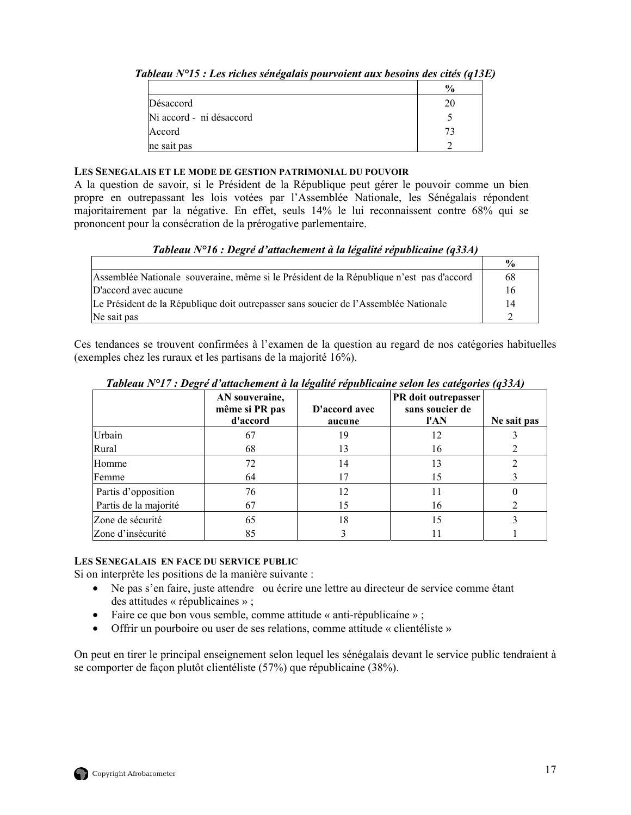|                          | $\frac{1}{2}$ |
|--------------------------|---------------|
| Désaccord                |               |
| Ni accord - ni désaccord |               |
| Accord                   |               |
| ne sait pas              |               |

<span id="page-30-0"></span>*Tableau N°15 : Les riches sénégalais pourvoient aux besoins des cités (q13E)* 

## **LES SENEGALAIS ET LE MODE DE GESTION PATRIMONIAL DU POUVOIR**

A la question de savoir, si le Président de la République peut gérer le pouvoir comme un bien propre en outrepassant les lois votées par l'Assemblée Nationale, les Sénégalais répondent majoritairement par la négative. En effet, seuls 14% le lui reconnaissent contre 68% qui se prononcent pour la consécration de la prérogative parlementaire.

| Tableau $N^{\circ}16$ : Degré d'attachement à la légalité républicaine (q33A) |  |  |
|-------------------------------------------------------------------------------|--|--|
|-------------------------------------------------------------------------------|--|--|

|                                                                                          | $\frac{0}{0}$ |
|------------------------------------------------------------------------------------------|---------------|
| Assemblée Nationale souveraine, même si le Président de la République n'est pas d'accord | 68            |
| D'accord avec aucune                                                                     | 16            |
| Le Président de la République doit outrepasser sans soucier de l'Assemblée Nationale     | 14            |
| Ne sait pas                                                                              |               |

Ces tendances se trouvent confirmées à l'examen de la question au regard de nos catégories habituelles (exemples chez les ruraux et les partisans de la majorité 16%).

|                       | AN souveraine,<br>même si PR pas<br>d'accord | D'accord avec<br>aucune | PR doit outrepasser<br>sans soucier de<br>l'AN | Ne sait pas |
|-----------------------|----------------------------------------------|-------------------------|------------------------------------------------|-------------|
| Urbain                | 67                                           | 19                      | 12                                             |             |
| Rural                 | 68                                           | 13                      | 16                                             |             |
| Homme                 | 72                                           | 14                      | 13                                             |             |
| Femme                 | 64                                           | 17                      | 15                                             |             |
| Partis d'opposition   | 76                                           | 12                      | 11                                             |             |
| Partis de la majorité | 67                                           | 15                      | 16                                             |             |
| Zone de sécurité      | 65                                           | 18                      | 15                                             |             |
| Zone d'insécurité     | 85                                           |                         |                                                |             |

*Tableau N°17 : Degré d'attachement à la légalité républicaine selon les catégories (q33A)* 

# **LES SENEGALAIS EN FACE DU SERVICE PUBLIC**

Si on interprète les positions de la manière suivante :

- Ne pas s'en faire, juste attendre ou écrire une lettre au directeur de service comme étant des attitudes « républicaines » ;
- Faire ce que bon vous semble, comme attitude « anti-républicaine » ;
- Offrir un pourboire ou user de ses relations, comme attitude « clientéliste »

On peut en tirer le principal enseignement selon lequel les sénégalais devant le service public tendraient à se comporter de façon plutôt clientéliste (57%) que républicaine (38%).

![](_page_30_Picture_15.jpeg)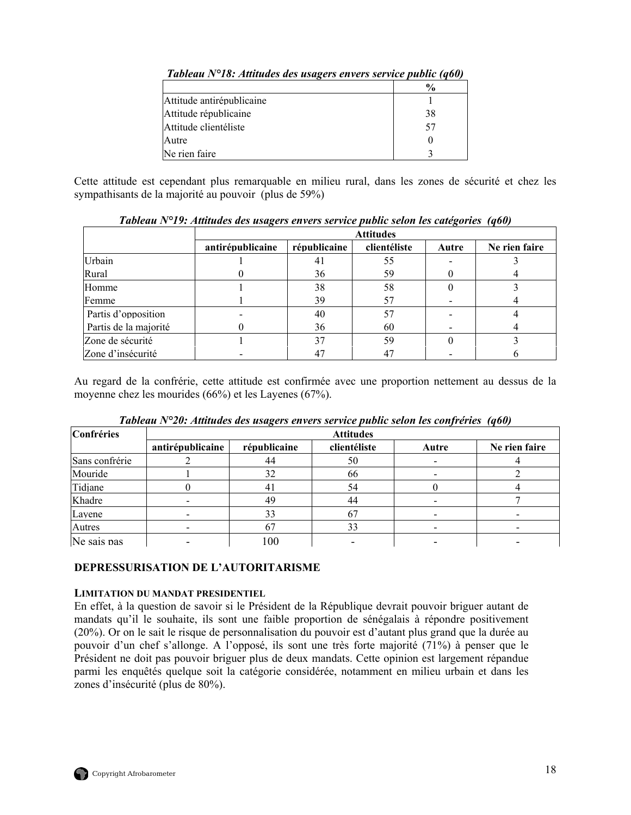|                           | $\frac{6}{6}$ |
|---------------------------|---------------|
| Attitude antirépublicaine |               |
| Attitude républicaine     | 38            |
| Attitude clientéliste     | 57            |
| Autre                     |               |
| Ne rien faire             |               |

<span id="page-31-0"></span>*Tableau N°18: Attitudes des usagers envers service public (q60)* 

Cette attitude est cependant plus remarquable en milieu rural, dans les zones de sécurité et chez les sympathisants de la majorité au pouvoir (plus de 59%)

|                       |                  | <b>Attitudes</b> |              |       |               |
|-----------------------|------------------|------------------|--------------|-------|---------------|
|                       | antirépublicaine | républicaine     | clientéliste | Autre | Ne rien faire |
| Urbain                |                  | 41               | 55           |       |               |
| Rural                 |                  | 36               | 59           |       |               |
| Homme                 |                  | 38               | 58           |       |               |
| Femme                 |                  | 39               | 57           |       |               |
| Partis d'opposition   |                  | 40               | 57           |       |               |
| Partis de la majorité |                  | 36               | 60           |       |               |
| Zone de sécurité      |                  | 37               | 59           |       |               |
| Zone d'insécurité     |                  |                  | 47           |       |               |

*Tableau N°19: Attitudes des usagers envers service public selon les catégories (q60)* 

Au regard de la confrérie, cette attitude est confirmée avec une proportion nettement au dessus de la moyenne chez les mourides (66%) et les Layenes (67%).

| Confréries     |                  | . .          | <b>Attitudes</b> |       |               |
|----------------|------------------|--------------|------------------|-------|---------------|
|                | antirépublicaine | républicaine | clientéliste     | Autre | Ne rien faire |
| Sans confrérie |                  | 44           | 50               |       |               |
| Mouride        |                  | 32           | 66               |       |               |
| Tidjane        |                  | 41           | 54               |       |               |
| Khadre         |                  | 49           | 44               |       |               |
| Layene         |                  | 33           |                  |       |               |
| Autres         |                  |              |                  |       |               |
| Ne sais pas    |                  | 100          |                  |       |               |

*Tableau N°20: Attitudes des usagers envers service public selon les confréries (q60)* 

## **DEPRESSURISATION DE L'AUTORITARISME**

## **LIMITATION DU MANDAT PRESIDENTIEL**

En effet, à la question de savoir si le Président de la République devrait pouvoir briguer autant de mandats qu'il le souhaite, ils sont une faible proportion de sénégalais à répondre positivement (20%). Or on le sait le risque de personnalisation du pouvoir est d'autant plus grand que la durée au pouvoir d'un chef s'allonge. A l'opposé, ils sont une très forte majorité (71%) à penser que le Président ne doit pas pouvoir briguer plus de deux mandats. Cette opinion est largement répandue parmi les enquêtés quelque soit la catégorie considérée, notamment en milieu urbain et dans les zones d'insécurité (plus de 80%).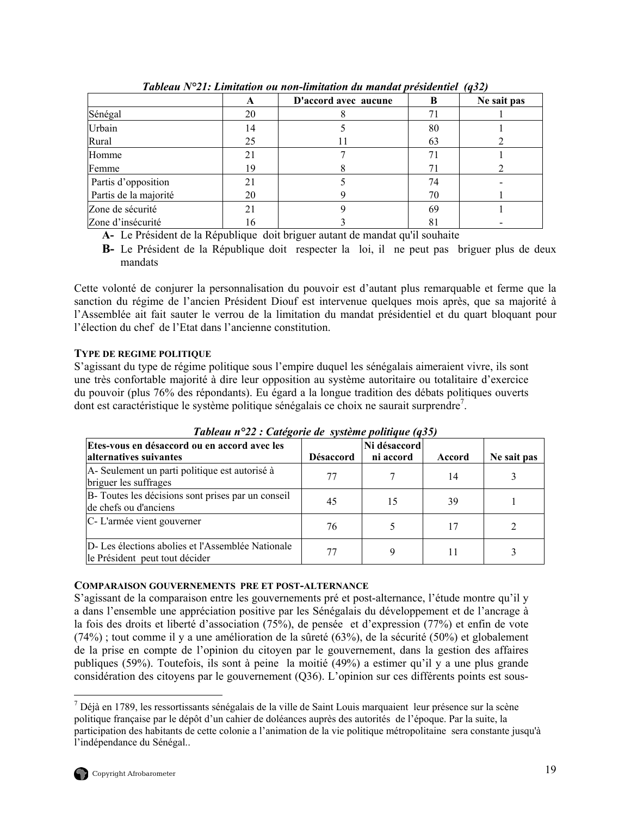<span id="page-32-0"></span>

|                       | A  | D'accord avec aucune | B  | Ne sait pas |
|-----------------------|----|----------------------|----|-------------|
| Sénégal               | 20 |                      |    |             |
| Urbain                | 14 |                      | 80 |             |
| Rural                 | 25 |                      | 63 |             |
| Homme                 | 21 |                      |    |             |
| Femme                 | 19 |                      | 71 |             |
| Partis d'opposition   | 21 |                      | 74 |             |
| Partis de la majorité | 20 |                      | 70 |             |
| Zone de sécurité      | 21 |                      | 69 |             |
| Zone d'insécurité     | 16 |                      | 81 |             |

*Tableau N°21: Limitation ou non-limitation du mandat présidentiel (q32)* 

**A-** Le Président de la République doit briguer autant de mandat qu'il souhaite

**B-** Le Président de la République doit respecter la loi, il ne peut pas briguer plus de deux mandats

Cette volonté de conjurer la personnalisation du pouvoir est d'autant plus remarquable et ferme que la sanction du régime de l'ancien Président Diouf est intervenue quelques mois après, que sa majorité à l'Assemblée ait fait sauter le verrou de la limitation du mandat présidentiel et du quart bloquant pour l'élection du chef de l'Etat dans l'ancienne constitution.

# **TYPE DE REGIME POLITIQUE**

S'agissant du type de régime politique sous l'empire duquel les sénégalais aimeraient vivre, ils sont une très confortable majorité à dire leur opposition au système autoritaire ou totalitaire d'exercice du pouvoir (plus 76% des répondants). Eu égard a la longue tradition des débats politiques ouverts dont est caractéristique le système politique sénégalais ce choix ne saurait surprendre<sup>[7](#page-32-1)</sup>.

| Etes-vous en désaccord ou en accord avec les<br>alternatives suivantes             | <b>Désaccord</b> | Ni désaccord<br>ni accord | Accord | Ne sait pas |
|------------------------------------------------------------------------------------|------------------|---------------------------|--------|-------------|
| A-Seulement un parti politique est autorisé à<br>briguer les suffrages             | 77               |                           | 14     |             |
| B- Toutes les décisions sont prises par un conseil<br>de chefs ou d'anciens        | 45               | 15                        | 39     |             |
| C-L'armée vient gouverner                                                          | 76               |                           | 17     |             |
| D-Les élections abolies et l'Assemblée Nationale<br>le Président peut tout décider | 77               |                           |        |             |

*Tableau n°22 : Catégorie de système politique (q35)* 

#### **COMPARAISON GOUVERNEMENTS PRE ET POST-ALTERNANCE**

S'agissant de la comparaison entre les gouvernements pré et post-alternance, l'étude montre qu'il y a dans l'ensemble une appréciation positive par les Sénégalais du développement et de l'ancrage à la fois des droits et liberté d'association (75%), de pensée et d'expression (77%) et enfin de vote (74%) ; tout comme il y a une amélioration de la sûreté (63%), de la sécurité (50%) et globalement de la prise en compte de l'opinion du citoyen par le gouvernement, dans la gestion des affaires publiques (59%). Toutefois, ils sont à peine la moitié (49%) a estimer qu'il y a une plus grande considération des citoyens par le gouvernement (Q36). L'opinion sur ces différents points est sous-

 $\overline{a}$ 

<span id="page-32-1"></span> $<sup>7</sup>$  Déjà en 1789, les ressortissants sénégalais de la ville de Saint Louis marquaient leur présence sur la scène</sup> politique française par le dépôt d'un cahier de doléances auprès des autorités de l'époque. Par la suite, la participation des habitants de cette colonie a l'animation de la vie politique métropolitaine sera constante jusqu'à l'indépendance du Sénégal..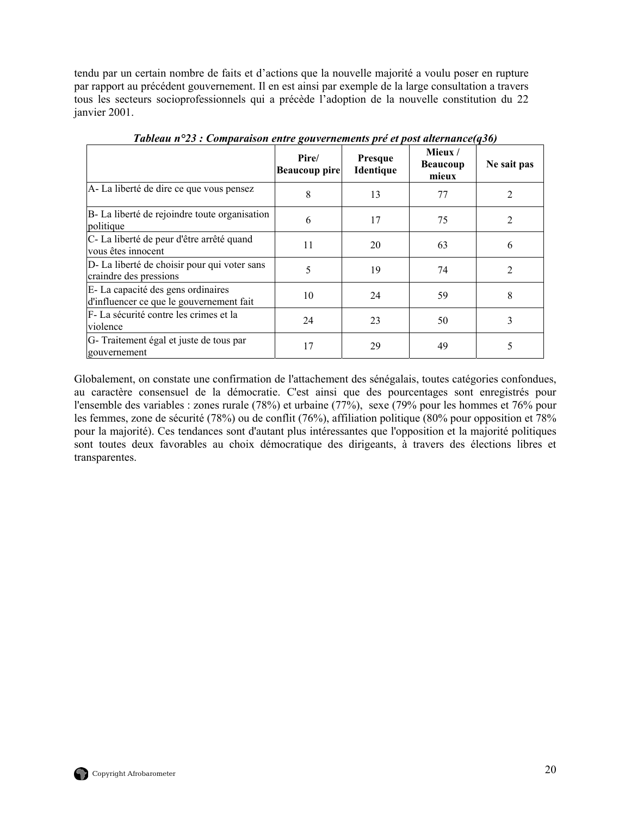<span id="page-33-0"></span>tendu par un certain nombre de faits et d'actions que la nouvelle majorité a voulu poser en rupture par rapport au précédent gouvernement. Il en est ainsi par exemple de la large consultation a travers tous les secteurs socioprofessionnels qui a précède l'adoption de la nouvelle constitution du 22 janvier 2001.

|                                                                               | Pire/<br><b>Beaucoup pire</b> | <b>Presque</b><br>Identique | Mieux/<br><b>Beaucoup</b><br>mieux | Ne sait pas    |
|-------------------------------------------------------------------------------|-------------------------------|-----------------------------|------------------------------------|----------------|
| A-La liberté de dire ce que vous pensez                                       | 8                             | 13                          | 77                                 |                |
| B-La liberté de rejoindre toute organisation<br>politique                     | 6                             | 17                          | 75                                 | 2              |
| C-La liberté de peur d'être arrêté quand<br>vous êtes innocent                | 11                            | 20                          | 63                                 | 6              |
| D-La liberté de choisir pour qui voter sans<br>craindre des pressions         | 5                             | 19                          | 74                                 | $\mathfrak{D}$ |
| E-La capacité des gens ordinaires<br>d'influencer ce que le gouvernement fait | 10                            | 24                          | 59                                 | 8              |
| F-La sécurité contre les crimes et la<br>violence                             | 24                            | 23                          | 50                                 | 3              |
| G-Traitement égal et juste de tous par<br>gouvernement                        | 17                            | 29                          | 49                                 | 5              |

*Tableau n°23 : Comparaison entre gouvernements pré et post alternance(q36)* 

Globalement, on constate une confirmation de l'attachement des sénégalais, toutes catégories confondues, au caractère consensuel de la démocratie. C'est ainsi que des pourcentages sont enregistrés pour l'ensemble des variables : zones rurale (78%) et urbaine (77%), sexe (79% pour les hommes et 76% pour les femmes, zone de sécurité (78%) ou de conflit (76%), affiliation politique (80% pour opposition et 78% pour la majorité). Ces tendances sont d'autant plus intéressantes que l'opposition et la majorité politiques sont toutes deux favorables au choix démocratique des dirigeants, à travers des élections libres et transparentes.

![](_page_33_Picture_4.jpeg)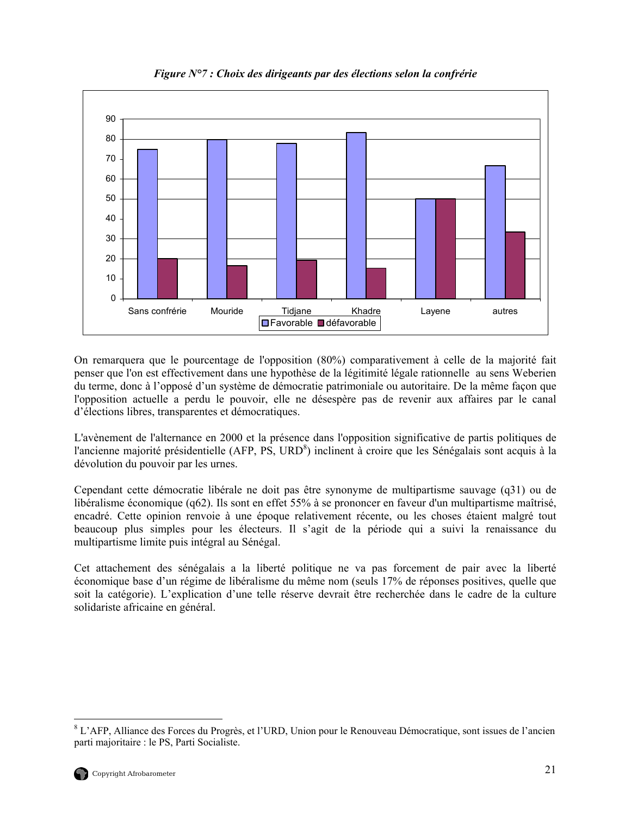<span id="page-34-0"></span>![](_page_34_Figure_0.jpeg)

*Figure N°7 : Choix des dirigeants par des élections selon la confrérie* 

On remarquera que le pourcentage de l'opposition (80%) comparativement à celle de la majorité fait penser que l'on est effectivement dans une hypothèse de la légitimité légale rationnelle au sens Weberien du terme, donc à l'opposé d'un système de démocratie patrimoniale ou autoritaire. De la même façon que l'opposition actuelle a perdu le pouvoir, elle ne désespère pas de revenir aux affaires par le canal d'élections libres, transparentes et démocratiques.

L'avènement de l'alternance en 2000 et la présence dans l'opposition significative de partis politiques de l'ancienne majorité présidentielle (AFP, PS, URD<sup>8</sup>[\)](#page-34-1) inclinent à croire que les Sénégalais sont acquis à la dévolution du pouvoir par les urnes.

Cependant cette démocratie libérale ne doit pas être synonyme de multipartisme sauvage (q31) ou de libéralisme économique (q62). Ils sont en effet 55% à se prononcer en faveur d'un multipartisme maîtrisé, encadré. Cette opinion renvoie à une époque relativement récente, ou les choses étaient malgré tout beaucoup plus simples pour les électeurs. Il s'agit de la période qui a suivi la renaissance du multipartisme limite puis intégral au Sénégal.

Cet attachement des sénégalais a la liberté politique ne va pas forcement de pair avec la liberté économique base d'un régime de libéralisme du même nom (seuls 17% de réponses positives, quelle que soit la catégorie). L'explication d'une telle réserve devrait être recherchée dans le cadre de la culture solidariste africaine en général.

 $\overline{a}$ 

<span id="page-34-1"></span><sup>&</sup>lt;sup>8</sup> L'AFP, Alliance des Forces du Progrès, et l'URD, Union pour le Renouveau Démocratique, sont issues de l'ancien parti majoritaire : le PS, Parti Socialiste.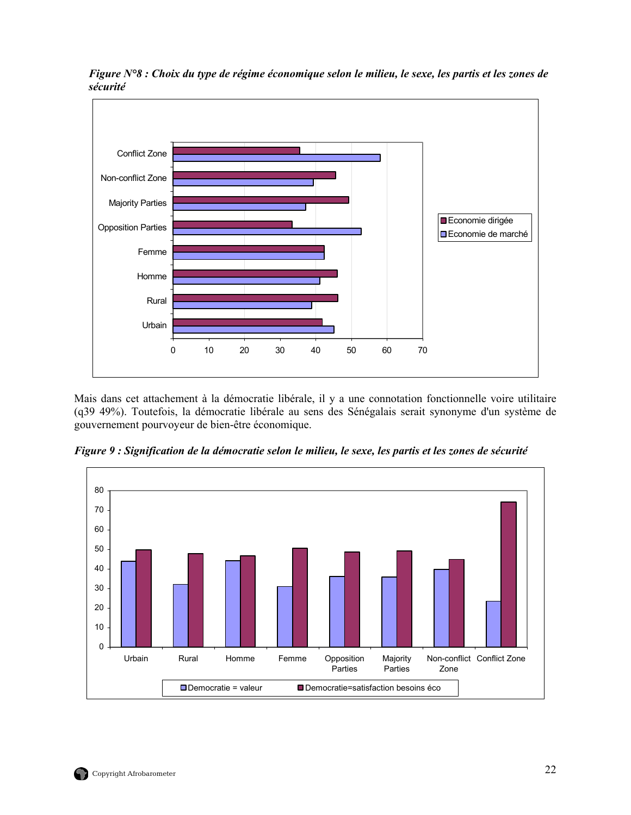![](_page_35_Figure_0.jpeg)

<span id="page-35-0"></span>*Figure N°8 : Choix du type de régime économique selon le milieu, le sexe, les partis et les zones de sécurité*

Mais dans cet attachement à la démocratie libérale, il y a une connotation fonctionnelle voire utilitaire (q39 49%). Toutefois, la démocratie libérale au sens des Sénégalais serait synonyme d'un système de gouvernement pourvoyeur de bien-être économique.

![](_page_35_Figure_3.jpeg)

*Figure 9 : Signification de la démocratie selon le milieu, le sexe, les partis et les zones de sécurité*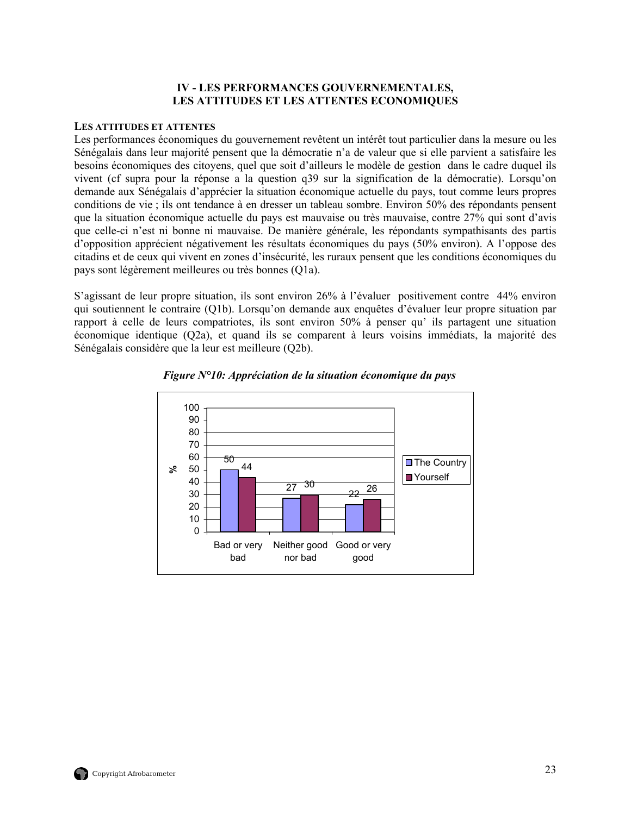## **IV - LES PERFORMANCES GOUVERNEMENTALES, LES ATTITUDES ET LES ATTENTES ECONOMIQUES**

#### <span id="page-36-0"></span>**LES ATTITUDES ET ATTENTES**

Les performances économiques du gouvernement revêtent un intérêt tout particulier dans la mesure ou les Sénégalais dans leur majorité pensent que la démocratie n'a de valeur que si elle parvient a satisfaire les besoins économiques des citoyens, quel que soit d'ailleurs le modèle de gestion dans le cadre duquel ils vivent (cf supra pour la réponse a la question q39 sur la signification de la démocratie). Lorsqu'on demande aux Sénégalais d'apprécier la situation économique actuelle du pays, tout comme leurs propres conditions de vie ; ils ont tendance à en dresser un tableau sombre. Environ 50% des répondants pensent que la situation économique actuelle du pays est mauvaise ou très mauvaise, contre 27% qui sont d'avis que celle-ci n'est ni bonne ni mauvaise. De manière générale, les répondants sympathisants des partis d'opposition apprécient négativement les résultats économiques du pays (50% environ). A l'oppose des citadins et de ceux qui vivent en zones d'insécurité, les ruraux pensent que les conditions économiques du pays sont légèrement meilleures ou très bonnes (Q1a).

S'agissant de leur propre situation, ils sont environ 26% à l'évaluer positivement contre 44% environ qui soutiennent le contraire (Q1b). Lorsqu'on demande aux enquêtes d'évaluer leur propre situation par rapport à celle de leurs compatriotes, ils sont environ 50% à penser qu' ils partagent une situation économique identique (Q2a), et quand ils se comparent à leurs voisins immédiats, la majorité des Sénégalais considère que la leur est meilleure (Q2b).

![](_page_36_Figure_4.jpeg)

*Figure N°10: Appréciation de la situation économique du pays*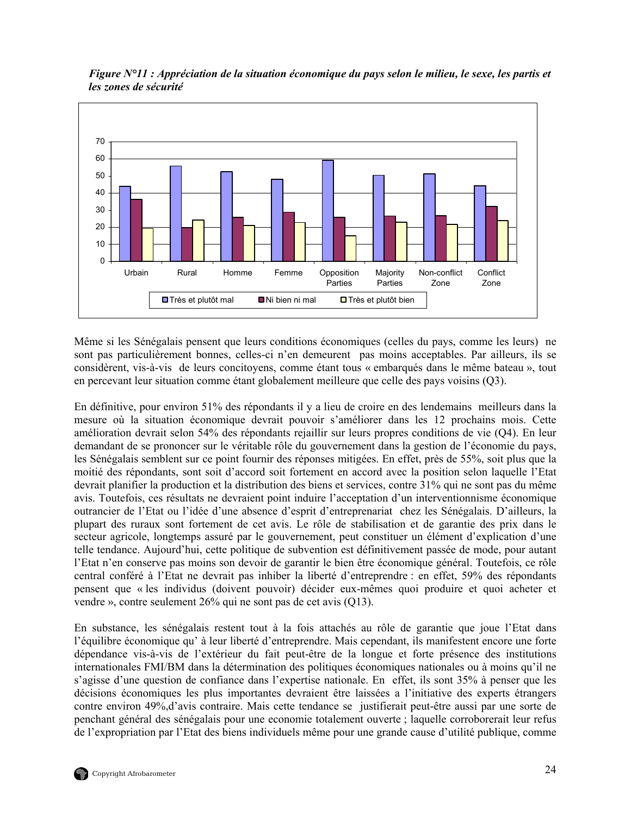![](_page_37_Figure_0.jpeg)

<span id="page-37-0"></span>*Figure N°11 : Appréciation de la situation économique du pays selon le milieu, le sexe, les partis et les zones de sécurité* 

Même si les Sénégalais pensent que leurs conditions économiques (celles du pays, comme les leurs) ne sont pas particulièrement bonnes, celles-ci n'en demeurent pas moins acceptables. Par ailleurs, ils se considèrent, vis-à-vis de leurs concitoyens, comme étant tous « embarqués dans le même bateau », tout en percevant leur situation comme étant globalement meilleure que celle des pays voisins (Q3).

En définitive, pour environ 51% des répondants il y a lieu de croire en des lendemains meilleurs dans la mesure où la situation économique devrait pouvoir s'améliorer dans les 12 prochains mois. Cette amélioration devrait selon 54% des répondants rejaillir sur leurs propres conditions de vie (Q4). En leur demandant de se prononcer sur le véritable rôle du gouvernement dans la gestion de l'économie du pays, les Sénégalais semblent sur ce point fournir des réponses mitigées. En effet, près de 55%, soit plus que la moitié des répondants, sont soit d'accord soit fortement en accord avec la position selon laquelle l'Etat devrait planifier la production et la distribution des biens et services, contre 31% qui ne sont pas du même avis. Toutefois, ces résultats ne devraient point induire l'acceptation d'un interventionnisme économique outrancier de l'Etat ou l'idée d'une absence d'esprit d'entreprenariat chez les Sénégalais. D'ailleurs, la plupart des ruraux sont fortement de cet avis. Le rôle de stabilisation et de garantie des prix dans le secteur agricole, longtemps assuré par le gouvernement, peut constituer un élément d'explication d'une telle tendance. Aujourd'hui, cette politique de subvention est définitivement passée de mode, pour autant l'Etat n'en conserve pas moins son devoir de garantir le bien être économique général. Toutefois, ce rôle central conféré à l'Etat ne devrait pas inhiber la liberté d'entreprendre : en effet, 59% des répondants pensent que « les individus (doivent pouvoir) décider eux-mêmes quoi produire et quoi acheter et vendre », contre seulement 26% qui ne sont pas de cet avis (Q13).

En substance, les sénégalais restent tout à la fois attachés au rôle de garantie que joue l'Etat dans l'équilibre économique qu' à leur liberté d'entreprendre. Mais cependant, ils manifestent encore une forte dépendance vis-à-vis de l'extérieur du fait peut-être de la longue et forte présence des institutions internationales FMI/BM dans la détermination des politiques économiques nationales ou à moins qu'il ne s'agisse d'une question de confiance dans l'expertise nationale. En effet, ils sont 35% à penser que les décisions économiques les plus importantes devraient être laissées a l'initiative des experts étrangers contre environ 49%,d'avis contraire. Mais cette tendance se justifierait peut-être aussi par une sorte de penchant général des sénégalais pour une economie totalement ouverte ; laquelle corroborerait leur refus de l'expropriation par l'Etat des biens individuels même pour une grande cause d'utilité publique, comme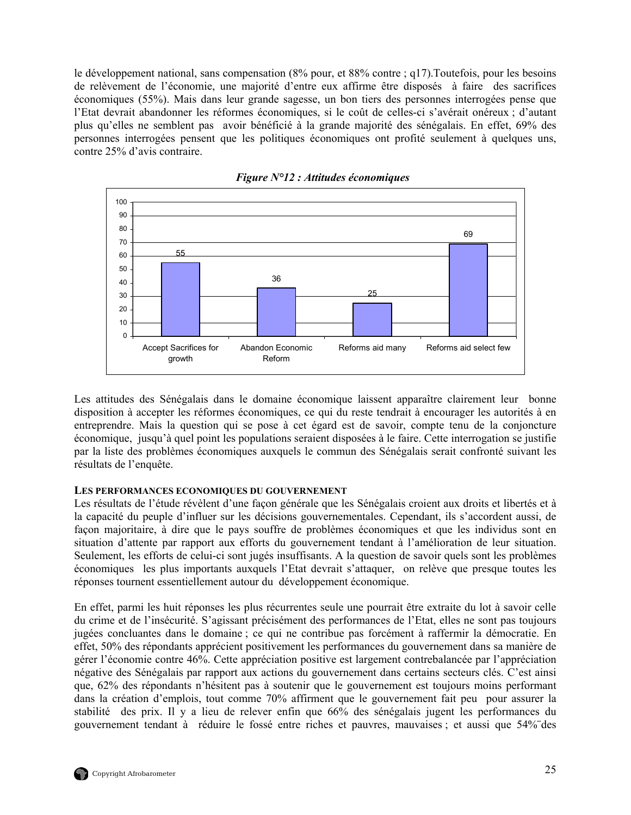<span id="page-38-0"></span>le développement national, sans compensation (8% pour, et 88% contre ; q17).Toutefois, pour les besoins de relèvement de l'économie, une majorité d'entre eux affirme être disposés à faire des sacrifices économiques (55%). Mais dans leur grande sagesse, un bon tiers des personnes interrogées pense que l'Etat devrait abandonner les réformes économiques, si le coût de celles-ci s'avérait onéreux ; d'autant plus qu'elles ne semblent pas avoir bénéficié à la grande majorité des sénégalais. En effet, 69% des personnes interrogées pensent que les politiques économiques ont profité seulement à quelques uns, contre 25% d'avis contraire.

![](_page_38_Figure_1.jpeg)

*Figure N°12 : Attitudes économiques* 

Les attitudes des Sénégalais dans le domaine économique laissent apparaître clairement leur bonne disposition à accepter les réformes économiques, ce qui du reste tendrait à encourager les autorités à en entreprendre. Mais la question qui se pose à cet égard est de savoir, compte tenu de la conjoncture économique, jusqu'à quel point les populations seraient disposées à le faire. Cette interrogation se justifie par la liste des problèmes économiques auxquels le commun des Sénégalais serait confronté suivant les résultats de l'enquête.

#### **LES PERFORMANCES ECONOMIQUES DU GOUVERNEMENT**

Les résultats de l'étude révèlent d'une façon générale que les Sénégalais croient aux droits et libertés et à la capacité du peuple d'influer sur les décisions gouvernementales. Cependant, ils s'accordent aussi, de façon majoritaire, à dire que le pays souffre de problèmes économiques et que les individus sont en situation d'attente par rapport aux efforts du gouvernement tendant à l'amélioration de leur situation. Seulement, les efforts de celui-ci sont jugés insuffisants. A la question de savoir quels sont les problèmes économiques les plus importants auxquels l'Etat devrait s'attaquer, on relève que presque toutes les réponses tournent essentiellement autour du développement économique.

En effet, parmi les huit réponses les plus récurrentes seule une pourrait être extraite du lot à savoir celle du crime et de l'insécurité. S'agissant précisément des performances de l'Etat, elles ne sont pas toujours jugées concluantes dans le domaine ; ce qui ne contribue pas forcément à raffermir la démocratie. En effet, 50% des répondants apprécient positivement les performances du gouvernement dans sa manière de gérer l'économie contre 46%. Cette appréciation positive est largement contrebalancée par l'appréciation négative des Sénégalais par rapport aux actions du gouvernement dans certains secteurs clés. C'est ainsi que, 62% des répondants n'hésitent pas à soutenir que le gouvernement est toujours moins performant dans la création d'emplois, tout comme 70% affirment que le gouvernement fait peu pour assurer la stabilité des prix. Il y a lieu de relever enfin que 66% des sénégalais jugent les performances du gouvernement tendant à réduire le fossé entre riches et pauvres, mauvaises ; et aussi que 54%¨des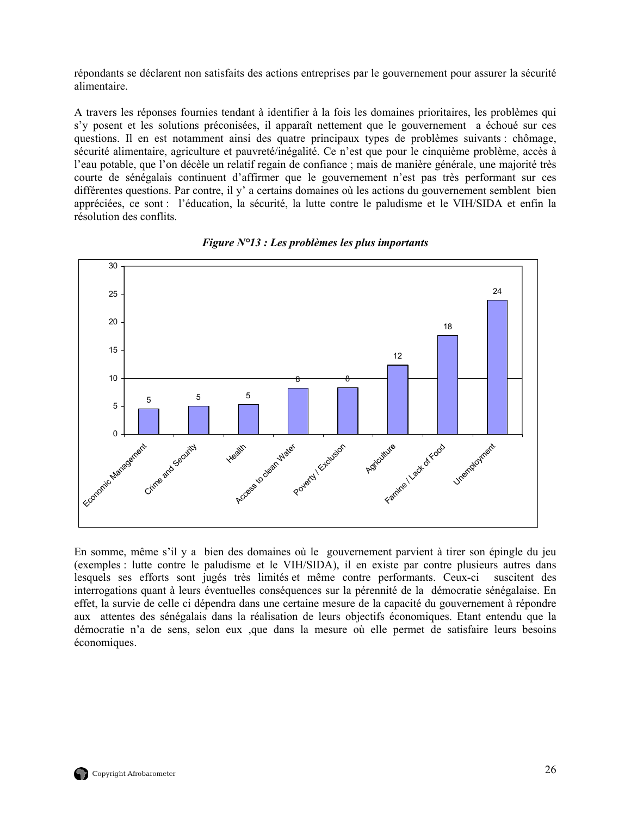<span id="page-39-0"></span>répondants se déclarent non satisfaits des actions entreprises par le gouvernement pour assurer la sécurité alimentaire.

A travers les réponses fournies tendant à identifier à la fois les domaines prioritaires, les problèmes qui s'y posent et les solutions préconisées, il apparaît nettement que le gouvernement a échoué sur ces questions. Il en est notamment ainsi des quatre principaux types de problèmes suivants : chômage, sécurité alimentaire, agriculture et pauvreté/inégalité. Ce n'est que pour le cinquième problème, accès à l'eau potable, que l'on décèle un relatif regain de confiance ; mais de manière générale, une majorité très courte de sénégalais continuent d'affirmer que le gouvernement n'est pas très performant sur ces différentes questions. Par contre, il y' a certains domaines où les actions du gouvernement semblent bien appréciées, ce sont : l'éducation, la sécurité, la lutte contre le paludisme et le VIH/SIDA et enfin la résolution des conflits.

![](_page_39_Figure_2.jpeg)

*Figure N°13 : Les problèmes les plus importants* 

En somme, même s'il y a bien des domaines où le gouvernement parvient à tirer son épingle du jeu (exemples : lutte contre le paludisme et le VIH/SIDA), il en existe par contre plusieurs autres dans lesquels ses efforts sont jugés très limités et même contre performants. Ceux-ci suscitent des interrogations quant à leurs éventuelles conséquences sur la pérennité de la démocratie sénégalaise. En effet, la survie de celle ci dépendra dans une certaine mesure de la capacité du gouvernement à répondre aux attentes des sénégalais dans la réalisation de leurs objectifs économiques. Etant entendu que la démocratie n'a de sens, selon eux ,que dans la mesure où elle permet de satisfaire leurs besoins économiques.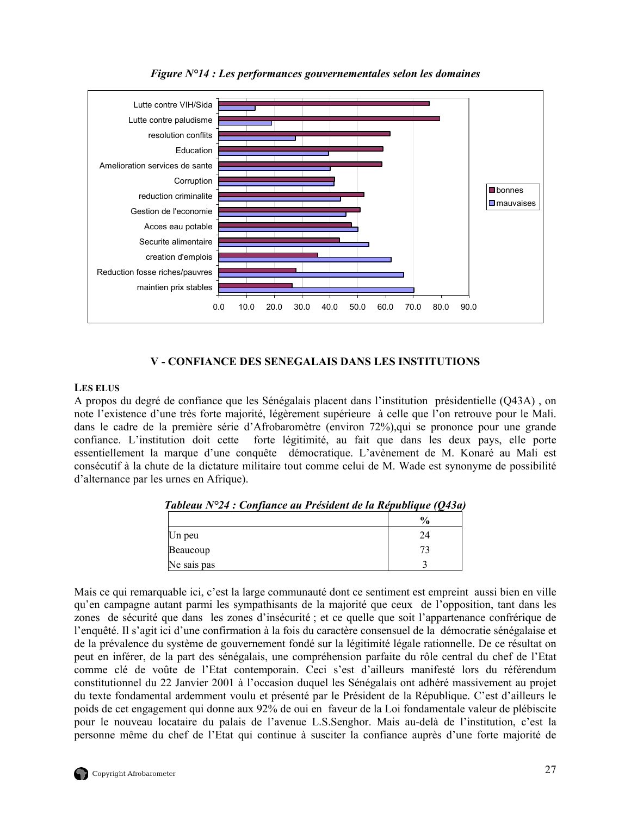<span id="page-40-0"></span>![](_page_40_Figure_0.jpeg)

*Figure N°14 : Les performances gouvernementales selon les domaines* 

# **V - CONFIANCE DES SENEGALAIS DANS LES INSTITUTIONS**

## **LES ELUS**

A propos du degré de confiance que les Sénégalais placent dans l'institution présidentielle (Q43A) , on note l'existence d'une très forte majorité, légèrement supérieure à celle que l'on retrouve pour le Mali. dans le cadre de la première série d'Afrobaromètre (environ 72%),qui se prononce pour une grande confiance. L'institution doit cette forte légitimité, au fait que dans les deux pays, elle porte essentiellement la marque d'une conquête démocratique. L'avènement de M. Konaré au Mali est consécutif à la chute de la dictature militaire tout comme celui de M. Wade est synonyme de possibilité d'alternance par les urnes en Afrique).

|             | l'ableau N°24 : Confiance au Président de la République (O43a) |
|-------------|----------------------------------------------------------------|
|             | $\frac{0}{0}$                                                  |
| Un peu      | 24                                                             |
| Beaucoup    | 73                                                             |
| Ne sais pas |                                                                |

*Tableau N°24 : Confiance au Président de la République (Q43a)* 

Mais ce qui remarquable ici, c'est la large communauté dont ce sentiment est empreint aussi bien en ville qu'en campagne autant parmi les sympathisants de la majorité que ceux de l'opposition, tant dans les zones de sécurité que dans les zones d'insécurité ; et ce quelle que soit l'appartenance confrérique de l'enquêté. Il s'agit ici d'une confirmation à la fois du caractère consensuel de la démocratie sénégalaise et de la prévalence du système de gouvernement fondé sur la légitimité légale rationnelle. De ce résultat on peut en inférer, de la part des sénégalais, une compréhension parfaite du rôle central du chef de l'Etat comme clé de voûte de l'Etat contemporain. Ceci s'est d'ailleurs manifesté lors du référendum constitutionnel du 22 Janvier 2001 à l'occasion duquel les Sénégalais ont adhéré massivement au projet du texte fondamental ardemment voulu et présenté par le Président de la République. C'est d'ailleurs le poids de cet engagement qui donne aux 92% de oui en faveur de la Loi fondamentale valeur de plébiscite pour le nouveau locataire du palais de l'avenue L.S.Senghor. Mais au-delà de l'institution, c'est la personne même du chef de l'Etat qui continue à susciter la confiance auprès d'une forte majorité de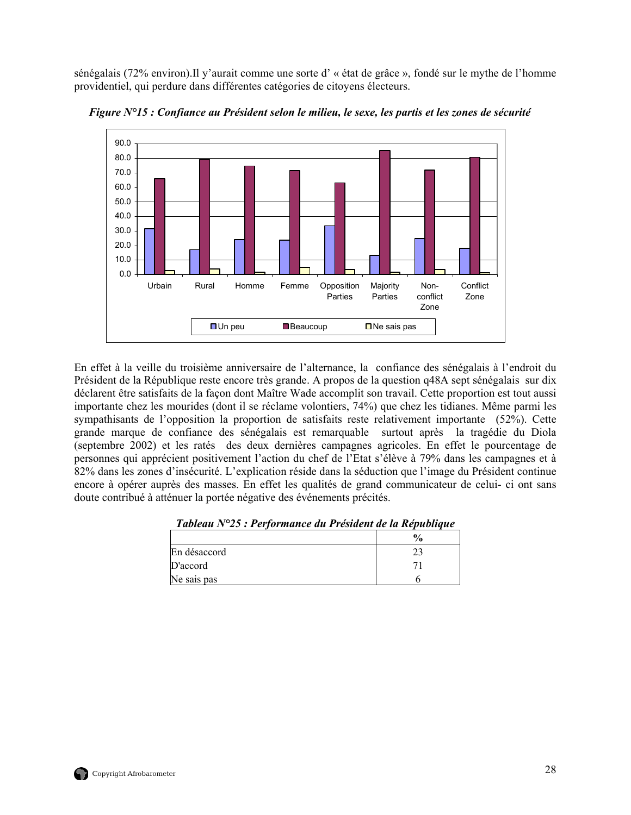<span id="page-41-0"></span>sénégalais (72% environ).Il y'aurait comme une sorte d' « état de grâce », fondé sur le mythe de l'homme providentiel, qui perdure dans différentes catégories de citoyens électeurs.

![](_page_41_Figure_1.jpeg)

*Figure N°15 : Confiance au Président selon le milieu, le sexe, les partis et les zones de sécurité* 

En effet à la veille du troisième anniversaire de l'alternance, la confiance des sénégalais à l'endroit du Président de la République reste encore très grande. A propos de la question q48A sept sénégalais sur dix déclarent être satisfaits de la façon dont Maître Wade accomplit son travail. Cette proportion est tout aussi importante chez les mourides (dont il se réclame volontiers, 74%) que chez les tidianes. Même parmi les sympathisants de l'opposition la proportion de satisfaits reste relativement importante (52%). Cette grande marque de confiance des sénégalais est remarquable surtout après la tragédie du Diola (septembre 2002) et les ratés des deux dernières campagnes agricoles. En effet le pourcentage de personnes qui apprécient positivement l'action du chef de l'Etat s'élève à 79% dans les campagnes et à 82% dans les zones d'insécurité. L'explication réside dans la séduction que l'image du Président continue encore à opérer auprès des masses. En effet les qualités de grand communicateur de celui- ci ont sans doute contribué à atténuer la portée négative des événements précités.

|              | $\frac{1}{2}$ |
|--------------|---------------|
| En désaccord |               |
| D'accord     |               |
| Ne sais pas  |               |

*Tableau N°25 : Performance du Président de la République*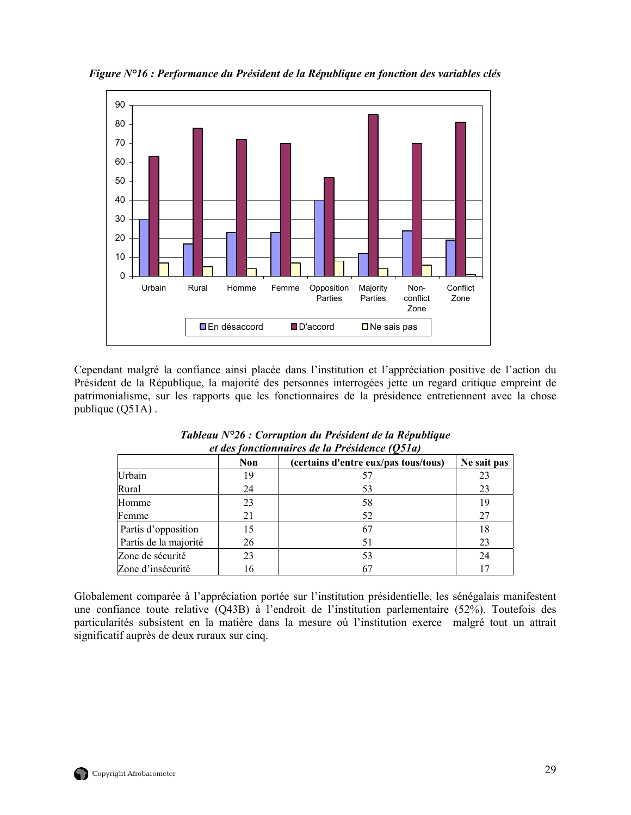![](_page_42_Figure_0.jpeg)

<span id="page-42-0"></span>*Figure N°16 : Performance du Président de la République en fonction des variables clés* 

Cependant malgré la confiance ainsi placée dans l'institution et l'appréciation positive de l'action du Président de la République, la majorité des personnes interrogées jette un regard critique empreint de patrimonialisme, sur les rapports que les fonctionnaires de la présidence entretiennent avec la chose publique (Q51A) .

| ce aco fonchommen co ac ea 1 resulchce (Ostuf |            |                                      |             |  |  |
|-----------------------------------------------|------------|--------------------------------------|-------------|--|--|
|                                               | <b>Non</b> | (certains d'entre eux/pas tous/tous) | Ne sait pas |  |  |
| Urbain                                        | 19         |                                      | 23          |  |  |
| Rural                                         | 24         | 53                                   | 23          |  |  |
| Homme                                         | 23         | 58                                   | 19          |  |  |
| Femme                                         | 21         | 52                                   | 27          |  |  |
| Partis d'opposition                           | 15         |                                      | 18          |  |  |
| Partis de la majorité                         | 26         | 51                                   | 23          |  |  |
| Zone de sécurité                              | 23         | 53                                   | 24          |  |  |
| Zone d'insécurité                             | 16         |                                      |             |  |  |

*Tableau N°26 : Corruption du Président de la République et des fonctionnaires de la Présidence (Q51a)* 

Globalement comparée à l'appréciation portée sur l'institution présidentielle, les sénégalais manifestent une confiance toute relative (Q43B) à l'endroit de l'institution parlementaire (52%). Toutefois des particularités subsistent en la matière dans la mesure où l'institution exerce malgré tout un attrait significatif auprès de deux ruraux sur cinq.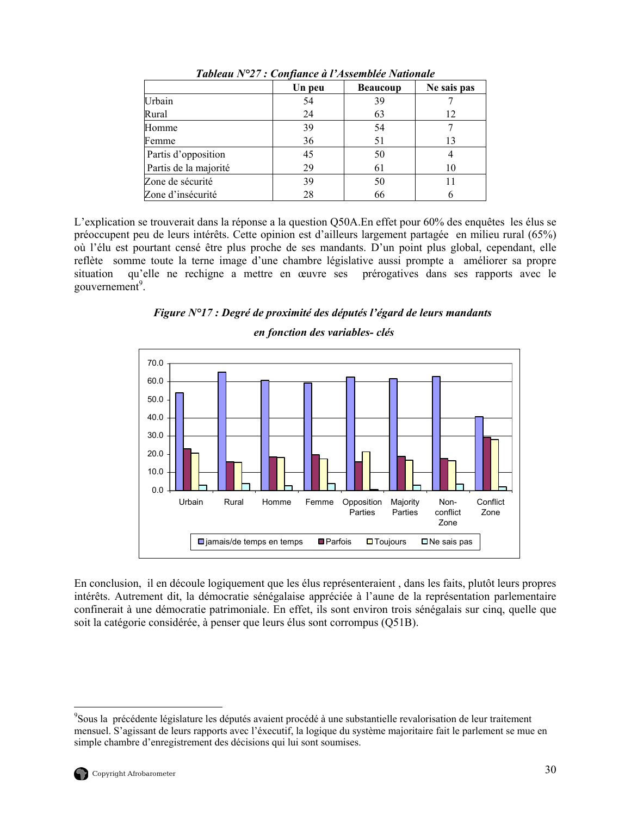<span id="page-43-0"></span>

|                       | Un peu | <b>Beaucoup</b> | Ne sais pas |
|-----------------------|--------|-----------------|-------------|
| Urbain                | 54     | 39              |             |
| Rural                 | 24     | 63              | 12          |
| Homme                 | 39     | 54              |             |
| Femme                 | 36     | 51              | 13          |
| Partis d'opposition   | 45     | 50              |             |
| Partis de la majorité | 29     | 61              | 10          |
| Zone de sécurité      | 39     | 50              |             |
| Zone d'insécurité     | 28     | 66              |             |

*Tableau N°27 : Confiance à l'Assemblée Nationale* 

L'explication se trouverait dans la réponse a la question Q50A.En effet pour 60% des enquêtes les élus se préoccupent peu de leurs intérêts. Cette opinion est d'ailleurs largement partagée en milieu rural (65%) où l'élu est pourtant censé être plus proche de ses mandants. D'un point plus global, cependant, elle reflète somme toute la terne image d'une chambre législative aussi prompte a améliorer sa propre situation qu'elle ne rechigne a mettre en œuvre ses prérogatives dans ses rapports avec le gouvernement<sup>[9](#page-43-1)</sup>.

![](_page_43_Figure_3.jpeg)

# *en fonction des variables- clés*

![](_page_43_Figure_5.jpeg)

En conclusion, il en découle logiquement que les élus représenteraient , dans les faits, plutôt leurs propres intérêts. Autrement dit, la démocratie sénégalaise appréciée à l'aune de la représentation parlementaire confinerait à une démocratie patrimoniale. En effet, ils sont environ trois sénégalais sur cinq, quelle que soit la catégorie considérée, à penser que leurs élus sont corrompus (Q51B).

 $\overline{a}$ 

<span id="page-43-1"></span><sup>&</sup>lt;sup>9</sup>Sous la précédente législature les députés avaient procédé à une substantielle revalorisation de leur traitement mensuel. S'agissant de leurs rapports avec l'éxecutif, la logique du système majoritaire fait le parlement se mue en simple chambre d'enregistrement des décisions qui lui sont soumises.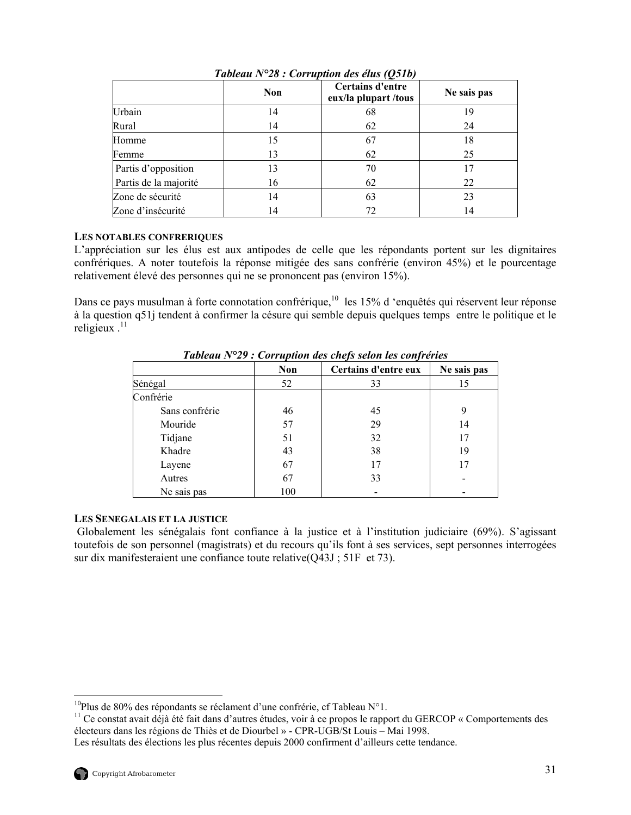<span id="page-44-0"></span>

|                       | <b>Non</b> | Certains d'entre<br>eux/la plupart/tous | Ne sais pas |
|-----------------------|------------|-----------------------------------------|-------------|
| Urbain                | 14         | 68                                      | 19          |
| Rural                 | 14         | 62                                      | 24          |
| Homme                 | 15         | 67                                      | 18          |
| Femme                 | 13         | 62                                      | 25          |
| Partis d'opposition   | 13         | 70                                      | 17          |
| Partis de la majorité | 16         | 62                                      | 22          |
| Zone de sécurité      | 14         | 63                                      | 23          |
| Zone d'insécurité     | 14         | 72                                      | 14          |

*Tableau N°28 : Corruption des élus (Q51b)* 

## **LES NOTABLES CONFRERIQUES**

L'appréciation sur les élus est aux antipodes de celle que les répondants portent sur les dignitaires confrériques. A noter toutefois la réponse mitigée des sans confrérie (environ 45%) et le pourcentage relativement élevé des personnes qui ne se prononcent pas (environ 15%).

Dans ce pays musulman à forte connotation confrérique,<sup>10</sup> les 15% d'enquêtés qui réservent leur réponse à la question q51j tendent à confirmer la césure qui semble depuis quelques temps entre le politique et le religieux  $.11$ 

|                | J          |                      |             |  |
|----------------|------------|----------------------|-------------|--|
|                | <b>Non</b> | Certains d'entre eux | Ne sais pas |  |
| Sénégal        | 52         | 33                   | 15          |  |
| Confrérie      |            |                      |             |  |
| Sans confrérie | 46         | 45                   | 9           |  |
| Mouride        | 57         | 29                   | 14          |  |
| Tidjane        | 51         | 32                   | 17          |  |
| Khadre         | 43         | 38                   | 19          |  |
| Layene         | 67         | 17                   | 17          |  |
| Autres         | 67         | 33                   |             |  |
| Ne sais pas    | 100        |                      |             |  |

*Tableau N°29 : Corruption des chefs selon les confréries*

## **LES SENEGALAIS ET LA JUSTICE**

Globalement les sénégalais font confiance à la justice et à l'institution judiciaire (69%). S'agissant toutefois de son personnel (magistrats) et du recours qu'ils font à ses services, sept personnes interrogées sur dix manifesteraient une confiance toute relative(Q43J ; 51F et 73).

 $\overline{a}$ 

<span id="page-44-2"></span><span id="page-44-1"></span>

<sup>&</sup>lt;sup>10</sup>Plus de 80% des répondants se réclament d'une confrérie, cf Tableau N°1.<br><sup>11</sup> Ce constat avait déjà été fait dans d'autres études, voir à ce propos le rapport du GERCOP « Comportements des électeurs dans les régions de Thiès et de Diourbel » - CPR-UGB/St Louis – Mai 1998.

Les résultats des élections les plus récentes depuis 2000 confirment d'ailleurs cette tendance.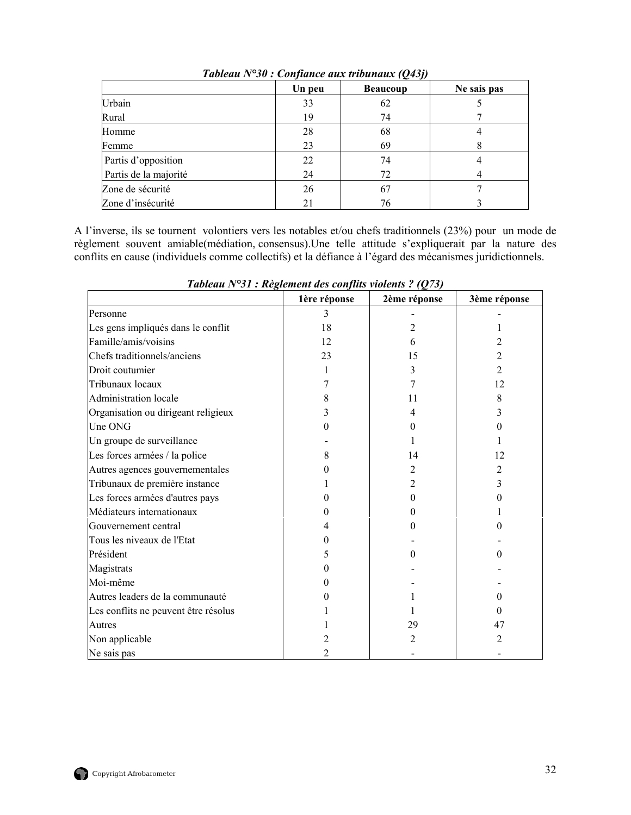<span id="page-45-0"></span>

|                       | Un peu | <b>Beaucoup</b> | Ne sais pas |
|-----------------------|--------|-----------------|-------------|
| Urbain                | 33     | 62              |             |
| Rural                 | 19     | 74              |             |
| Homme                 | 28     | 68              |             |
| Femme                 | 23     | 69              |             |
| Partis d'opposition   | 22     | 74              |             |
| Partis de la majorité | 24     | 72              |             |
| Zone de sécurité      | 26     | 67              |             |
| Zone d'insécurité     | 21     | 76              |             |

*Tableau N°30 : Confiance aux tribunaux (Q43j)* 

A l'inverse, ils se tournent volontiers vers les notables et/ou chefs traditionnels (23%) pour un mode de règlement souvent amiable(médiation, consensus).Une telle attitude s'expliquerait par la nature des conflits en cause (individuels comme collectifs) et la défiance à l'égard des mécanismes juridictionnels.

|                                      | 1ère réponse | 2ème réponse | 3ème réponse |
|--------------------------------------|--------------|--------------|--------------|
| Personne                             | 3            |              |              |
| Les gens impliqués dans le conflit   | 18           | 2            |              |
| Famille/amis/voisins                 | 12           | 6            |              |
| Chefs traditionnels/anciens          | 23           | 15           |              |
| Droit coutumier                      |              | 3            | 2            |
| Tribunaux locaux                     |              |              | 12           |
| <b>Administration</b> locale         | 8            | 11           | 8            |
| Organisation ou dirigeant religieux  | 3            | 4            |              |
| Une ONG                              | 0            | 0            |              |
| Un groupe de surveillance            |              |              |              |
| Les forces armées / la police        | 8            | 14           | 12           |
| Autres agences gouvernementales      |              | 2            | 2            |
| Tribunaux de première instance       |              | 2            | 3            |
| Les forces armées d'autres pays      |              | $_{0}$       |              |
| Médiateurs internationaux            |              | 0            |              |
| Gouvernement central                 |              | $\mathbf{0}$ |              |
| Tous les niveaux de l'Etat           | 0            |              |              |
| Président                            | 5            | $\mathbf{0}$ |              |
| Magistrats                           |              |              |              |
| Moi-même                             |              |              |              |
| Autres leaders de la communauté      |              |              |              |
| Les conflits ne peuvent être résolus |              |              |              |
| Autres                               |              | 29           | 47           |
| Non applicable                       | 2            | 2            | 2            |
| Ne sais pas                          |              |              |              |

*Tableau N°31 : Règlement des conflits violents ? (Q73)*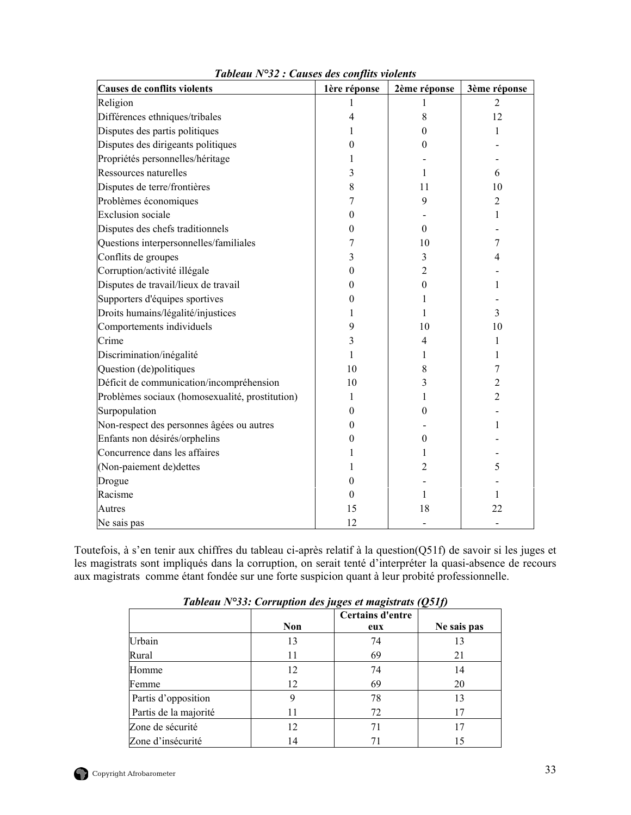<span id="page-46-0"></span>

| Causes de conflits violents                     | 1ère réponse | 2ème réponse   | 3ème réponse   |
|-------------------------------------------------|--------------|----------------|----------------|
| Religion                                        | 1            |                | $\overline{2}$ |
| Différences ethniques/tribales                  | 4            | 8              | 12             |
| Disputes des partis politiques                  |              | 0              |                |
| Disputes des dirigeants politiques              | 0            | 0              |                |
| Propriétés personnelles/héritage                | I            |                |                |
| Ressources naturelles                           | 3            | 1              | 6              |
| Disputes de terre/frontières                    | 8            | 11             | 10             |
| Problèmes économiques                           | 7            | 9              | $\overline{2}$ |
| <b>Exclusion</b> sociale                        | 0            |                | 1              |
| Disputes des chefs traditionnels                | 0            | $\overline{0}$ |                |
| Questions interpersonnelles/familiales          | 7            | 10             | 7              |
| Conflits de groupes                             | 3            | 3              | 4              |
| Corruption/activité illégale                    | 0            | 2              |                |
| Disputes de travail/lieux de travail            | 0            | 0              |                |
| Supporters d'équipes sportives                  | 0            | 1              |                |
| Droits humains/légalité/injustices              | 1            | 1              | 3              |
| Comportements individuels                       | 9            | 10             | 10             |
| Crime                                           | 3            | 4              | 1              |
| Discrimination/inégalité                        | 1            |                |                |
| Question (de)politiques                         | 10           | 8              | 7              |
| Déficit de communication/incompréhension        | 10           | 3              | 2              |
| Problèmes sociaux (homosexualité, prostitution) | 1            | 1              | 2              |
| Surpopulation                                   | 0            | 0              |                |
| Non-respect des personnes âgées ou autres       | 0            |                | 1              |
| Enfants non désirés/orphelins                   | 0            | 0              |                |
| Concurrence dans les affaires                   |              |                |                |
| (Non-paiement de)dettes                         |              | 2              | 5              |
| Drogue                                          | 0            |                |                |
| Racisme                                         | 0            | 1              | 1              |
| Autres                                          | 15           | 18             | 22             |
| Ne sais pas                                     | 12           |                |                |

*Tableau N°32 : Causes des conflits violents* 

Toutefois, à s'en tenir aux chiffres du tableau ci-après relatif à la question(Q51f) de savoir si les juges et les magistrats sont impliqués dans la corruption, on serait tenté d'interpréter la quasi-absence de recours aux magistrats comme étant fondée sur une forte suspicion quant à leur probité professionnelle.

| Tubiculu IV 99. Corruption des juges et mugistruis (Q911) |     |                         |             |  |
|-----------------------------------------------------------|-----|-------------------------|-------------|--|
|                                                           | Non | Certains d'entre<br>eux | Ne sais pas |  |
| Urbain                                                    | 13  | 74                      | 13          |  |
| Rural                                                     | 11  | 69                      | 21          |  |
| Homme                                                     | 12  | 74                      | 14          |  |
| Femme                                                     | 12  | 69                      | 20          |  |
| Partis d'opposition                                       |     | 78                      | 13          |  |
| Partis de la majorité                                     | 11  | 72                      | 17          |  |
| Zone de sécurité                                          | 12  | 71                      | 17          |  |
| Zone d'insécurité                                         | 14  | 71                      | 15          |  |

*Tableau N°33: Corruption des juges et magistrats (Q51f)*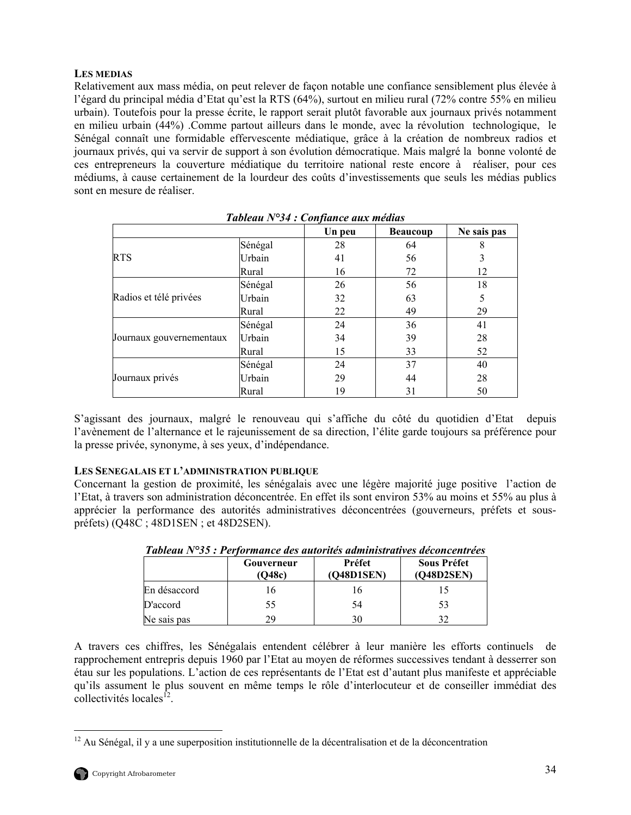# <span id="page-47-0"></span>**LES MEDIAS**

Relativement aux mass média, on peut relever de façon notable une confiance sensiblement plus élevée à l'égard du principal média d'Etat qu'est la RTS (64%), surtout en milieu rural (72% contre 55% en milieu urbain). Toutefois pour la presse écrite, le rapport serait plutôt favorable aux journaux privés notamment en milieu urbain (44%) .Comme partout ailleurs dans le monde, avec la révolution technologique, le Sénégal connaît une formidable effervescente médiatique, grâce à la création de nombreux radios et journaux privés, qui va servir de support à son évolution démocratique. Mais malgré la bonne volonté de ces entrepreneurs la couverture médiatique du territoire national reste encore à réaliser, pour ces médiums, à cause certainement de la lourdeur des coûts d'investissements que seuls les médias publics sont en mesure de réaliser.

|                          |         | Un peu | <b>Beaucoup</b> | Ne sais pas |
|--------------------------|---------|--------|-----------------|-------------|
|                          | Sénégal | 28     | 64              | 8           |
| <b>RTS</b>               | Urbain  | 41     | 56              | 3           |
|                          | Rural   | 16     | 72              | 12          |
|                          | Sénégal | 26     | 56              | 18          |
| Radios et télé privées   | Urbain  | 32     | 63              | 5           |
|                          | Rural   | 22     | 49              | 29          |
|                          | Sénégal | 24     | 36              | 41          |
| Journaux gouvernementaux | Urbain  | 34     | 39              | 28          |
|                          | Rural   | 15     | 33              | 52          |
|                          | Sénégal | 24     | 37              | 40          |
| Journaux privés          | Urbain  | 29     | 44              | 28          |
|                          | Rural   | 19     | 31              | 50          |

S'agissant des journaux, malgré le renouveau qui s'affiche du côté du quotidien d'Etat depuis l'avènement de l'alternance et le rajeunissement de sa direction, l'élite garde toujours sa préférence pour la presse privée, synonyme, à ses yeux, d'indépendance.

## **LES SENEGALAIS ET L'ADMINISTRATION PUBLIQUE**

Concernant la gestion de proximité, les sénégalais avec une légère majorité juge positive l'action de l'Etat, à travers son administration déconcentrée. En effet ils sont environ 53% au moins et 55% au plus à apprécier la performance des autorités administratives déconcentrées (gouverneurs, préfets et souspréfets) (Q48C ; 48D1SEN ; et 48D2SEN).

|              | Gouverneur<br>(Q48c) | Préfet<br>(Q48D1SEN) | <b>Sous Préfet</b><br>(O48D2SEN) |
|--------------|----------------------|----------------------|----------------------------------|
| En désaccord | 16                   | 16                   |                                  |
| D'accord     | 55                   | 54                   | 53                               |
| Ne sais pas  | 29                   | 30                   |                                  |

*Tableau N°35 : Performance des autorités administratives déconcentrées* 

A travers ces chiffres, les Sénégalais entendent célébrer à leur manière les efforts continuels de rapprochement entrepris depuis 1960 par l'Etat au moyen de réformes successives tendant à desserrer son étau sur les populations. L'action de ces représentants de l'Etat est d'autant plus manifeste et appréciable qu'ils assument le plus souvent en même temps le rôle d'interlocuteur et de conseiller immédiat des  $\text{collectivités locales}^{\mathsf{I2}}$ .

<span id="page-47-1"></span> $\overline{a}$  $12$  Au Sénégal, il y a une superposition institutionnelle de la décentralisation et de la déconcentration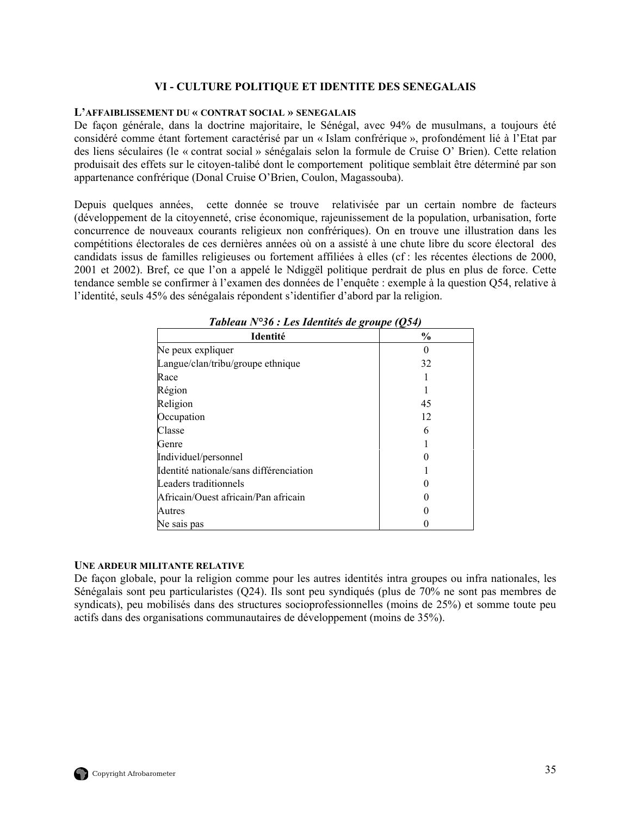## **VI - CULTURE POLITIQUE ET IDENTITE DES SENEGALAIS**

#### <span id="page-48-0"></span>**L'AFFAIBLISSEMENT DU « CONTRAT SOCIAL » SENEGALAIS**

De façon générale, dans la doctrine majoritaire, le Sénégal, avec 94% de musulmans, a toujours été considéré comme étant fortement caractérisé par un « Islam confrérique », profondément lié à l'Etat par des liens séculaires (le « contrat social » sénégalais selon la formule de Cruise O' Brien). Cette relation produisait des effets sur le citoyen-talibé dont le comportement politique semblait être déterminé par son appartenance confrérique (Donal Cruise O'Brien, Coulon, Magassouba).

Depuis quelques années, cette donnée se trouve relativisée par un certain nombre de facteurs (développement de la citoyenneté, crise économique, rajeunissement de la population, urbanisation, forte concurrence de nouveaux courants religieux non confrériques). On en trouve une illustration dans les compétitions électorales de ces dernières années où on a assisté à une chute libre du score électoral des candidats issus de familles religieuses ou fortement affiliées à elles (cf : les récentes élections de 2000, 2001 et 2002). Bref, ce que l'on a appelé le Ndiggël politique perdrait de plus en plus de force. Cette tendance semble se confirmer à l'examen des données de l'enquête : exemple à la question Q54, relative à l'identité, seuls 45% des sénégalais répondent s'identifier d'abord par la religion.

| Identité                                | $\frac{0}{0}$ |
|-----------------------------------------|---------------|
| Ne peux expliquer                       |               |
| Langue/clan/tribu/groupe ethnique       | 32            |
| Race                                    |               |
| Région                                  |               |
| Religion                                | 45            |
| Occupation                              | 12            |
| Classe                                  | 6             |
| Genre                                   |               |
| Individuel/personnel                    |               |
| Identité nationale/sans différenciation |               |
| Leaders traditionnels                   |               |
| Africain/Ouest africain/Pan africain    |               |
| Autres                                  |               |
| Ne sais pas                             |               |

*Tableau N°36 : Les Identités de groupe (Q54)* 

#### **UNE ARDEUR MILITANTE RELATIVE**

De façon globale, pour la religion comme pour les autres identités intra groupes ou infra nationales, les Sénégalais sont peu particularistes (Q24). Ils sont peu syndiqués (plus de 70% ne sont pas membres de syndicats), peu mobilisés dans des structures socioprofessionnelles (moins de 25%) et somme toute peu actifs dans des organisations communautaires de développement (moins de 35%).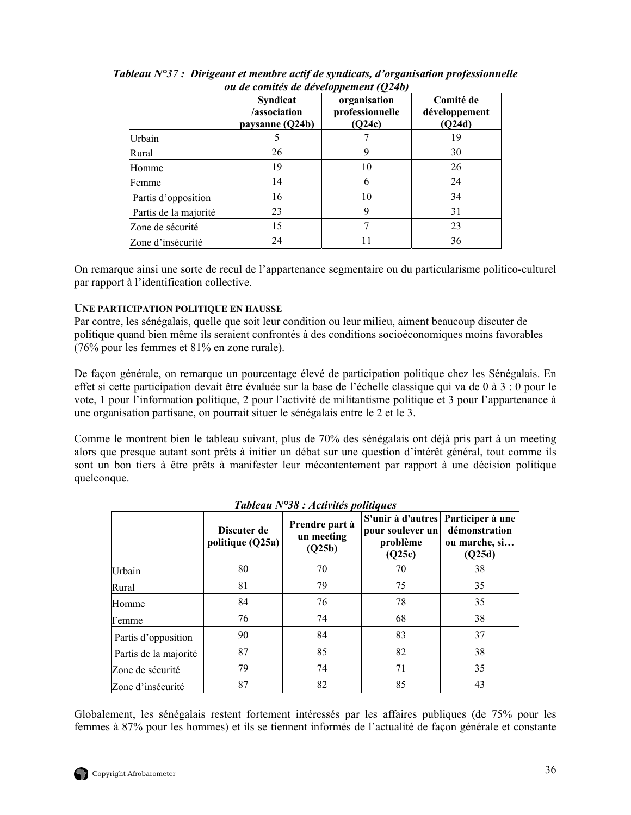|                       | <b>Syndicat</b><br>/association<br>paysanne (Q24b) | organisation<br>professionnelle<br>(Q24c) | Comité de<br>développement<br>(Q24d) |
|-----------------------|----------------------------------------------------|-------------------------------------------|--------------------------------------|
| Urbain                |                                                    |                                           | 19                                   |
| Rural                 | 26                                                 | 9                                         | 30                                   |
| Homme                 | 19                                                 | 10                                        | 26                                   |
| Femme                 | 14                                                 | 6                                         | 24                                   |
| Partis d'opposition   | 16                                                 | 10                                        | 34                                   |
| Partis de la majorité | 23                                                 | 9                                         | 31                                   |
| Zone de sécurité      | 15                                                 |                                           | 23                                   |
| Zone d'insécurité     | 24                                                 |                                           | 36                                   |

<span id="page-49-0"></span>*Tableau N°37 : Dirigeant et membre actif de syndicats, d'organisation professionnelle ou de comités de développement (Q24b)* 

On remarque ainsi une sorte de recul de l'appartenance segmentaire ou du particularisme politico-culturel par rapport à l'identification collective.

# **UNE PARTICIPATION POLITIQUE EN HAUSSE**

Par contre, les sénégalais, quelle que soit leur condition ou leur milieu, aiment beaucoup discuter de politique quand bien même ils seraient confrontés à des conditions socioéconomiques moins favorables (76% pour les femmes et 81% en zone rurale).

De façon générale, on remarque un pourcentage élevé de participation politique chez les Sénégalais. En effet si cette participation devait être évaluée sur la base de l'échelle classique qui va de 0 à 3 : 0 pour le vote, 1 pour l'information politique, 2 pour l'activité de militantisme politique et 3 pour l'appartenance à une organisation partisane, on pourrait situer le sénégalais entre le 2 et le 3.

Comme le montrent bien le tableau suivant, plus de 70% des sénégalais ont déjà pris part à un meeting alors que presque autant sont prêts à initier un débat sur une question d'intérêt général, tout comme ils sont un bon tiers à être prêts à manifester leur mécontentement par rapport à une décision politique quelconque.

|                       | Discuter de<br>politique (Q25a) | Prendre part à<br>un meeting<br>(Q25b) | S'unir à d'autres   Participer à une<br>pour soulever un<br>problème<br>(Q25c) | démonstration<br>ou marche, si<br>(Q25d) |
|-----------------------|---------------------------------|----------------------------------------|--------------------------------------------------------------------------------|------------------------------------------|
| Urbain                | 80                              | 70                                     | 70                                                                             | 38                                       |
| Rural                 | 81                              | 79                                     | 75                                                                             | 35                                       |
| Homme                 | 84                              | 76                                     | 78                                                                             | 35                                       |
| Femme                 | 76                              | 74                                     | 68                                                                             | 38                                       |
| Partis d'opposition   | 90                              | 84                                     | 83                                                                             | 37                                       |
| Partis de la majorité | 87                              | 85                                     | 82                                                                             | 38                                       |
| Zone de sécurité      | 79                              | 74                                     | 71                                                                             | 35                                       |
| Zone d'insécurité     | 87                              | 82                                     | 85                                                                             | 43                                       |

|  | Tableau $N^{\circ}38$ : Activités politiques |  |
|--|----------------------------------------------|--|
|  |                                              |  |

Globalement, les sénégalais restent fortement intéressés par les affaires publiques (de 75% pour les femmes à 87% pour les hommes) et ils se tiennent informés de l'actualité de façon générale et constante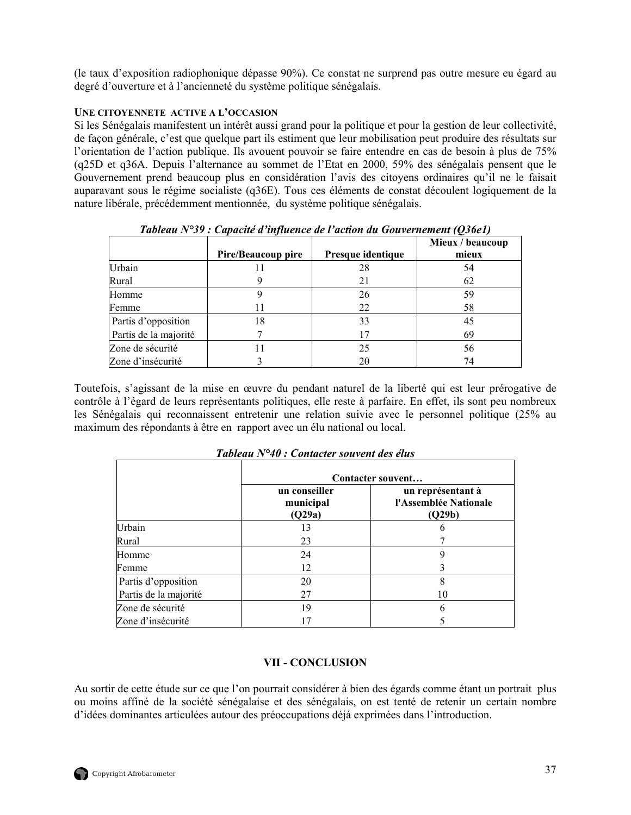<span id="page-50-0"></span>(le taux d'exposition radiophonique dépasse 90%). Ce constat ne surprend pas outre mesure eu égard au degré d'ouverture et à l'ancienneté du système politique sénégalais.

# **UNE CITOYENNETE ACTIVE A L'OCCASION**

Si les Sénégalais manifestent un intérêt aussi grand pour la politique et pour la gestion de leur collectivité, de façon générale, c'est que quelque part ils estiment que leur mobilisation peut produire des résultats sur l'orientation de l'action publique. Ils avouent pouvoir se faire entendre en cas de besoin à plus de 75% (q25D et q36A. Depuis l'alternance au sommet de l'Etat en 2000, 59% des sénégalais pensent que le Gouvernement prend beaucoup plus en considération l'avis des citoyens ordinaires qu'il ne le faisait auparavant sous le régime socialiste (q36E). Tous ces éléments de constat découlent logiquement de la nature libérale, précédemment mentionnée, du système politique sénégalais.

|                       | Tubican IV 97 . Capache a mjinence ac i achon an Gonvernement (Oboci) |                   | Mieux / beaucoup |
|-----------------------|-----------------------------------------------------------------------|-------------------|------------------|
|                       | Pire/Beaucoup pire                                                    | Presque identique | mieux            |
| Urbain                |                                                                       | 28                | 54               |
| Rural                 |                                                                       | 21                | 62               |
| Homme                 |                                                                       | 26                | 59               |
| Femme                 |                                                                       | 22                | 58               |
| Partis d'opposition   | 18                                                                    | 33                | 45               |
| Partis de la majorité |                                                                       | 17                | 69               |
| Zone de sécurité      |                                                                       | 25                | 56               |
| Zone d'insécurité     |                                                                       | 20                | 74               |

*Tableau N°39 : Capacité d'influence de l'action du Gouvernement (Q36e1)* 

Toutefois, s'agissant de la mise en œuvre du pendant naturel de la liberté qui est leur prérogative de contrôle à l'égard de leurs représentants politiques, elle reste à parfaire. En effet, ils sont peu nombreux les Sénégalais qui reconnaissent entretenir une relation suivie avec le personnel politique (25% au maximum des répondants à être en rapport avec un élu national ou local.

|                       | Contacter souvent                    |                                                      |  |
|-----------------------|--------------------------------------|------------------------------------------------------|--|
|                       | un conseiller<br>municipal<br>(Q29a) | un représentant à<br>l'Assemblée Nationale<br>(Q29b) |  |
| Urbain                | 13                                   |                                                      |  |
| Rural                 | 23                                   |                                                      |  |
| Homme                 | 24                                   |                                                      |  |
| Femme                 | 12                                   |                                                      |  |
| Partis d'opposition   | 20                                   |                                                      |  |
| Partis de la majorité | 27                                   | 10                                                   |  |
| Zone de sécurité      | 19                                   | h                                                    |  |
| Zone d'insécurité     |                                      |                                                      |  |

*Tableau N°40 : Contacter souvent des élus* 

## **VII - CONCLUSION**

Au sortir de cette étude sur ce que l'on pourrait considérer à bien des égards comme étant un portrait plus ou moins affiné de la société sénégalaise et des sénégalais, on est tenté de retenir un certain nombre d'idées dominantes articulées autour des préoccupations déjà exprimées dans l'introduction.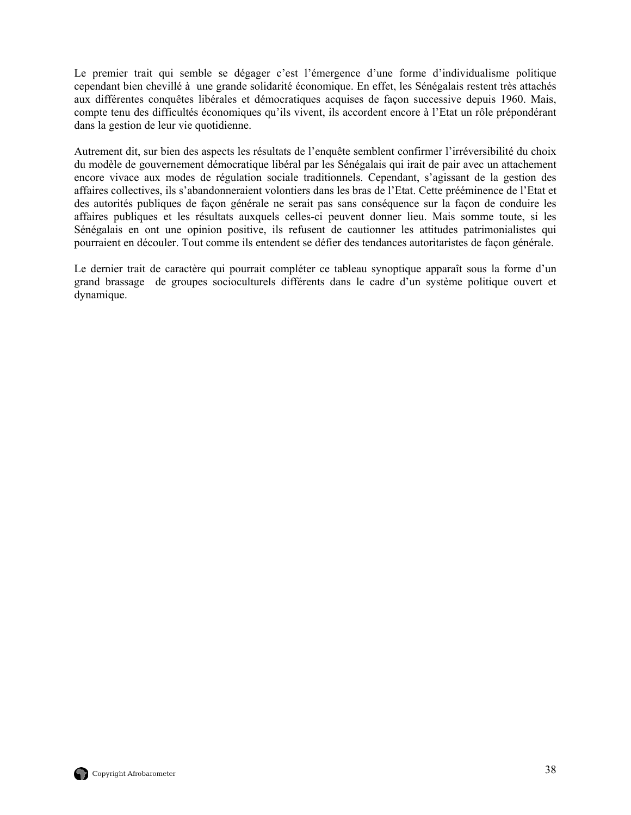Le premier trait qui semble se dégager c'est l'émergence d'une forme d'individualisme politique cependant bien chevillé à une grande solidarité économique. En effet, les Sénégalais restent très attachés aux différentes conquêtes libérales et démocratiques acquises de façon successive depuis 1960. Mais, compte tenu des difficultés économiques qu'ils vivent, ils accordent encore à l'Etat un rôle prépondérant dans la gestion de leur vie quotidienne.

Autrement dit, sur bien des aspects les résultats de l'enquête semblent confirmer l'irréversibilité du choix du modèle de gouvernement démocratique libéral par les Sénégalais qui irait de pair avec un attachement encore vivace aux modes de régulation sociale traditionnels. Cependant, s'agissant de la gestion des affaires collectives, ils s'abandonneraient volontiers dans les bras de l'Etat. Cette prééminence de l'Etat et des autorités publiques de façon générale ne serait pas sans conséquence sur la façon de conduire les affaires publiques et les résultats auxquels celles-ci peuvent donner lieu. Mais somme toute, si les Sénégalais en ont une opinion positive, ils refusent de cautionner les attitudes patrimonialistes qui pourraient en découler. Tout comme ils entendent se défier des tendances autoritaristes de façon générale.

Le dernier trait de caractère qui pourrait compléter ce tableau synoptique apparaît sous la forme d'un grand brassage de groupes socioculturels différents dans le cadre d'un système politique ouvert et dynamique.

![](_page_51_Picture_3.jpeg)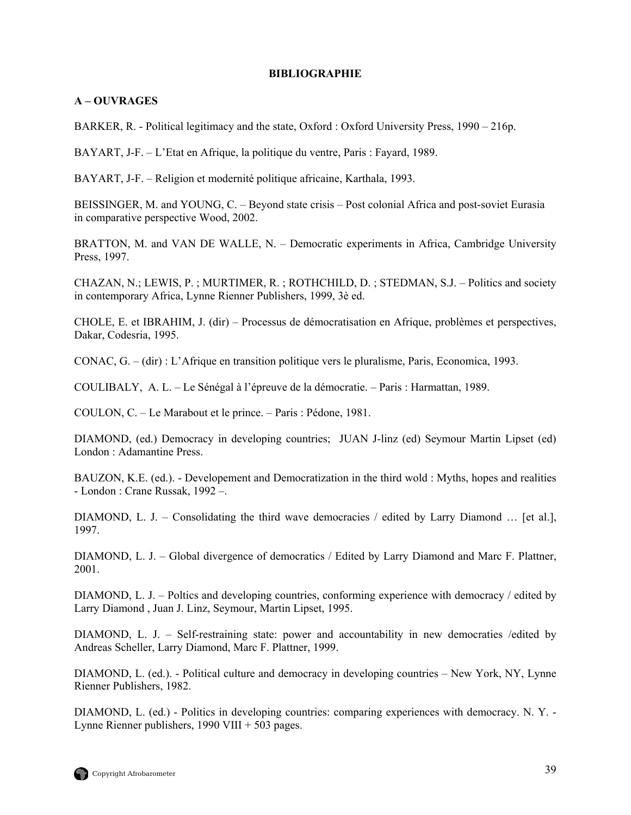## **BIBLIOGRAPHIE**

# <span id="page-52-0"></span>**A – OUVRAGES**

BARKER, R. - Political legitimacy and the state, Oxford : Oxford University Press, 1990 – 216p.

BAYART, J-F. – L'Etat en Afrique, la politique du ventre, Paris : Fayard, 1989.

BAYART, J-F. – Religion et modernité politique africaine, Karthala, 1993.

BEISSINGER, M. and YOUNG, C. – Beyond state crisis – Post colonial Africa and post-soviet Eurasia in comparative perspective Wood, 2002.

BRATTON, M. and VAN DE WALLE, N. – Democratic experiments in Africa, Cambridge University Press, 1997.

CHAZAN, N.; LEWIS, P. ; MURTIMER, R. ; ROTHCHILD, D. ; STEDMAN, S.J. – Politics and society in contemporary Africa, Lynne Rienner Publishers, 1999, 3è ed.

CHOLE, E. et IBRAHIM, J. (dir) – Processus de démocratisation en Afrique, problèmes et perspectives, Dakar, Codesria, 1995.

CONAC, G. – (dir) : L'Afrique en transition politique vers le pluralisme, Paris, Economica, 1993.

COULIBALY, A. L. – Le Sénégal à l'épreuve de la démocratie. – Paris : Harmattan, 1989.

COULON, C. – Le Marabout et le prince. – Paris : Pédone, 1981.

DIAMOND, (ed.) Democracy in developing countries; JUAN J-linz (ed) Seymour Martin Lipset (ed) London : Adamantine Press.

BAUZON, K.E. (ed.). - Developement and Democratization in the third wold : Myths, hopes and realities - London : Crane Russak, 1992 –.

DIAMOND, L. J. – Consolidating the third wave democracies / edited by Larry Diamond … [et al.], 1997.

DIAMOND, L. J. – Global divergence of democratics / Edited by Larry Diamond and Marc F. Plattner, 2001.

DIAMOND, L. J. – Poltics and developing countries, conforming experience with democracy / edited by Larry Diamond , Juan J. Linz, Seymour, Martin Lipset, 1995.

DIAMOND, L. J. – Self-restraining state: power and accountability in new democraties /edited by Andreas Scheller, Larry Diamond, Marc F. Plattner, 1999.

DIAMOND, L. (ed.). - Political culture and democracy in developing countries – New York, NY, Lynne Rienner Publishers, 1982.

DIAMOND, L. (ed.) - Politics in developing countries: comparing experiences with democracy. N. Y. - Lynne Rienner publishers, 1990 VIII + 503 pages.

![](_page_52_Picture_20.jpeg)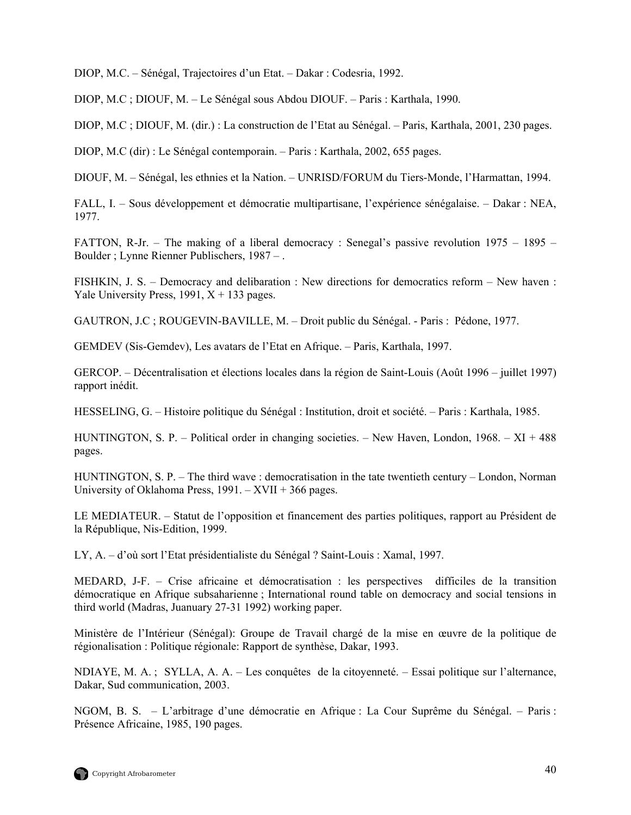DIOP, M.C. – Sénégal, Trajectoires d'un Etat. – Dakar : Codesria, 1992.

DIOP, M.C ; DIOUF, M. – Le Sénégal sous Abdou DIOUF. – Paris : Karthala, 1990.

DIOP, M.C ; DIOUF, M. (dir.) : La construction de l'Etat au Sénégal. – Paris, Karthala, 2001, 230 pages.

DIOP, M.C (dir) : Le Sénégal contemporain. – Paris : Karthala, 2002, 655 pages.

DIOUF, M. – Sénégal, les ethnies et la Nation. – UNRISD/FORUM du Tiers-Monde, l'Harmattan, 1994.

FALL, I. – Sous développement et démocratie multipartisane, l'expérience sénégalaise. – Dakar : NEA, 1977.

FATTON, R-Jr. – The making of a liberal democracy : Senegal's passive revolution 1975 – 1895 – Boulder ; Lynne Rienner Publischers, 1987 – .

FISHKIN, J. S. – Democracy and delibaration : New directions for democratics reform – New haven : Yale University Press, 1991,  $X + 133$  pages.

GAUTRON, J.C ; ROUGEVIN-BAVILLE, M. – Droit public du Sénégal. - Paris : Pédone, 1977.

GEMDEV (Sis-Gemdev), Les avatars de l'Etat en Afrique. – Paris, Karthala, 1997.

GERCOP. – Décentralisation et élections locales dans la région de Saint-Louis (Août 1996 – juillet 1997) rapport inédit.

HESSELING, G. – Histoire politique du Sénégal : Institution, droit et société. – Paris : Karthala, 1985.

HUNTINGTON, S. P. – Political order in changing societies. – New Haven, London, 1968. – XI + 488 pages.

HUNTINGTON, S. P. – The third wave : democratisation in the tate twentieth century – London, Norman University of Oklahoma Press,  $1991. - XVII + 366$  pages.

LE MEDIATEUR. – Statut de l'opposition et financement des parties politiques, rapport au Président de la République, Nis-Edition, 1999.

LY, A. – d'où sort l'Etat présidentialiste du Sénégal ? Saint-Louis : Xamal, 1997.

MEDARD, J-F. – Crise africaine et démocratisation : les perspectives difficiles de la transition démocratique en Afrique subsaharienne ; International round table on democracy and social tensions in third world (Madras, Juanuary 27-31 1992) working paper.

Ministère de l'Intérieur (Sénégal): Groupe de Travail chargé de la mise en œuvre de la politique de régionalisation : Politique régionale: Rapport de synthèse, Dakar, 1993.

NDIAYE, M. A. ; SYLLA, A. A. – Les conquêtes de la citoyenneté. – Essai politique sur l'alternance, Dakar, Sud communication, 2003.

NGOM, B. S. – L'arbitrage d'une démocratie en Afrique : La Cour Suprême du Sénégal. – Paris : Présence Africaine, 1985, 190 pages.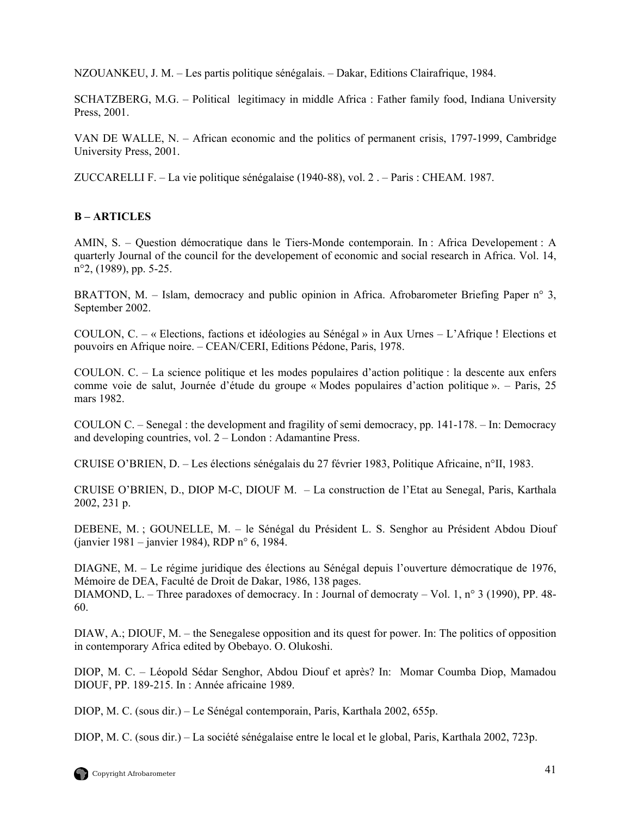NZOUANKEU, J. M. – Les partis politique sénégalais. – Dakar, Editions Clairafrique, 1984.

SCHATZBERG, M.G. – Political legitimacy in middle Africa : Father family food, Indiana University Press, 2001.

VAN DE WALLE, N. – African economic and the politics of permanent crisis, 1797-1999, Cambridge University Press, 2001.

ZUCCARELLI F. – La vie politique sénégalaise (1940-88), vol. 2 . – Paris : CHEAM. 1987.

# **B – ARTICLES**

AMIN, S. – Question démocratique dans le Tiers-Monde contemporain. In : Africa Developement : A quarterly Journal of the council for the developement of economic and social research in Africa. Vol. 14, n°2, (1989), pp. 5-25.

BRATTON, M. – Islam, democracy and public opinion in Africa. Afrobarometer Briefing Paper n° 3, September 2002.

COULON, C. – « Elections, factions et idéologies au Sénégal » in Aux Urnes – L'Afrique ! Elections et pouvoirs en Afrique noire. – CEAN/CERI, Editions Pédone, Paris, 1978.

COULON. C. – La science politique et les modes populaires d'action politique : la descente aux enfers comme voie de salut, Journée d'étude du groupe « Modes populaires d'action politique ». – Paris, 25 mars 1982.

COULON C. – Senegal : the development and fragility of semi democracy, pp. 141-178. – In: Democracy and developing countries, vol. 2 – London : Adamantine Press.

CRUISE O'BRIEN, D. – Les élections sénégalais du 27 février 1983, Politique Africaine, n°II, 1983.

CRUISE O'BRIEN, D., DIOP M-C, DIOUF M. – La construction de l'Etat au Senegal, Paris, Karthala 2002, 231 p.

DEBENE, M. ; GOUNELLE, M. – le Sénégal du Président L. S. Senghor au Président Abdou Diouf (janvier 1981 – janvier 1984), RDP n° 6, 1984.

DIAGNE, M. – Le régime juridique des élections au Sénégal depuis l'ouverture démocratique de 1976, Mémoire de DEA, Faculté de Droit de Dakar, 1986, 138 pages.

DIAMOND, L. – Three paradoxes of democracy. In : Journal of democraty – Vol. 1, n° 3 (1990), PP. 48-60.

DIAW, A.; DIOUF, M. – the Senegalese opposition and its quest for power. In: The politics of opposition in contemporary Africa edited by Obebayo. O. Olukoshi.

DIOP, M. C. – Léopold Sédar Senghor, Abdou Diouf et après? In: Momar Coumba Diop, Mamadou DIOUF, PP. 189-215. In : Année africaine 1989.

DIOP, M. C. (sous dir.) – Le Sénégal contemporain, Paris, Karthala 2002, 655p.

DIOP, M. C. (sous dir.) – La société sénégalaise entre le local et le global, Paris, Karthala 2002, 723p.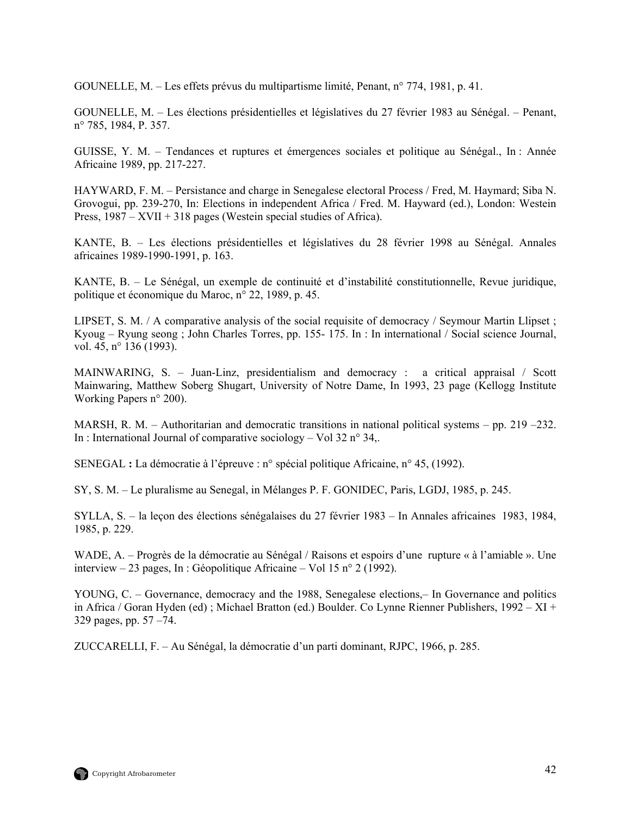GOUNELLE, M. – Les effets prévus du multipartisme limité, Penant, n° 774, 1981, p. 41.

GOUNELLE, M. – Les élections présidentielles et législatives du 27 février 1983 au Sénégal. – Penant, n° 785, 1984, P. 357.

GUISSE, Y. M. – Tendances et ruptures et émergences sociales et politique au Sénégal., In : Année Africaine 1989, pp. 217-227.

HAYWARD, F. M. – Persistance and charge in Senegalese electoral Process / Fred, M. Haymard; Siba N. Grovogui, pp. 239-270, In: Elections in independent Africa / Fred. M. Hayward (ed.), London: Westein Press, 1987 – XVII + 318 pages (Westein special studies of Africa).

KANTE, B. – Les élections présidentielles et législatives du 28 février 1998 au Sénégal. Annales africaines 1989-1990-1991, p. 163.

KANTE, B. – Le Sénégal, un exemple de continuité et d'instabilité constitutionnelle, Revue juridique, politique et économique du Maroc, n° 22, 1989, p. 45.

LIPSET, S. M. / A comparative analysis of the social requisite of democracy / Seymour Martin Llipset ; Kyoug – Ryung seong ; John Charles Torres, pp. 155- 175. In : In international / Social science Journal, vol. 45, n° 136 (1993).

MAINWARING, S. – Juan-Linz, presidentialism and democracy : a critical appraisal / Scott Mainwaring, Matthew Soberg Shugart, University of Notre Dame, In 1993, 23 page (Kellogg Institute Working Papers n° 200).

MARSH, R. M. – Authoritarian and democratic transitions in national political systems – pp. 219 –232. In : International Journal of comparative sociology – Vol 32  $n^{\circ}$  34.

SENEGAL **:** La démocratie à l'épreuve : n° spécial politique Africaine, n° 45, (1992).

SY, S. M. – Le pluralisme au Senegal, in Mélanges P. F. GONIDEC, Paris, LGDJ, 1985, p. 245.

SYLLA, S. – la leçon des élections sénégalaises du 27 février 1983 – In Annales africaines 1983, 1984, 1985, p. 229.

WADE, A. – Progrès de la démocratie au Sénégal / Raisons et espoirs d'une rupture « à l'amiable ». Une interview – 23 pages, In : Géopolitique Africaine – Vol 15 n° 2 (1992).

YOUNG, C. – Governance, democracy and the 1988, Senegalese elections,– In Governance and politics in Africa / Goran Hyden (ed) ; Michael Bratton (ed.) Boulder. Co Lynne Rienner Publishers, 1992 – XI + 329 pages, pp. 57 –74.

ZUCCARELLI, F. – Au Sénégal, la démocratie d'un parti dominant, RJPC, 1966, p. 285.

![](_page_55_Picture_15.jpeg)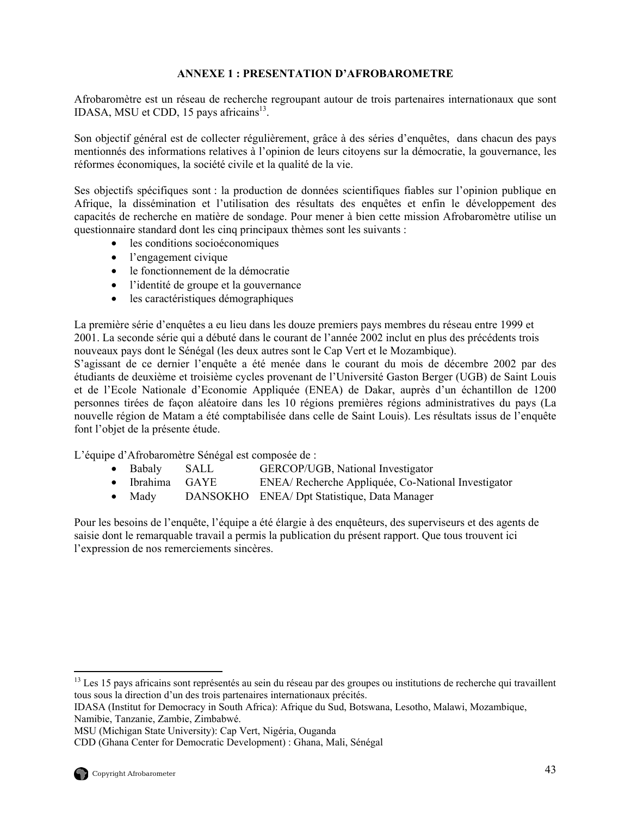# **ANNEXE 1 : PRESENTATION D'AFROBAROMETRE**

<span id="page-56-0"></span>Afrobaromètre est un réseau de recherche regroupant autour de trois partenaires internationaux que sont IDASA, MSU et CDD, 15 pays africains $^{13}$ .

Son objectif général est de collecter régulièrement, grâce à des séries d'enquêtes, dans chacun des pays mentionnés des informations relatives à l'opinion de leurs citoyens sur la démocratie, la gouvernance, les réformes économiques, la société civile et la qualité de la vie.

Ses objectifs spécifiques sont : la production de données scientifiques fiables sur l'opinion publique en Afrique, la dissémination et l'utilisation des résultats des enquêtes et enfin le développement des capacités de recherche en matière de sondage. Pour mener à bien cette mission Afrobaromètre utilise un questionnaire standard dont les cinq principaux thèmes sont les suivants :

- les conditions socioéconomiques
- l'engagement civique
- le fonctionnement de la démocratie
- l'identité de groupe et la gouvernance
- les caractéristiques démographiques

La première série d'enquêtes a eu lieu dans les douze premiers pays membres du réseau entre 1999 et 2001. La seconde série qui a débuté dans le courant de l'année 2002 inclut en plus des précédents trois nouveaux pays dont le Sénégal (les deux autres sont le Cap Vert et le Mozambique).

S'agissant de ce dernier l'enquête a été menée dans le courant du mois de décembre 2002 par des étudiants de deuxième et troisième cycles provenant de l'Université Gaston Berger (UGB) de Saint Louis et de l'Ecole Nationale d'Economie Appliquée (ENEA) de Dakar, auprès d'un échantillon de 1200 personnes tirées de façon aléatoire dans les 10 régions premières régions administratives du pays (La nouvelle région de Matam a été comptabilisée dans celle de Saint Louis). Les résultats issus de l'enquête font l'objet de la présente étude.

L'équipe d'Afrobaromètre Sénégal est composée de :

- Babaly SALL GERCOP/UGB, National Investigator
- Ibrahima GAYE ENEA/ Recherche Appliquée, Co-National Investigator
- Mady DANSOKHO ENEA/ Dpt Statistique, Data Manager

Pour les besoins de l'enquête, l'équipe a été élargie à des enquêteurs, des superviseurs et des agents de saisie dont le remarquable travail a permis la publication du présent rapport. Que tous trouvent ici l'expression de nos remerciements sincères.

 $\overline{a}$ 

<span id="page-56-1"></span> $<sup>13</sup>$  Les 15 pays africains sont représentés au sein du réseau par des groupes ou institutions de recherche qui travaillent</sup> tous sous la direction d'un des trois partenaires internationaux précités.

IDASA (Institut for Democracy in South Africa): Afrique du Sud, Botswana, Lesotho, Malawi, Mozambique, Namibie, Tanzanie, Zambie, Zimbabwé.

MSU (Michigan State University): Cap Vert, Nigéria, Ouganda

CDD (Ghana Center for Democratic Development) : Ghana, Mali, Sénégal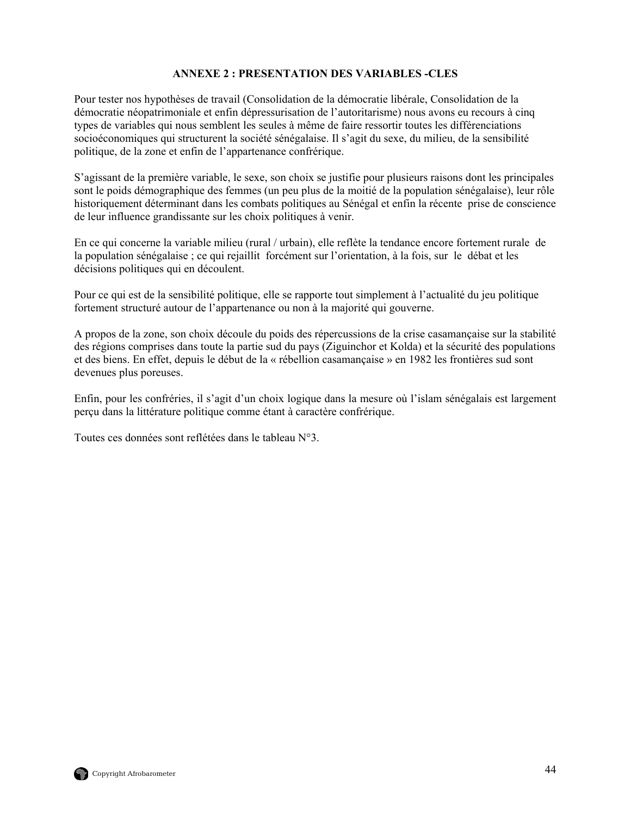# **ANNEXE 2 : PRESENTATION DES VARIABLES -CLES**

<span id="page-57-0"></span>Pour tester nos hypothèses de travail (Consolidation de la démocratie libérale, Consolidation de la démocratie néopatrimoniale et enfin dépressurisation de l'autoritarisme) nous avons eu recours à cinq types de variables qui nous semblent les seules à même de faire ressortir toutes les différenciations socioéconomiques qui structurent la société sénégalaise. Il s'agit du sexe, du milieu, de la sensibilité politique, de la zone et enfin de l'appartenance confrérique.

S'agissant de la première variable, le sexe, son choix se justifie pour plusieurs raisons dont les principales sont le poids démographique des femmes (un peu plus de la moitié de la population sénégalaise), leur rôle historiquement déterminant dans les combats politiques au Sénégal et enfin la récente prise de conscience de leur influence grandissante sur les choix politiques à venir.

En ce qui concerne la variable milieu (rural / urbain), elle reflète la tendance encore fortement rurale de la population sénégalaise ; ce qui rejaillit forcément sur l'orientation, à la fois, sur le débat et les décisions politiques qui en découlent.

Pour ce qui est de la sensibilité politique, elle se rapporte tout simplement à l'actualité du jeu politique fortement structuré autour de l'appartenance ou non à la majorité qui gouverne.

A propos de la zone, son choix découle du poids des répercussions de la crise casamançaise sur la stabilité des régions comprises dans toute la partie sud du pays (Ziguinchor et Kolda) et la sécurité des populations et des biens. En effet, depuis le début de la « rébellion casamançaise » en 1982 les frontières sud sont devenues plus poreuses.

Enfin, pour les confréries, il s'agit d'un choix logique dans la mesure où l'islam sénégalais est largement perçu dans la littérature politique comme étant à caractère confrérique.

Toutes ces données sont reflétées dans le tableau N°3.

![](_page_57_Picture_8.jpeg)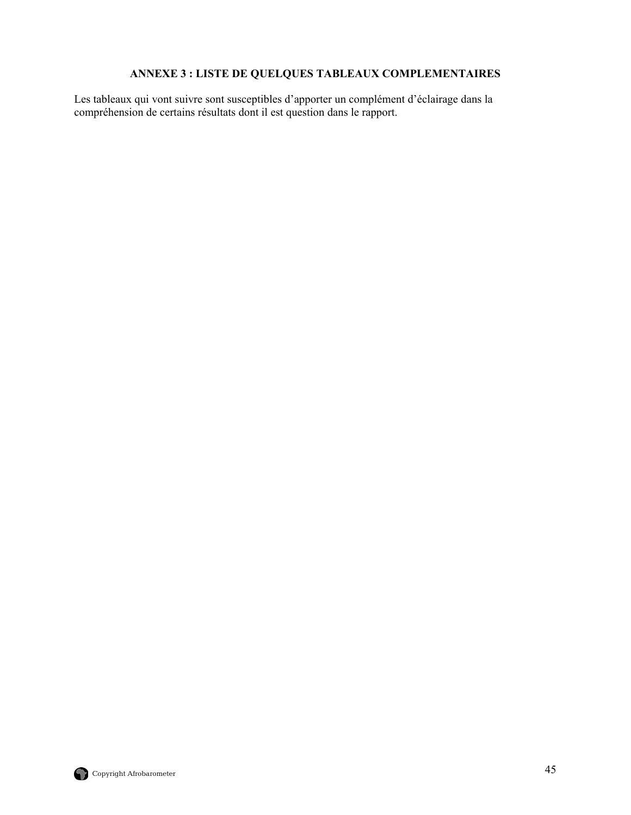# **ANNEXE 3 : LISTE DE QUELQUES TABLEAUX COMPLEMENTAIRES**

<span id="page-58-0"></span>Les tableaux qui vont suivre sont susceptibles d'apporter un complément d'éclairage dans la compréhension de certains résultats dont il est question dans le rapport.

![](_page_58_Picture_2.jpeg)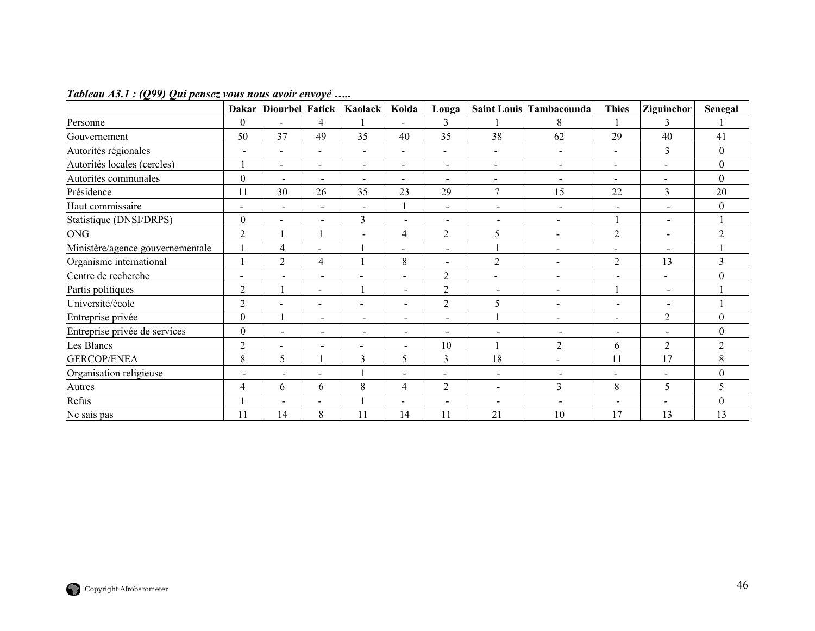|                                  |                          | Dakar Diourbel Fatick |                          | Kaolack                  | Kolda                        | Louga                    |                              | Saint Louis Tambacounda  | <b>Thies</b>             | Ziguinchor               | <b>Senegal</b>   |
|----------------------------------|--------------------------|-----------------------|--------------------------|--------------------------|------------------------------|--------------------------|------------------------------|--------------------------|--------------------------|--------------------------|------------------|
| Personne                         | $\boldsymbol{0}$         |                       | 4                        |                          |                              | 3                        |                              | 8                        |                          | $\overline{\mathbf{3}}$  |                  |
| Gouvernement                     | 50                       | 37                    | 49                       | 35                       | 40                           | 35                       | 38                           | 62                       | 29                       | 40                       | 41               |
| Autorités régionales             | $\overline{\phantom{a}}$ |                       | $\overline{\phantom{a}}$ |                          | $\qquad \qquad \blacksquare$ | $\overline{\phantom{a}}$ | $\qquad \qquad \blacksquare$ | $\blacksquare$           | $\blacksquare$           | 3                        | $\boldsymbol{0}$ |
| Autorités locales (cercles)      |                          | $\blacksquare$        | $\blacksquare$           | $\blacksquare$           | $\blacksquare$               | $\blacksquare$           | $\blacksquare$               | $\blacksquare$           | $\blacksquare$           | $\blacksquare$           | $\boldsymbol{0}$ |
| Autorités communales             | $\boldsymbol{0}$         | $\blacksquare$        | $\overline{\phantom{a}}$ | $\overline{\phantom{0}}$ | $\blacksquare$               | $\overline{\phantom{a}}$ | $\qquad \qquad \blacksquare$ | $\overline{\phantom{a}}$ | $\blacksquare$           |                          | $\boldsymbol{0}$ |
| Présidence                       | 11                       | 30                    | 26                       | 35                       | 23                           | 29                       | $\overline{7}$               | 15                       | 22                       | 3                        | 20               |
| Haut commissaire                 | $\overline{\phantom{a}}$ | $\blacksquare$        | $\blacksquare$           | $\overline{\phantom{a}}$ |                              | $\overline{\phantom{a}}$ | $\overline{\phantom{a}}$     | $\overline{\phantom{a}}$ | $\sim$                   | $\overline{\phantom{a}}$ | $\theta$         |
| Statistique (DNSI/DRPS)          | $\theta$                 | $\blacksquare$        | $\blacksquare$           | 3                        | $\blacksquare$               | $\sim$                   | $\overline{\phantom{a}}$     | $\overline{\phantom{a}}$ |                          | $\overline{\phantom{0}}$ |                  |
| <b>ONG</b>                       | $\overline{2}$           |                       |                          |                          | 4                            | $\overline{2}$           | 5                            |                          | $\overline{2}$           |                          | $\overline{2}$   |
| Ministère/agence gouvernementale |                          | $\overline{4}$        | $\overline{\phantom{a}}$ |                          | $\overline{\phantom{0}}$     | $\overline{\phantom{a}}$ |                              | $\overline{\phantom{a}}$ | $\overline{\phantom{a}}$ | $\overline{\phantom{a}}$ |                  |
| Organisme international          |                          | $\overline{2}$        | 4                        |                          | 8                            | $\blacksquare$           | $\overline{2}$               | $\sim$                   | $\overline{2}$           | 13                       | 3                |
| Centre de recherche              |                          | $\overline{a}$        | $\overline{\phantom{0}}$ | $\overline{\phantom{0}}$ | $\overline{\phantom{a}}$     | $\overline{2}$           | $\blacksquare$               | $\sim$                   | $\blacksquare$           | $\blacksquare$           | $\theta$         |
| Partis politiques                | $\overline{2}$           |                       | $\overline{\phantom{a}}$ |                          | $\blacksquare$               | $\overline{2}$           |                              |                          |                          |                          |                  |
| Université/école                 | $\overline{2}$           |                       | $\overline{\phantom{a}}$ | $\overline{\phantom{0}}$ | $\blacksquare$               | $\overline{2}$           | 5                            | $\sim$                   | $\overline{\phantom{a}}$ | $\overline{\phantom{a}}$ |                  |
| Entreprise privée                | $\mathbf{0}$             |                       | $\blacksquare$           | $\sim$                   | $\overline{\phantom{a}}$     | $\overline{\phantom{a}}$ |                              | $\sim$                   | $\blacksquare$           | $\overline{2}$           | $\theta$         |
| Entreprise privée de services    | $\theta$                 | $\blacksquare$        | $\overline{a}$           | $\overline{a}$           | $\blacksquare$               | $\blacksquare$           | $\overline{\phantom{a}}$     | $\overline{\phantom{a}}$ | $\blacksquare$           |                          | $\theta$         |
| Les Blancs                       | $\overline{2}$           |                       | $\overline{\phantom{0}}$ |                          |                              | 10                       |                              | $\boldsymbol{2}$         | 6                        | $\overline{2}$           | $\overline{c}$   |
| <b>GERCOP/ENEA</b>               | 8                        | 5                     |                          | 3                        | 5                            | 3                        | 18                           |                          | 11                       | 17                       | 8                |
| Organisation religieuse          | $\overline{\phantom{a}}$ |                       | $\overline{\phantom{a}}$ |                          |                              | $\blacksquare$           | $\blacksquare$               | $\overline{\phantom{a}}$ | $\blacksquare$           | $\blacksquare$           | $\theta$         |
| Autres                           | $\overline{4}$           | 6                     | 6                        | 8                        | 4                            | $\overline{2}$           | $\blacksquare$               | $\overline{3}$           | $8\,$                    | 5                        | 5                |
| Refus                            |                          | ۳                     | $\overline{\phantom{a}}$ |                          |                              | $\overline{\phantom{a}}$ |                              |                          |                          |                          | $\mathbf{0}$     |
| Ne sais pas                      | 11                       | 14                    | 8                        | 11                       | 14                           | 11                       | 21                           | 10                       | 17                       | 13                       | 13               |

*Tableau A3.1 : (Q99) Qui pensez vous nous avoir envoyé …..*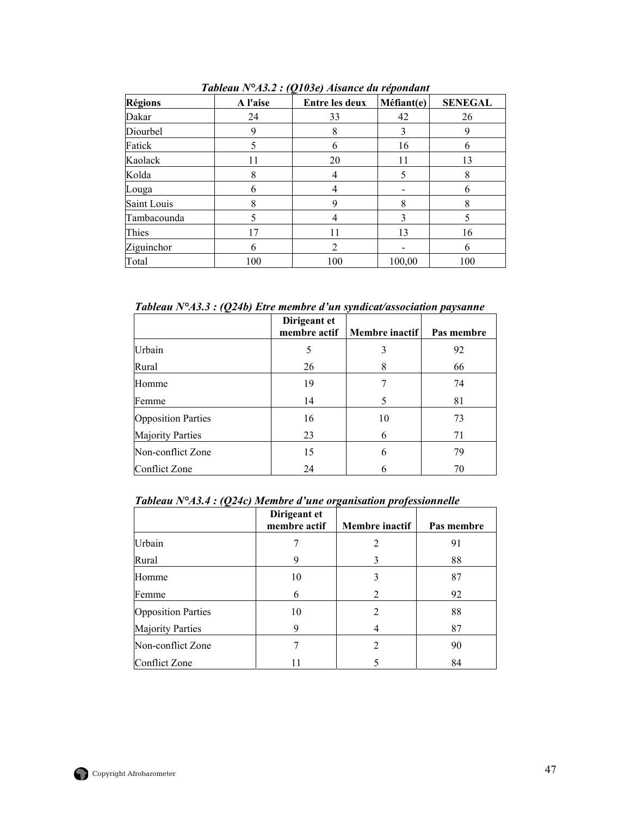| <b>Régions</b> | A l'aise | $\overline{\phantom{a}}$<br><b>Entre les deux</b> | Méfiant(e) | <b>SENEGAL</b> |
|----------------|----------|---------------------------------------------------|------------|----------------|
| Dakar          | 24       | 33                                                | 42         | 26             |
| Diourbel       | 9        | 8                                                 | 3          | 9              |
| Fatick         | 5        | 6                                                 | 16         | h              |
| Kaolack        | 11       | 20                                                | 11         | 13             |
| Kolda          | 8        |                                                   | 5          | 8              |
| Louga          | 6        |                                                   |            | n              |
| Saint Louis    | 8        |                                                   | 8          | 8              |
| Tambacounda    | 5        |                                                   | 3          | 5.             |
| Thies          | 17       | 11                                                | 13         | 16             |
| Ziguinchor     | 6        | $\overline{2}$                                    |            | n              |
| Total          | 100      | 100                                               | 100,00     | 100            |

*Tableau N°A3.2 : (Q103e) Aisance du répondant* 

*Tableau N°A3.3 : (Q24b) Etre membre d'un syndicat/association paysanne* 

|                           | Dirigeant et<br>membre actif | Membre inactif | Pas membre |
|---------------------------|------------------------------|----------------|------------|
| Urbain                    | 5                            | 3              | 92         |
| Rural                     | 26                           | 8              | 66         |
| Homme                     | 19                           |                | 74         |
| Femme                     | 14                           | 5              | 81         |
| <b>Opposition Parties</b> | 16                           | 10             | 73         |
| <b>Majority Parties</b>   | 23                           | 6              | 71         |
| Non-conflict Zone         | 15                           | 6              | 79         |
| Conflict Zone             | 24                           | 6              | 70         |

*Tableau N°A3.4 : (Q24c) Membre d'une organisation professionnelle* 

|                           | Dirigeant et<br>membre actif | Membre inactif | Pas membre |
|---------------------------|------------------------------|----------------|------------|
| Urbain                    |                              | 2              | 91         |
| Rural                     |                              | 3              | 88         |
| Homme                     | 10                           | 3              | 87         |
| Femme                     | 6                            | 2              | 92         |
| <b>Opposition Parties</b> | 10                           | 2              | 88         |
| <b>Majority Parties</b>   | 9                            |                | 87         |
| Non-conflict Zone         |                              | 2              | 90         |
| <b>Conflict Zone</b>      |                              |                | 84         |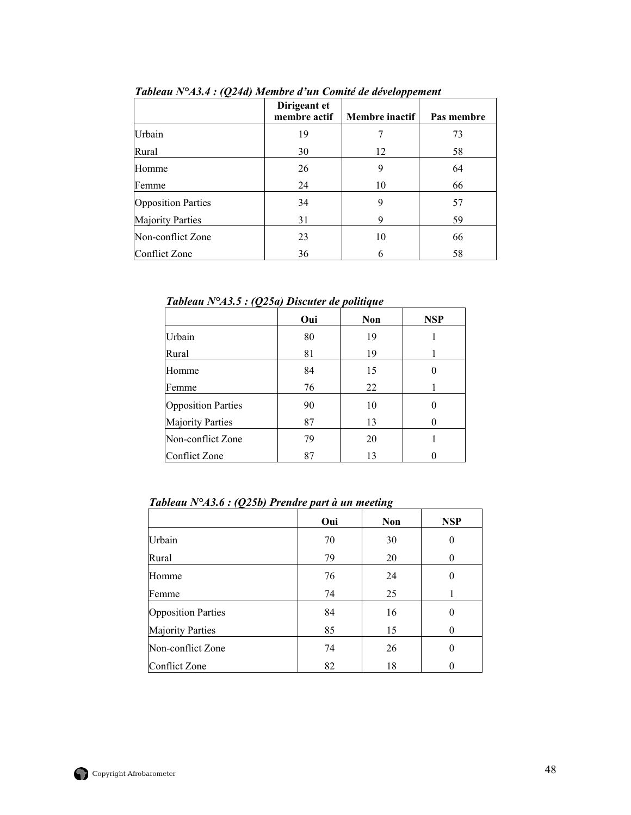|                           | Dirigeant et<br>membre actif | Membre inactif | Pas membre |
|---------------------------|------------------------------|----------------|------------|
| Urbain                    | 19                           |                | 73         |
| Rural                     | 30                           | 12             | 58         |
| Homme                     | 26                           | 9              | 64         |
| Femme                     | 24                           | 10             | 66         |
| <b>Opposition Parties</b> | 34                           | 9              | 57         |
| <b>Majority Parties</b>   | 31                           | 9              | 59         |
| Non-conflict Zone         | 23                           | 10             | 66         |
| Conflict Zone             | 36                           | 6              | 58         |

*Tableau N°A3.4 : (Q24d) Membre d'un Comité de développement* 

*Tableau N°A3.5 : (Q25a) Discuter de politique* 

|                           | Oui | <b>Non</b> | <b>NSP</b> |
|---------------------------|-----|------------|------------|
| Urbain                    | 80  | 19         |            |
| Rural                     | 81  | 19         |            |
| Homme                     | 84  | 15         |            |
| Femme                     | 76  | 22         |            |
| <b>Opposition Parties</b> | 90  | 10         |            |
| <b>Majority Parties</b>   | 87  | 13         |            |
| Non-conflict Zone         | 79  | 20         |            |
| <b>Conflict Zone</b>      | 87  | 13         |            |

|                           | Oui | <b>Non</b> | <b>NSP</b>       |
|---------------------------|-----|------------|------------------|
| Urbain                    | 70  | 30         | $\boldsymbol{0}$ |
| Rural                     | 79  | 20         | $\theta$         |
| Homme                     | 76  | 24         | 0                |
| Femme                     | 74  | 25         |                  |
| <b>Opposition Parties</b> | 84  | 16         | 0                |
| <b>Majority Parties</b>   | 85  | 15         | $\theta$         |
| Non-conflict Zone         | 74  | 26         | 0                |
| <b>Conflict Zone</b>      | 82  | 18         |                  |

*Tableau N°A3.6 : (Q25b) Prendre part à un meeting*